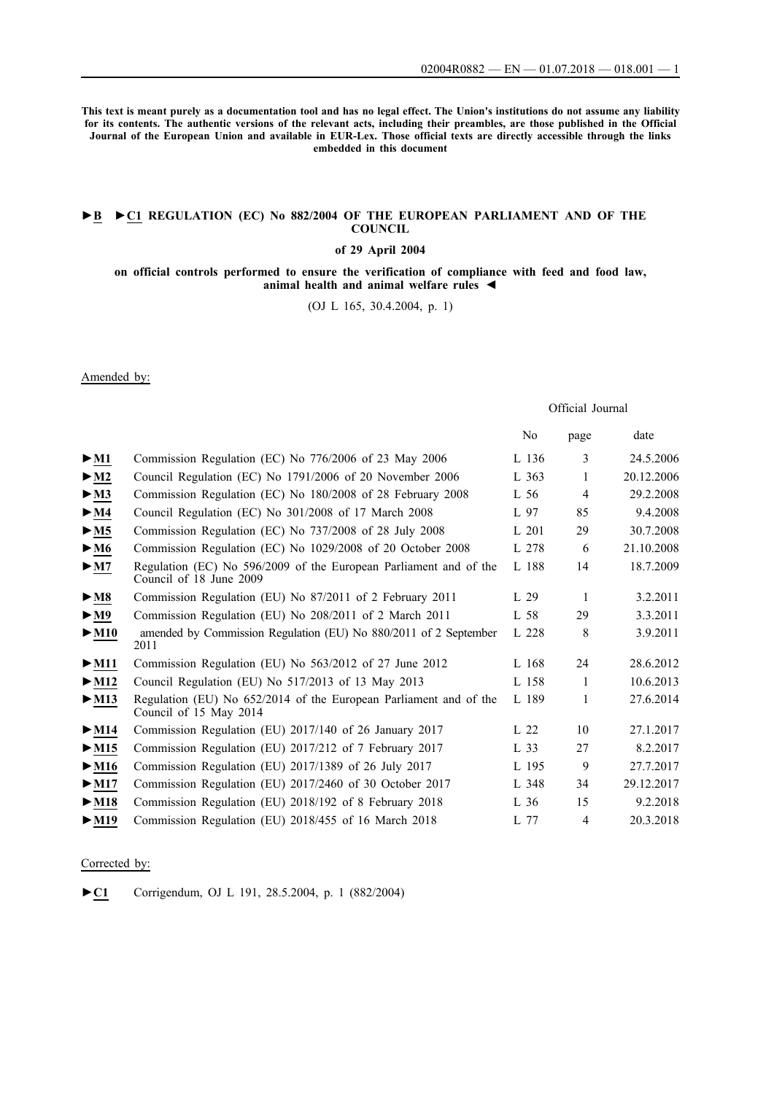**This text is meant purely as a documentation tool and has no legal effect. The Union's institutions do not assume any liability for its contents. The authentic versions of the relevant acts, including their preambles, are those published in the Official Journal of the European Union and available in EUR-Lex. Those official texts are directly accessible through the links embedded in this document**

### **►B [►](http://data.europa.eu/eli/reg/2004/882/oj/eng)[C1 REGULATION \(EC\) No 882/2004 OF THE EUROPEAN PARLIAMENT AND OF THE](http://data.europa.eu/eli/reg/2004/882/oj/eng) [COUNCIL](http://data.europa.eu/eli/reg/2004/882/oj/eng)**

## **[of 29 April 2004](http://data.europa.eu/eli/reg/2004/882/oj/eng)**

**[on official controls performed to ensure the verification of compliance with feed and food law,](http://data.europa.eu/eli/reg/2004/882/oj/eng) [animal health and animal welfare rules](http://data.europa.eu/eli/reg/2004/882/oj/eng) ◄**

[\(OJ L 165, 30.4.2004, p. 1\)](http://data.europa.eu/eli/reg/2004/882/oj/eng)

Amended by:

Official Journal

|                           |                                                                                              | N <sub>0</sub> | page           | date       |
|---------------------------|----------------------------------------------------------------------------------------------|----------------|----------------|------------|
| $>$ M1                    | Commission Regulation (EC) No 776/2006 of 23 May 2006                                        | L 136          | 3              | 24.5.2006  |
| $\blacktriangleright$ M2  | Council Regulation (EC) No 1791/2006 of 20 November 2006                                     | L 363          | 1              | 20.12.2006 |
| $\blacktriangleright$ M3  | Commission Regulation (EC) No 180/2008 of 28 February 2008                                   | $L$ 56         | 4              | 29.2.2008  |
| $\blacktriangleright$ M4  | Council Regulation (EC) No 301/2008 of 17 March 2008                                         | L 97           | 85             | 9.4.2008   |
| > M5                      | Commission Regulation (EC) No 737/2008 of 28 July 2008                                       | L 201          | 29             | 30.7.2008  |
| $\blacktriangleright$ M6  | Commission Regulation (EC) No 1029/2008 of 20 October 2008                                   | L 278          | 6              | 21.10.2008 |
| $\blacktriangleright$ M7  | Regulation (EC) No 596/2009 of the European Parliament and of the<br>Council of 18 June 2009 | L 188          | 14             | 18.7.2009  |
| $>$ M8                    | Commission Regulation (EU) No 87/2011 of 2 February 2011                                     | L 29           | 1              | 3.2.2011   |
| $\blacktriangleright$ M9  | Commission Regulation (EU) No 208/2011 of 2 March 2011                                       | L 58           | 29             | 3.3.2011   |
| $\blacktriangleright$ M10 | amended by Commission Regulation (EU) No 880/2011 of 2 September<br>2011                     | L 228          | 8              | 3.9.2011   |
| $\triangleright$ M11      | Commission Regulation (EU) No 563/2012 of 27 June 2012                                       | L 168          | 24             | 28.6.2012  |
| $\blacktriangleright$ M12 | Council Regulation (EU) No 517/2013 of 13 May 2013                                           | L 158          | 1              | 10.6.2013  |
| $\blacktriangleright$ M13 | Regulation (EU) No 652/2014 of the European Parliament and of the<br>Council of 15 May 2014  | L 189          | 1              | 27.6.2014  |
| $\blacktriangleright$ M14 | Commission Regulation (EU) 2017/140 of 26 January 2017                                       | L 22           | 10             | 27.1.2017  |
| $\triangleright$ M15      | Commission Regulation (EU) 2017/212 of 7 February 2017                                       | L 33           | 27             | 8.2.2017   |
| $\blacktriangleright$ M16 | Commission Regulation (EU) 2017/1389 of 26 July 2017                                         | L 195          | 9              | 27.7.2017  |
| $\blacktriangleright$ M17 | Commission Regulation (EU) 2017/2460 of 30 October 2017                                      | L 348          | 34             | 29.12.2017 |
| $\blacktriangleright$ M18 | Commission Regulation (EU) 2018/192 of 8 February 2018                                       | L 36           | 15             | 9.2.2018   |
| $>$ M19                   | Commission Regulation (EU) 2018/455 of 16 March 2018                                         | L 77           | $\overline{4}$ | 20.3.2018  |

#### Corrected by:

[►](http://data.europa.eu/eli/reg/2004/882/corrigendum/2004-05-28/oj/eng)**[C1](http://data.europa.eu/eli/reg/2004/882/corrigendum/2004-05-28/oj/eng)** [Corrigendum, OJ L 191, 28.5.2004, p. 1 \(882/2004\)](http://data.europa.eu/eli/reg/2004/882/corrigendum/2004-05-28/oj/eng)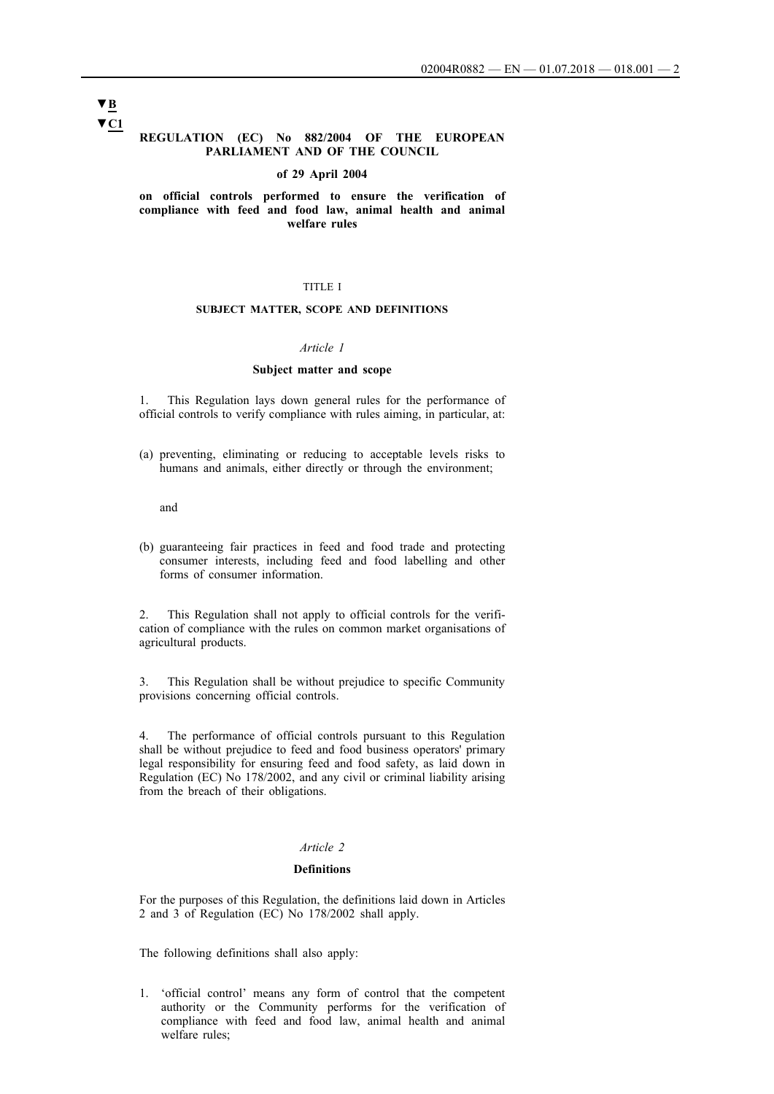# **▼C1 ▼B**

### **REGULATION (EC) No 882/2004 OF THE EUROPEAN PARLIAMENT AND OF THE COUNCIL**

#### **of 29 April 2004**

**on official controls performed to ensure the verification of compliance with feed and food law, animal health and animal welfare rules**

### TITLE I

### **SUBJECT MATTER, SCOPE AND DEFINITIONS**

### *Article 1*

#### **Subject matter and scope**

1. This Regulation lays down general rules for the performance of official controls to verify compliance with rules aiming, in particular, at:

(a) preventing, eliminating or reducing to acceptable levels risks to humans and animals, either directly or through the environment;

and

(b) guaranteeing fair practices in feed and food trade and protecting consumer interests, including feed and food labelling and other forms of consumer information.

2. This Regulation shall not apply to official controls for the verification of compliance with the rules on common market organisations of agricultural products.

3. This Regulation shall be without prejudice to specific Community provisions concerning official controls.

4. The performance of official controls pursuant to this Regulation shall be without prejudice to feed and food business operators' primary legal responsibility for ensuring feed and food safety, as laid down in Regulation (EC) No 178/2002, and any civil or criminal liability arising from the breach of their obligations.

### *Article 2*

#### **Definitions**

For the purposes of this Regulation, the definitions laid down in Articles 2 and 3 of Regulation (EC) No 178/2002 shall apply.

The following definitions shall also apply:

1. 'official control' means any form of control that the competent authority or the Community performs for the verification of compliance with feed and food law, animal health and animal welfare rules;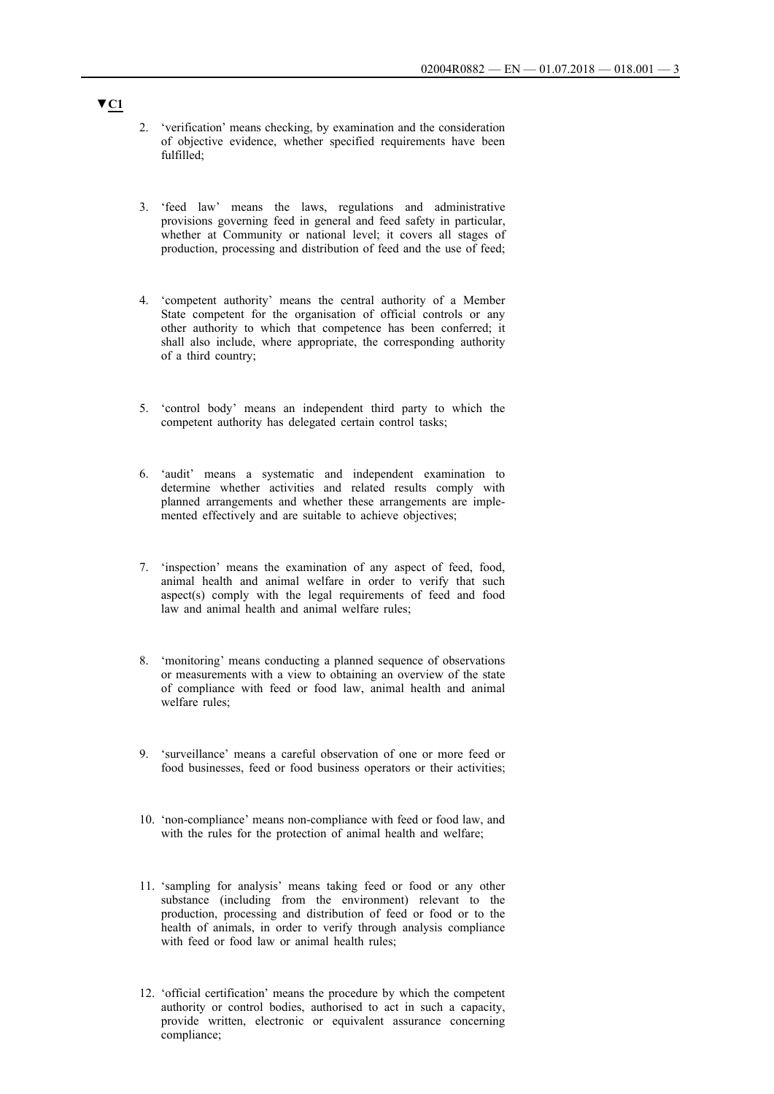- 2. 'verification' means checking, by examination and the consideration of objective evidence, whether specified requirements have been fulfilled;
- 3. 'feed law' means the laws, regulations and administrative provisions governing feed in general and feed safety in particular, whether at Community or national level; it covers all stages of production, processing and distribution of feed and the use of feed;
- 4. 'competent authority' means the central authority of a Member State competent for the organisation of official controls or any other authority to which that competence has been conferred; it shall also include, where appropriate, the corresponding authority of a third country;
- 5. 'control body' means an independent third party to which the competent authority has delegated certain control tasks;
- 6. 'audit' means a systematic and independent examination to determine whether activities and related results comply with planned arrangements and whether these arrangements are implemented effectively and are suitable to achieve objectives;
- 7. 'inspection' means the examination of any aspect of feed, food, animal health and animal welfare in order to verify that such aspect(s) comply with the legal requirements of feed and food law and animal health and animal welfare rules;
- 8. 'monitoring' means conducting a planned sequence of observations or measurements with a view to obtaining an overview of the state of compliance with feed or food law, animal health and animal welfare rules;
- 9. 'surveillance' means a careful observation of one or more feed or food businesses, feed or food business operators or their activities;
- 10. 'non-compliance' means non-compliance with feed or food law, and with the rules for the protection of animal health and welfare;
- 11. 'sampling for analysis' means taking feed or food or any other substance (including from the environment) relevant to the production, processing and distribution of feed or food or to the health of animals, in order to verify through analysis compliance with feed or food law or animal health rules;
- 12. 'official certification' means the procedure by which the competent authority or control bodies, authorised to act in such a capacity, provide written, electronic or equivalent assurance concerning compliance;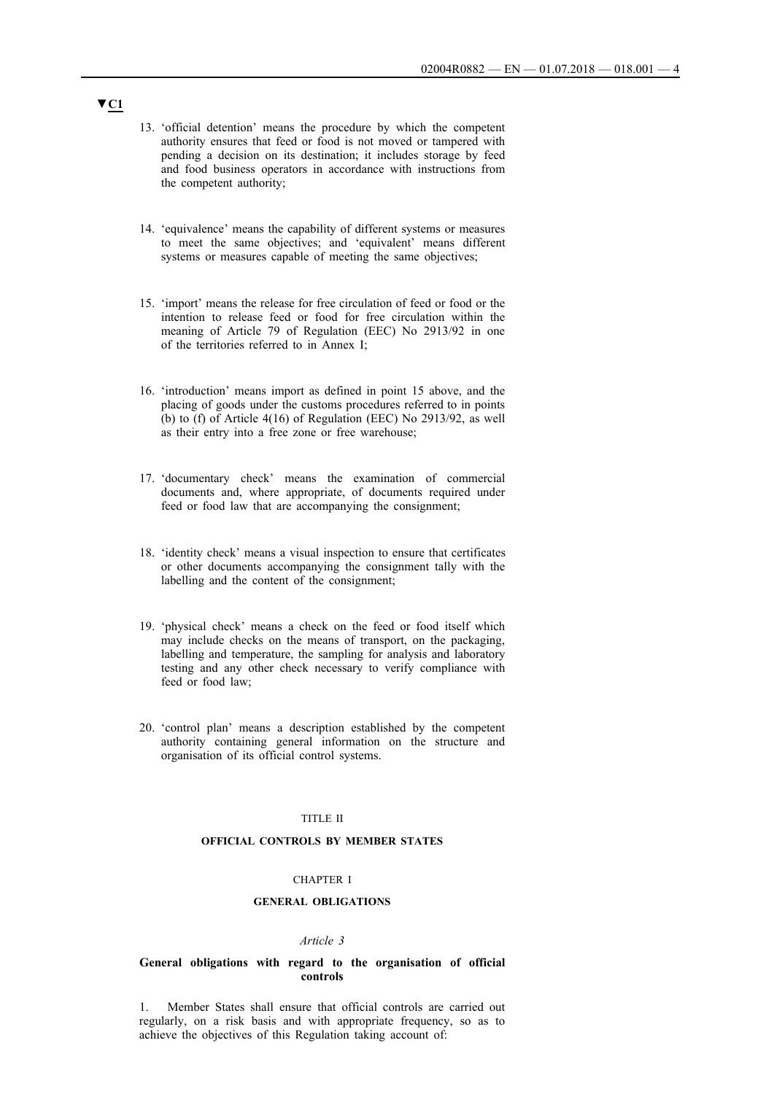- 13. 'official detention' means the procedure by which the competent authority ensures that feed or food is not moved or tampered with pending a decision on its destination; it includes storage by feed and food business operators in accordance with instructions from the competent authority;
- 14. 'equivalence' means the capability of different systems or measures to meet the same objectives; and 'equivalent' means different systems or measures capable of meeting the same objectives;
- 15. 'import' means the release for free circulation of feed or food or the intention to release feed or food for free circulation within the meaning of Article 79 of Regulation (EEC) No 2913/92 in one of the territories referred to in Annex I;
- 16. 'introduction' means import as defined in point 15 above, and the placing of goods under the customs procedures referred to in points (b) to (f) of Article 4(16) of Regulation (EEC) No 2913/92, as well as their entry into a free zone or free warehouse;
- 17. 'documentary check' means the examination of commercial documents and, where appropriate, of documents required under feed or food law that are accompanying the consignment;
- 18. 'identity check' means a visual inspection to ensure that certificates or other documents accompanying the consignment tally with the labelling and the content of the consignment;
- 19. 'physical check' means a check on the feed or food itself which may include checks on the means of transport, on the packaging, labelling and temperature, the sampling for analysis and laboratory testing and any other check necessary to verify compliance with feed or food law;
- 20. 'control plan' means a description established by the competent authority containing general information on the structure and organisation of its official control systems.

### TITLE II

### **OFFICIAL CONTROLS BY MEMBER STATES**

### CHAPTER I

### **GENERAL OBLIGATIONS**

### *Article 3*

### **General obligations with regard to the organisation of official controls**

1. Member States shall ensure that official controls are carried out regularly, on a risk basis and with appropriate frequency, so as to achieve the objectives of this Regulation taking account of: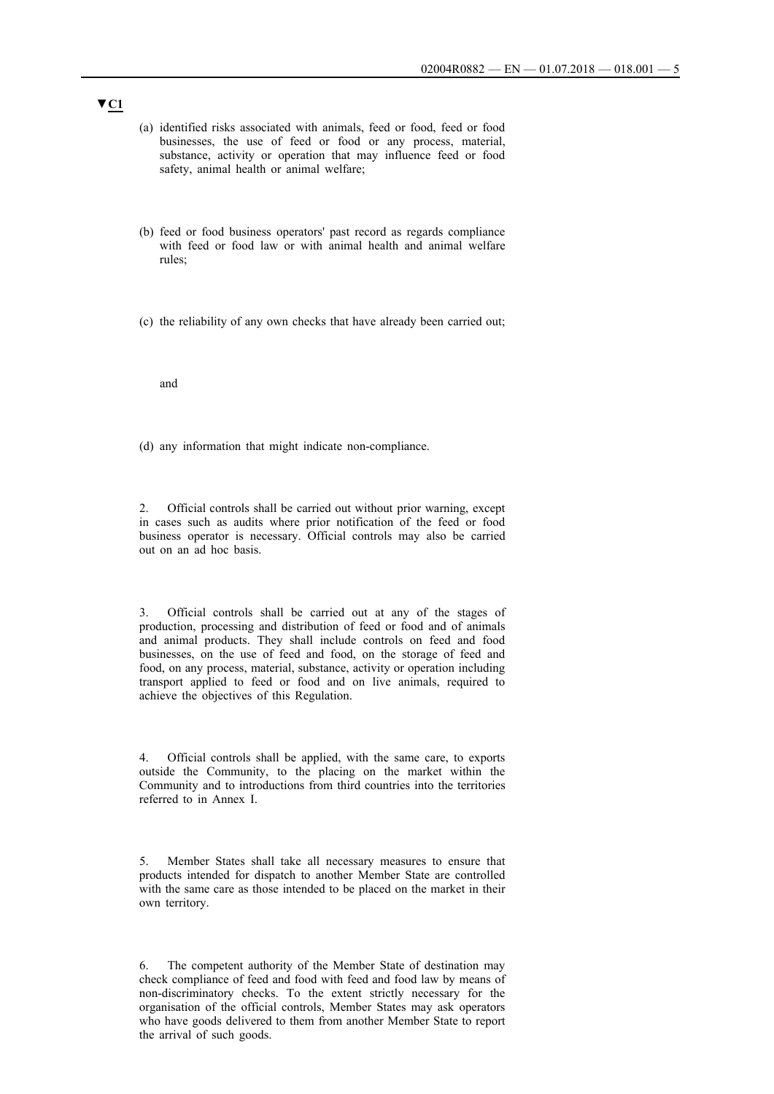- (a) identified risks associated with animals, feed or food, feed or food businesses, the use of feed or food or any process, material, substance, activity or operation that may influence feed or food safety, animal health or animal welfare;
- (b) feed or food business operators' past record as regards compliance with feed or food law or with animal health and animal welfare rules;
- (c) the reliability of any own checks that have already been carried out;

#### and

(d) any information that might indicate non-compliance.

2. Official controls shall be carried out without prior warning, except in cases such as audits where prior notification of the feed or food business operator is necessary. Official controls may also be carried out on an ad hoc basis.

3. Official controls shall be carried out at any of the stages of production, processing and distribution of feed or food and of animals and animal products. They shall include controls on feed and food businesses, on the use of feed and food, on the storage of feed and food, on any process, material, substance, activity or operation including transport applied to feed or food and on live animals, required to achieve the objectives of this Regulation.

4. Official controls shall be applied, with the same care, to exports outside the Community, to the placing on the market within the Community and to introductions from third countries into the territories referred to in Annex I.

5. Member States shall take all necessary measures to ensure that products intended for dispatch to another Member State are controlled with the same care as those intended to be placed on the market in their own territory.

6. The competent authority of the Member State of destination may check compliance of feed and food with feed and food law by means of non-discriminatory checks. To the extent strictly necessary for the organisation of the official controls, Member States may ask operators who have goods delivered to them from another Member State to report the arrival of such goods.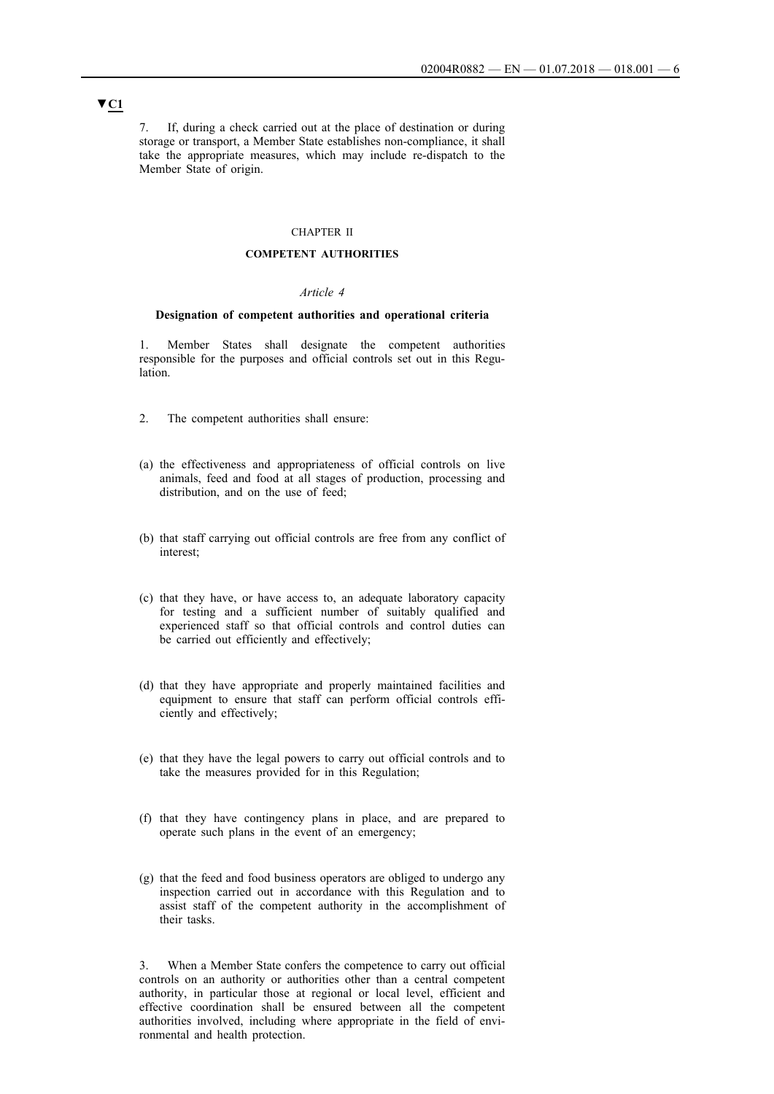7. If, during a check carried out at the place of destination or during storage or transport, a Member State establishes non-compliance, it shall take the appropriate measures, which may include re-dispatch to the Member State of origin.

#### CHAPTER II

### **COMPETENT AUTHORITIES**

### *Article 4*

### **Designation of competent authorities and operational criteria**

1. Member States shall designate the competent authorities responsible for the purposes and official controls set out in this Regulation.

- 2. The competent authorities shall ensure:
- (a) the effectiveness and appropriateness of official controls on live animals, feed and food at all stages of production, processing and distribution, and on the use of feed;
- (b) that staff carrying out official controls are free from any conflict of interest;
- (c) that they have, or have access to, an adequate laboratory capacity for testing and a sufficient number of suitably qualified and experienced staff so that official controls and control duties can be carried out efficiently and effectively;
- (d) that they have appropriate and properly maintained facilities and equipment to ensure that staff can perform official controls efficiently and effectively;
- (e) that they have the legal powers to carry out official controls and to take the measures provided for in this Regulation;
- (f) that they have contingency plans in place, and are prepared to operate such plans in the event of an emergency;
- (g) that the feed and food business operators are obliged to undergo any inspection carried out in accordance with this Regulation and to assist staff of the competent authority in the accomplishment of their tasks.

3. When a Member State confers the competence to carry out official controls on an authority or authorities other than a central competent authority, in particular those at regional or local level, efficient and effective coordination shall be ensured between all the competent authorities involved, including where appropriate in the field of environmental and health protection.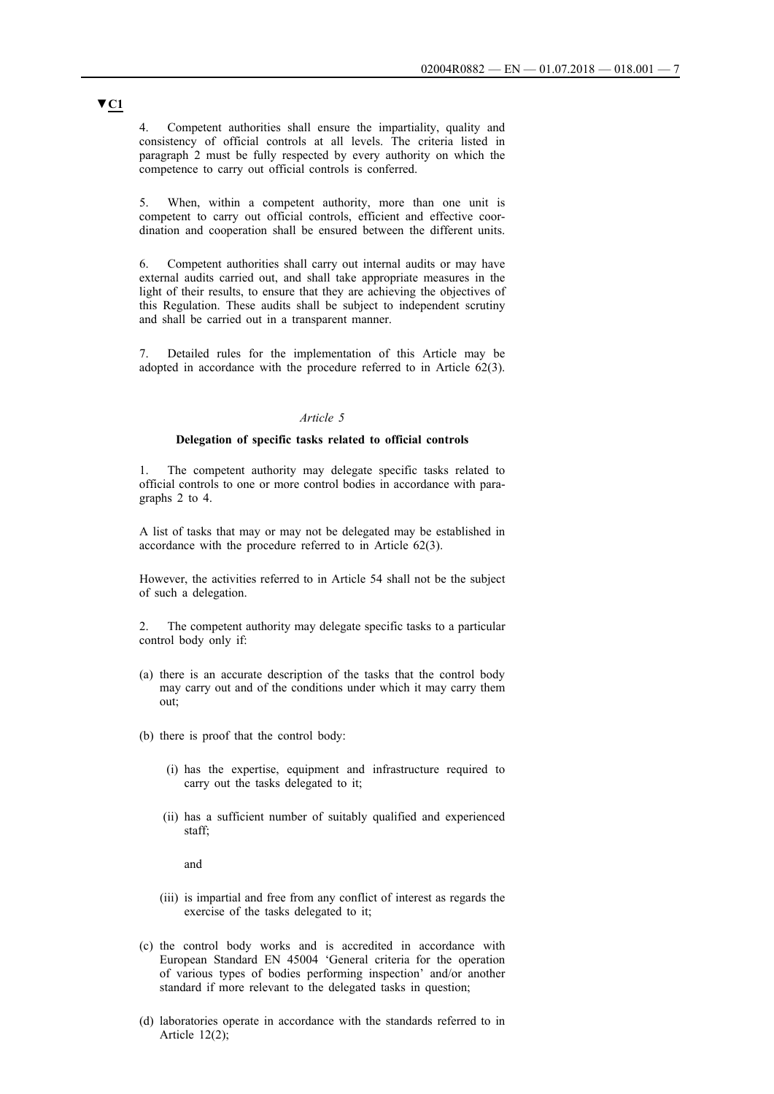4. Competent authorities shall ensure the impartiality, quality and consistency of official controls at all levels. The criteria listed in paragraph 2 must be fully respected by every authority on which the competence to carry out official controls is conferred.

5. When, within a competent authority, more than one unit is competent to carry out official controls, efficient and effective coordination and cooperation shall be ensured between the different units.

6. Competent authorities shall carry out internal audits or may have external audits carried out, and shall take appropriate measures in the light of their results, to ensure that they are achieving the objectives of this Regulation. These audits shall be subject to independent scrutiny and shall be carried out in a transparent manner.

7. Detailed rules for the implementation of this Article may be adopted in accordance with the procedure referred to in Article 62(3).

### *Article 5*

### **Delegation of specific tasks related to official controls**

The competent authority may delegate specific tasks related to official controls to one or more control bodies in accordance with paragraphs 2 to 4.

A list of tasks that may or may not be delegated may be established in accordance with the procedure referred to in Article 62(3).

However, the activities referred to in Article 54 shall not be the subject of such a delegation.

2. The competent authority may delegate specific tasks to a particular control body only if:

- (a) there is an accurate description of the tasks that the control body may carry out and of the conditions under which it may carry them out;
- (b) there is proof that the control body:
	- (i) has the expertise, equipment and infrastructure required to carry out the tasks delegated to it;
	- (ii) has a sufficient number of suitably qualified and experienced staff;

and

- (iii) is impartial and free from any conflict of interest as regards the exercise of the tasks delegated to it;
- (c) the control body works and is accredited in accordance with European Standard EN 45004 'General criteria for the operation of various types of bodies performing inspection' and/or another standard if more relevant to the delegated tasks in question;
- (d) laboratories operate in accordance with the standards referred to in Article 12(2);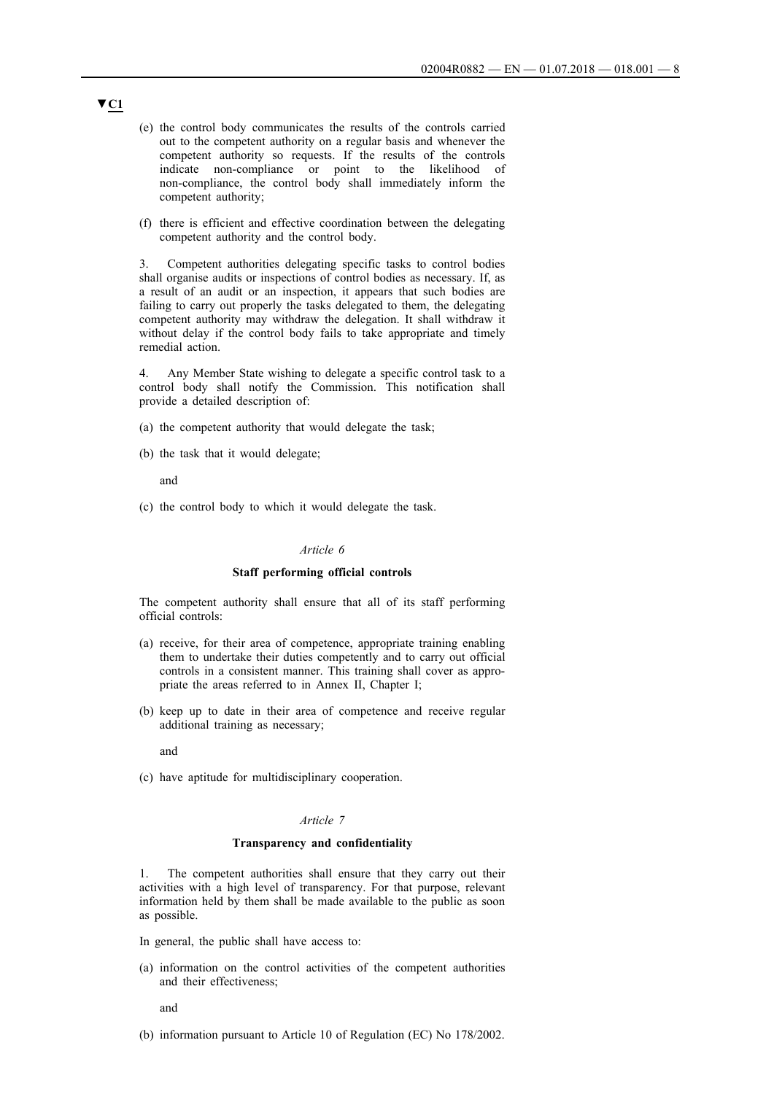- (e) the control body communicates the results of the controls carried out to the competent authority on a regular basis and whenever the competent authority so requests. If the results of the controls indicate non-compliance or point to the likelihood of non-compliance, the control body shall immediately inform the competent authority;
- (f) there is efficient and effective coordination between the delegating competent authority and the control body.

3. Competent authorities delegating specific tasks to control bodies shall organise audits or inspections of control bodies as necessary. If, as a result of an audit or an inspection, it appears that such bodies are failing to carry out properly the tasks delegated to them, the delegating competent authority may withdraw the delegation. It shall withdraw it without delay if the control body fails to take appropriate and timely remedial action.

4. Any Member State wishing to delegate a specific control task to a control body shall notify the Commission. This notification shall provide a detailed description of:

- (a) the competent authority that would delegate the task;
- (b) the task that it would delegate;

and

(c) the control body to which it would delegate the task.

#### *Article 6*

#### **Staff performing official controls**

The competent authority shall ensure that all of its staff performing official controls:

- (a) receive, for their area of competence, appropriate training enabling them to undertake their duties competently and to carry out official controls in a consistent manner. This training shall cover as appropriate the areas referred to in Annex II, Chapter I;
- (b) keep up to date in their area of competence and receive regular additional training as necessary;

and

(c) have aptitude for multidisciplinary cooperation.

#### *Article 7*

#### **Transparency and confidentiality**

1. The competent authorities shall ensure that they carry out their activities with a high level of transparency. For that purpose, relevant information held by them shall be made available to the public as soon as possible.

- In general, the public shall have access to:
- (a) information on the control activities of the competent authorities and their effectiveness;

and

(b) information pursuant to Article 10 of Regulation (EC) No 178/2002.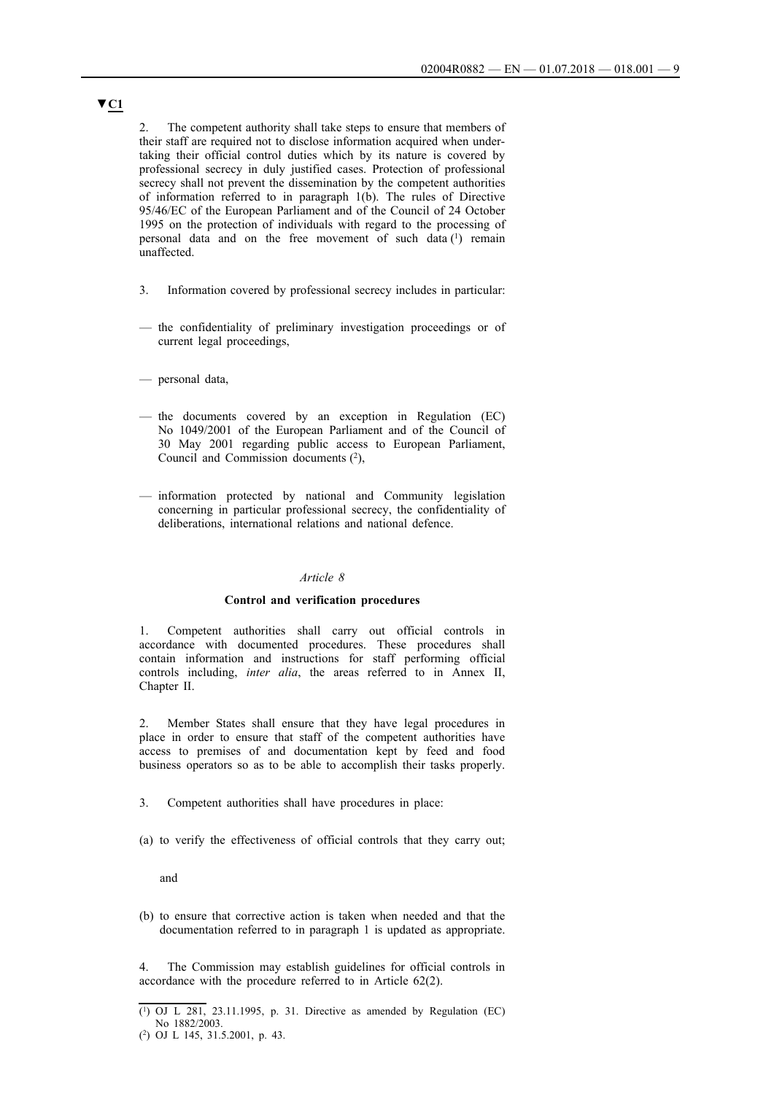2. The competent authority shall take steps to ensure that members of their staff are required not to disclose information acquired when undertaking their official control duties which by its nature is covered by professional secrecy in duly justified cases. Protection of professional secrecy shall not prevent the dissemination by the competent authorities of information referred to in paragraph 1(b). The rules of Directive 95/46/EC of the European Parliament and of the Council of 24 October 1995 on the protection of individuals with regard to the processing of personal data and on the free movement of such data (1) remain unaffected.

- 3. Information covered by professional secrecy includes in particular:
- the confidentiality of preliminary investigation proceedings or of current legal proceedings,
- personal data,
- the documents covered by an exception in Regulation (EC) No 1049/2001 of the European Parliament and of the Council of 30 May 2001 regarding public access to European Parliament, Council and Commission documents (2),
- information protected by national and Community legislation concerning in particular professional secrecy, the confidentiality of deliberations, international relations and national defence.

### *Article 8*

### **Control and verification procedures**

1. Competent authorities shall carry out official controls in accordance with documented procedures. These procedures shall contain information and instructions for staff performing official controls including, *inter alia*, the areas referred to in Annex II, Chapter II.

2. Member States shall ensure that they have legal procedures in place in order to ensure that staff of the competent authorities have access to premises of and documentation kept by feed and food business operators so as to be able to accomplish their tasks properly.

- 3. Competent authorities shall have procedures in place:
- (a) to verify the effectiveness of official controls that they carry out;

and

(b) to ensure that corrective action is taken when needed and that the documentation referred to in paragraph 1 is updated as appropriate.

4. The Commission may establish guidelines for official controls in accordance with the procedure referred to in Article 62(2).

<sup>(1)</sup> OJ L 281, 23.11.1995, p. 31. Directive as amended by Regulation (EC) No 1882/2003.

<sup>(2)</sup> OJ L 145, 31.5.2001, p. 43.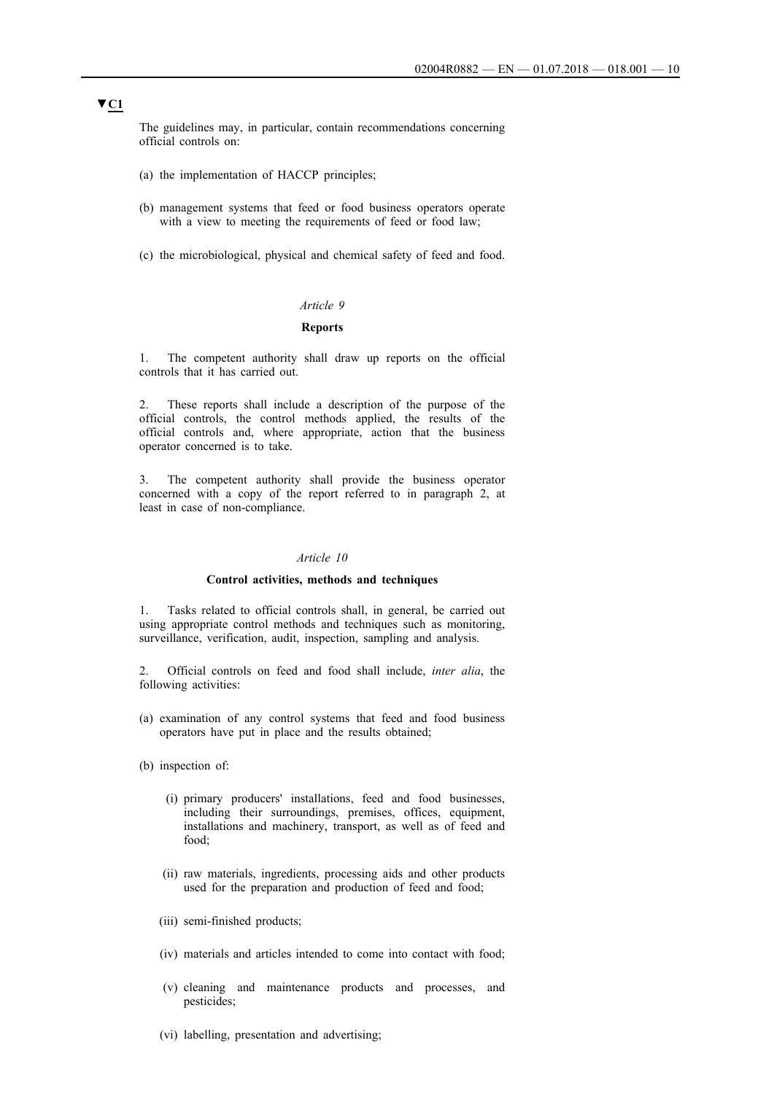The guidelines may, in particular, contain recommendations concerning official controls on:

- (a) the implementation of HACCP principles;
- (b) management systems that feed or food business operators operate with a view to meeting the requirements of feed or food law;
- (c) the microbiological, physical and chemical safety of feed and food.

### *Article 9*

#### **Reports**

1. The competent authority shall draw up reports on the official controls that it has carried out.

2. These reports shall include a description of the purpose of the official controls, the control methods applied, the results of the official controls and, where appropriate, action that the business operator concerned is to take.

3. The competent authority shall provide the business operator concerned with a copy of the report referred to in paragraph 2, at least in case of non-compliance.

#### *Article 10*

#### **Control activities, methods and techniques**

1. Tasks related to official controls shall, in general, be carried out using appropriate control methods and techniques such as monitoring, surveillance, verification, audit, inspection, sampling and analysis.

2. Official controls on feed and food shall include, *inter alia*, the following activities:

- (a) examination of any control systems that feed and food business operators have put in place and the results obtained;
- (b) inspection of:
	- (i) primary producers' installations, feed and food businesses, including their surroundings, premises, offices, equipment, installations and machinery, transport, as well as of feed and food;
	- (ii) raw materials, ingredients, processing aids and other products used for the preparation and production of feed and food;
	- (iii) semi-finished products;
	- (iv) materials and articles intended to come into contact with food;
	- (v) cleaning and maintenance products and processes, and pesticides;
	- (vi) labelling, presentation and advertising;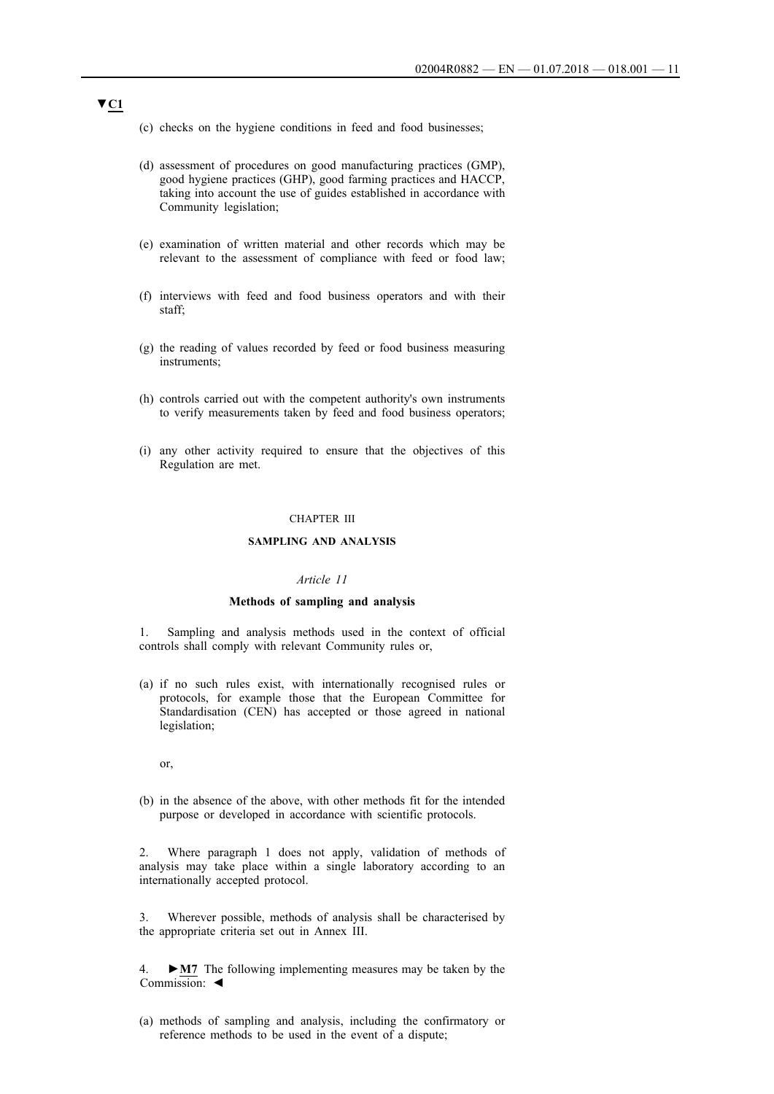- (c) checks on the hygiene conditions in feed and food businesses;
- (d) assessment of procedures on good manufacturing practices (GMP), good hygiene practices (GHP), good farming practices and HACCP, taking into account the use of guides established in accordance with Community legislation;
- (e) examination of written material and other records which may be relevant to the assessment of compliance with feed or food law;
- (f) interviews with feed and food business operators and with their staff;
- (g) the reading of values recorded by feed or food business measuring instruments;
- (h) controls carried out with the competent authority's own instruments to verify measurements taken by feed and food business operators;
- (i) any other activity required to ensure that the objectives of this Regulation are met.

### CHAPTER III

#### **SAMPLING AND ANALYSIS**

#### *Article 11*

#### **Methods of sampling and analysis**

1. Sampling and analysis methods used in the context of official controls shall comply with relevant Community rules or,

(a) if no such rules exist, with internationally recognised rules or protocols, for example those that the European Committee for Standardisation (CEN) has accepted or those agreed in national legislation;

or,

(b) in the absence of the above, with other methods fit for the intended purpose or developed in accordance with scientific protocols.

2. Where paragraph 1 does not apply, validation of methods of analysis may take place within a single laboratory according to an internationally accepted protocol.

3. Wherever possible, methods of analysis shall be characterised by the appropriate criteria set out in Annex III.

4. **►M7** The following implementing measures may be taken by the Commission: ◄

(a) methods of sampling and analysis, including the confirmatory or reference methods to be used in the event of a dispute;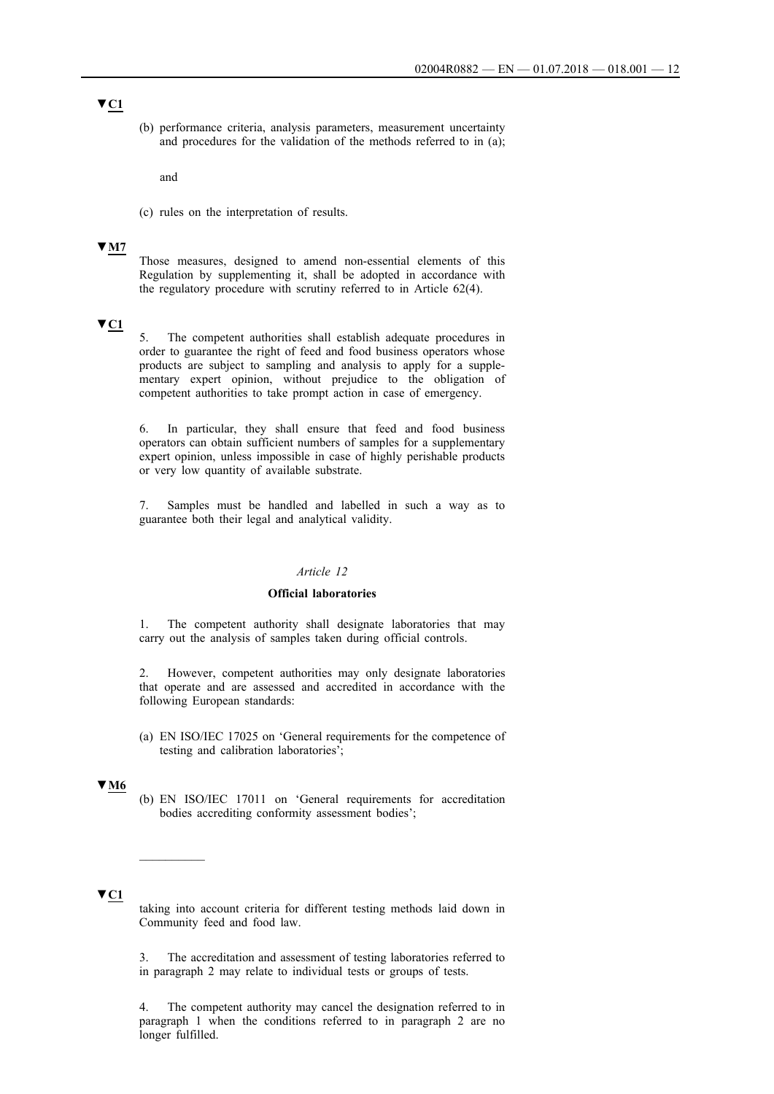(b) performance criteria, analysis parameters, measurement uncertainty and procedures for the validation of the methods referred to in (a);

and

(c) rules on the interpretation of results.

### **▼M7**

Those measures, designed to amend non-essential elements of this Regulation by supplementing it, shall be adopted in accordance with the regulatory procedure with scrutiny referred to in Article 62(4).

# **▼C1**

5. The competent authorities shall establish adequate procedures in order to guarantee the right of feed and food business operators whose products are subject to sampling and analysis to apply for a supplementary expert opinion, without prejudice to the obligation of competent authorities to take prompt action in case of emergency.

6. In particular, they shall ensure that feed and food business operators can obtain sufficient numbers of samples for a supplementary expert opinion, unless impossible in case of highly perishable products or very low quantity of available substrate.

7. Samples must be handled and labelled in such a way as to guarantee both their legal and analytical validity.

#### *Article 12*

### **Official laboratories**

1. The competent authority shall designate laboratories that may carry out the analysis of samples taken during official controls.

2. However, competent authorities may only designate laboratories that operate and are assessed and accredited in accordance with the following European standards:

(a) EN ISO/IEC 17025 on 'General requirements for the competence of testing and calibration laboratories';

### **▼M6**

(b) EN ISO/IEC 17011 on 'General requirements for accreditation bodies accrediting conformity assessment bodies';

### **▼C1**

taking into account criteria for different testing methods laid down in Community feed and food law.

3. The accreditation and assessment of testing laboratories referred to in paragraph 2 may relate to individual tests or groups of tests.

4. The competent authority may cancel the designation referred to in paragraph 1 when the conditions referred to in paragraph 2 are no longer fulfilled.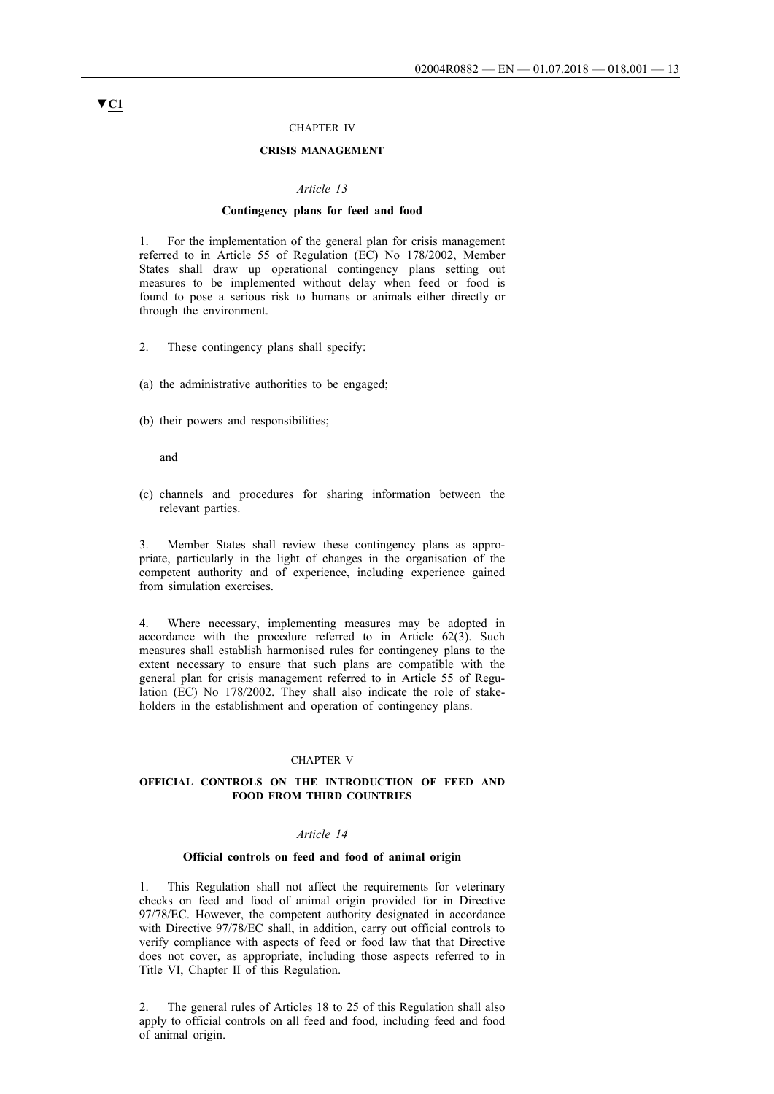### CHAPTER IV

### **CRISIS MANAGEMENT**

#### *Article 13*

#### **Contingency plans for feed and food**

1. For the implementation of the general plan for crisis management referred to in Article 55 of Regulation (EC) No 178/2002, Member States shall draw up operational contingency plans setting out measures to be implemented without delay when feed or food is found to pose a serious risk to humans or animals either directly or through the environment.

- 2. These contingency plans shall specify:
- (a) the administrative authorities to be engaged;
- (b) their powers and responsibilities;

and

(c) channels and procedures for sharing information between the relevant parties.

3. Member States shall review these contingency plans as appropriate, particularly in the light of changes in the organisation of the competent authority and of experience, including experience gained from simulation exercises.

4. Where necessary, implementing measures may be adopted in accordance with the procedure referred to in Article 62(3). Such measures shall establish harmonised rules for contingency plans to the extent necessary to ensure that such plans are compatible with the general plan for crisis management referred to in Article 55 of Regulation (EC) No 178/2002. They shall also indicate the role of stakeholders in the establishment and operation of contingency plans.

#### CHAPTER V

#### **OFFICIAL CONTROLS ON THE INTRODUCTION OF FEED AND FOOD FROM THIRD COUNTRIES**

#### *Article 14*

### **Official controls on feed and food of animal origin**

1. This Regulation shall not affect the requirements for veterinary checks on feed and food of animal origin provided for in Directive 97/78/EC. However, the competent authority designated in accordance with Directive 97/78/EC shall, in addition, carry out official controls to verify compliance with aspects of feed or food law that that Directive does not cover, as appropriate, including those aspects referred to in Title VI, Chapter II of this Regulation.

2. The general rules of Articles 18 to 25 of this Regulation shall also apply to official controls on all feed and food, including feed and food of animal origin.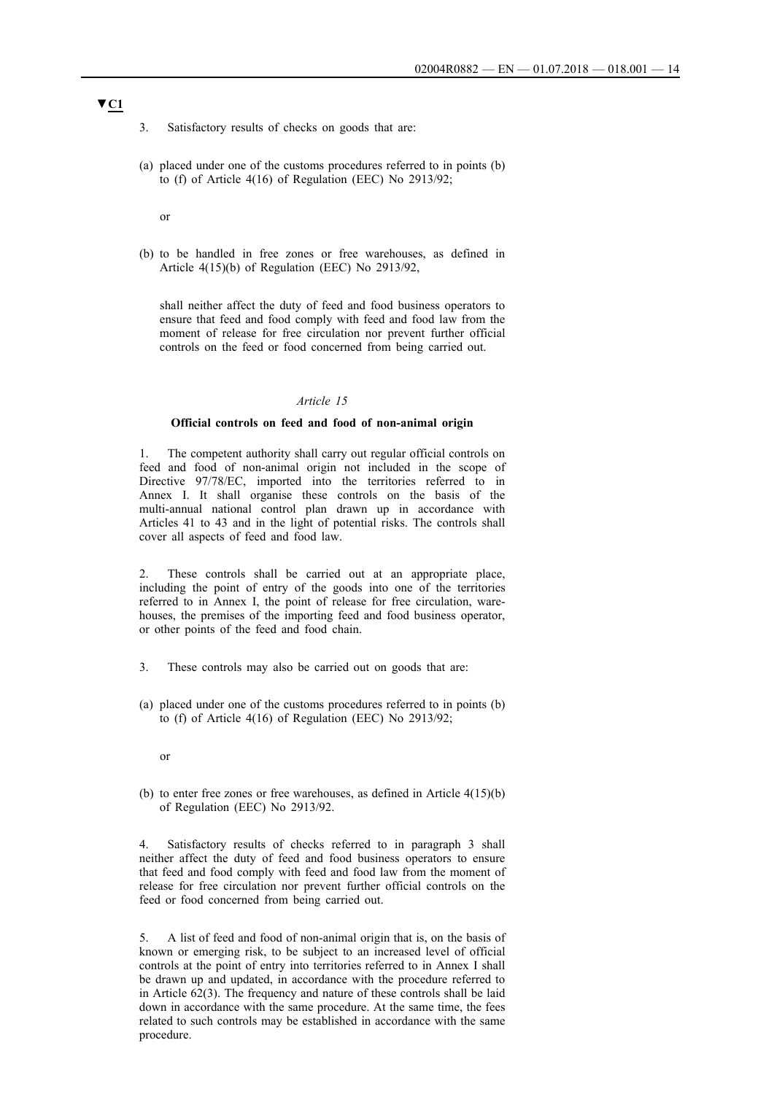- 3. Satisfactory results of checks on goods that are:
- (a) placed under one of the customs procedures referred to in points (b) to (f) of Article 4(16) of Regulation (EEC) No 2913/92;

or

(b) to be handled in free zones or free warehouses, as defined in Article 4(15)(b) of Regulation (EEC) No 2913/92,

shall neither affect the duty of feed and food business operators to ensure that feed and food comply with feed and food law from the moment of release for free circulation nor prevent further official controls on the feed or food concerned from being carried out.

### *Article 15*

#### **Official controls on feed and food of non-animal origin**

1. The competent authority shall carry out regular official controls on feed and food of non-animal origin not included in the scope of Directive 97/78/EC, imported into the territories referred to in Annex I. It shall organise these controls on the basis of the multi-annual national control plan drawn up in accordance with Articles 41 to 43 and in the light of potential risks. The controls shall cover all aspects of feed and food law.

2. These controls shall be carried out at an appropriate place, including the point of entry of the goods into one of the territories referred to in Annex I, the point of release for free circulation, warehouses, the premises of the importing feed and food business operator, or other points of the feed and food chain.

- 3. These controls may also be carried out on goods that are:
- (a) placed under one of the customs procedures referred to in points (b) to (f) of Article 4(16) of Regulation (EEC) No 2913/92;
	- or
- (b) to enter free zones or free warehouses, as defined in Article 4(15)(b) of Regulation (EEC) No 2913/92.

Satisfactory results of checks referred to in paragraph 3 shall neither affect the duty of feed and food business operators to ensure that feed and food comply with feed and food law from the moment of release for free circulation nor prevent further official controls on the feed or food concerned from being carried out.

5. A list of feed and food of non-animal origin that is, on the basis of known or emerging risk, to be subject to an increased level of official controls at the point of entry into territories referred to in Annex I shall be drawn up and updated, in accordance with the procedure referred to in Article 62(3). The frequency and nature of these controls shall be laid down in accordance with the same procedure. At the same time, the fees related to such controls may be established in accordance with the same procedure.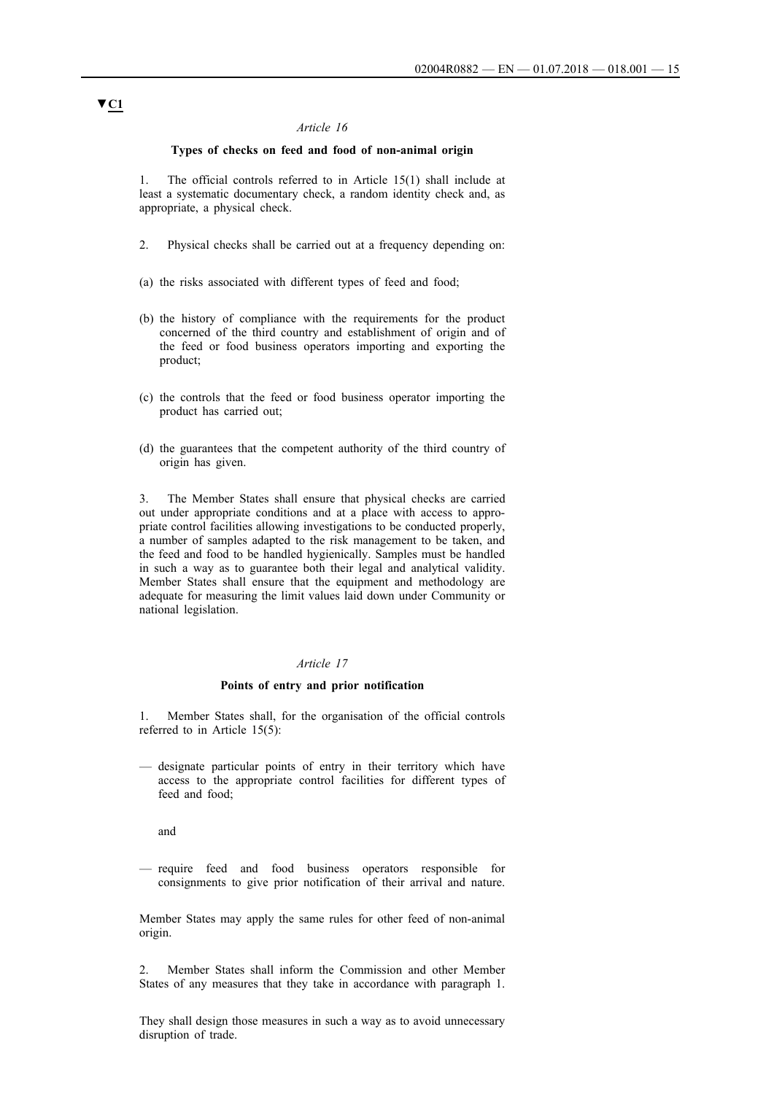### **Types of checks on feed and food of non-animal origin**

1. The official controls referred to in Article 15(1) shall include at least a systematic documentary check, a random identity check and, as appropriate, a physical check.

- 2. Physical checks shall be carried out at a frequency depending on:
- (a) the risks associated with different types of feed and food;
- (b) the history of compliance with the requirements for the product concerned of the third country and establishment of origin and of the feed or food business operators importing and exporting the product;
- (c) the controls that the feed or food business operator importing the product has carried out;
- (d) the guarantees that the competent authority of the third country of origin has given.

3. The Member States shall ensure that physical checks are carried out under appropriate conditions and at a place with access to appropriate control facilities allowing investigations to be conducted properly, a number of samples adapted to the risk management to be taken, and the feed and food to be handled hygienically. Samples must be handled in such a way as to guarantee both their legal and analytical validity. Member States shall ensure that the equipment and methodology are adequate for measuring the limit values laid down under Community or national legislation.

#### *Article 17*

#### **Points of entry and prior notification**

1. Member States shall, for the organisation of the official controls referred to in Article 15(5):

— designate particular points of entry in their territory which have access to the appropriate control facilities for different types of feed and food;

and

— require feed and food business operators responsible for consignments to give prior notification of their arrival and nature.

Member States may apply the same rules for other feed of non-animal origin.

2. Member States shall inform the Commission and other Member States of any measures that they take in accordance with paragraph 1.

They shall design those measures in such a way as to avoid unnecessary disruption of trade.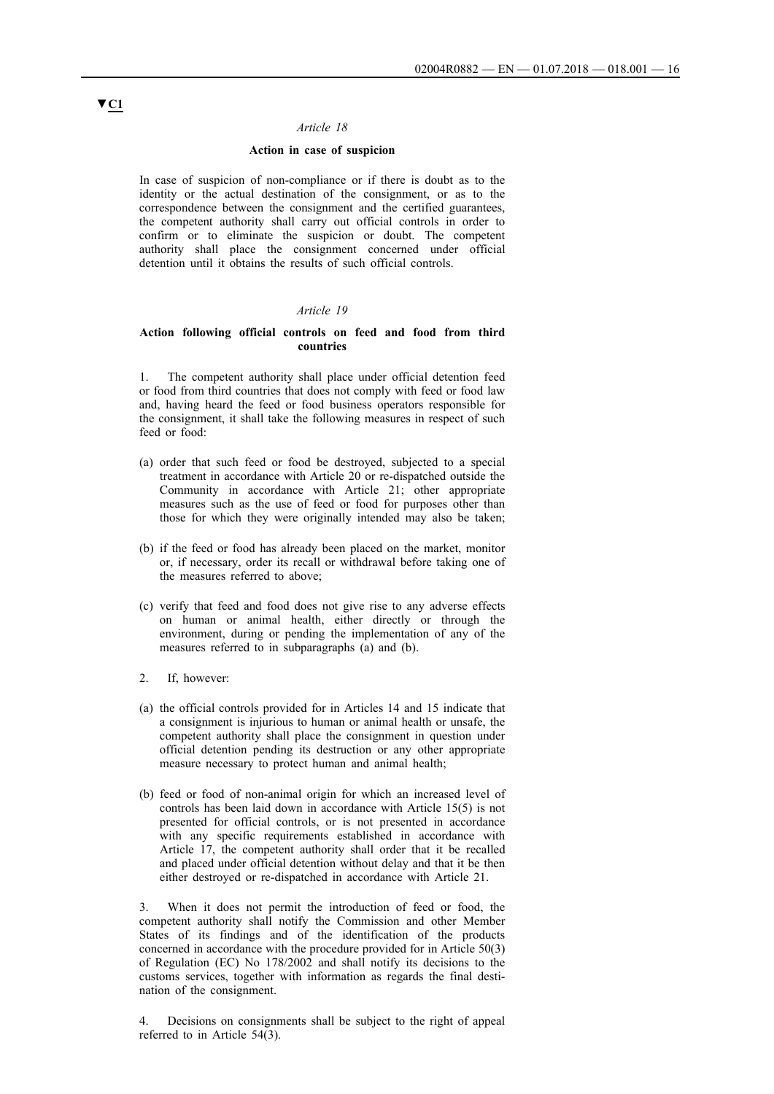### **Action in case of suspicion**

In case of suspicion of non-compliance or if there is doubt as to the identity or the actual destination of the consignment, or as to the correspondence between the consignment and the certified guarantees, the competent authority shall carry out official controls in order to confirm or to eliminate the suspicion or doubt. The competent authority shall place the consignment concerned under official detention until it obtains the results of such official controls.

### *Article 19*

### **Action following official controls on feed and food from third countries**

1. The competent authority shall place under official detention feed or food from third countries that does not comply with feed or food law and, having heard the feed or food business operators responsible for the consignment, it shall take the following measures in respect of such feed or food:

- (a) order that such feed or food be destroyed, subjected to a special treatment in accordance with Article 20 or re-dispatched outside the Community in accordance with Article 21; other appropriate measures such as the use of feed or food for purposes other than those for which they were originally intended may also be taken;
- (b) if the feed or food has already been placed on the market, monitor or, if necessary, order its recall or withdrawal before taking one of the measures referred to above;
- (c) verify that feed and food does not give rise to any adverse effects on human or animal health, either directly or through the environment, during or pending the implementation of any of the measures referred to in subparagraphs (a) and (b).
- 2. If, however:
- (a) the official controls provided for in Articles 14 and 15 indicate that a consignment is injurious to human or animal health or unsafe, the competent authority shall place the consignment in question under official detention pending its destruction or any other appropriate measure necessary to protect human and animal health;
- (b) feed or food of non-animal origin for which an increased level of controls has been laid down in accordance with Article 15(5) is not presented for official controls, or is not presented in accordance with any specific requirements established in accordance with Article 17, the competent authority shall order that it be recalled and placed under official detention without delay and that it be then either destroyed or re-dispatched in accordance with Article 21.

When it does not permit the introduction of feed or food, the competent authority shall notify the Commission and other Member States of its findings and of the identification of the products concerned in accordance with the procedure provided for in Article 50(3) of Regulation (EC) No 178/2002 and shall notify its decisions to the customs services, together with information as regards the final destination of the consignment.

4. Decisions on consignments shall be subject to the right of appeal referred to in Article 54(3).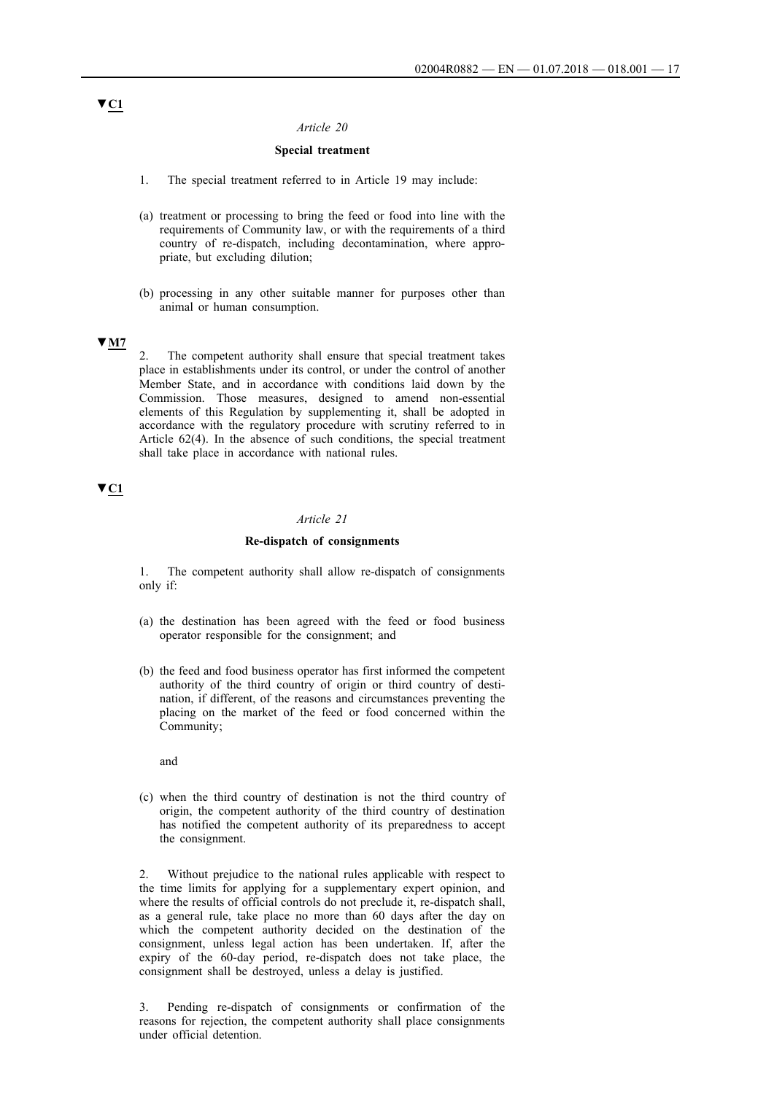### **Special treatment**

- 1. The special treatment referred to in Article 19 may include:
- (a) treatment or processing to bring the feed or food into line with the requirements of Community law, or with the requirements of a third country of re-dispatch, including decontamination, where appropriate, but excluding dilution;
- (b) processing in any other suitable manner for purposes other than animal or human consumption.

### **▼M7**

2. The competent authority shall ensure that special treatment takes place in establishments under its control, or under the control of another Member State, and in accordance with conditions laid down by the Commission. Those measures, designed to amend non-essential elements of this Regulation by supplementing it, shall be adopted in accordance with the regulatory procedure with scrutiny referred to in Article 62(4). In the absence of such conditions, the special treatment shall take place in accordance with national rules.

# **▼C1**

### *Article 21*

#### **Re-dispatch of consignments**

1. The competent authority shall allow re-dispatch of consignments only if:

- (a) the destination has been agreed with the feed or food business operator responsible for the consignment; and
- (b) the feed and food business operator has first informed the competent authority of the third country of origin or third country of destination, if different, of the reasons and circumstances preventing the placing on the market of the feed or food concerned within the Community;

and

(c) when the third country of destination is not the third country of origin, the competent authority of the third country of destination has notified the competent authority of its preparedness to accept the consignment.

Without prejudice to the national rules applicable with respect to the time limits for applying for a supplementary expert opinion, and where the results of official controls do not preclude it, re-dispatch shall, as a general rule, take place no more than 60 days after the day on which the competent authority decided on the destination of the consignment, unless legal action has been undertaken. If, after the expiry of the 60-day period, re-dispatch does not take place, the consignment shall be destroyed, unless a delay is justified.

3. Pending re-dispatch of consignments or confirmation of the reasons for rejection, the competent authority shall place consignments under official detention.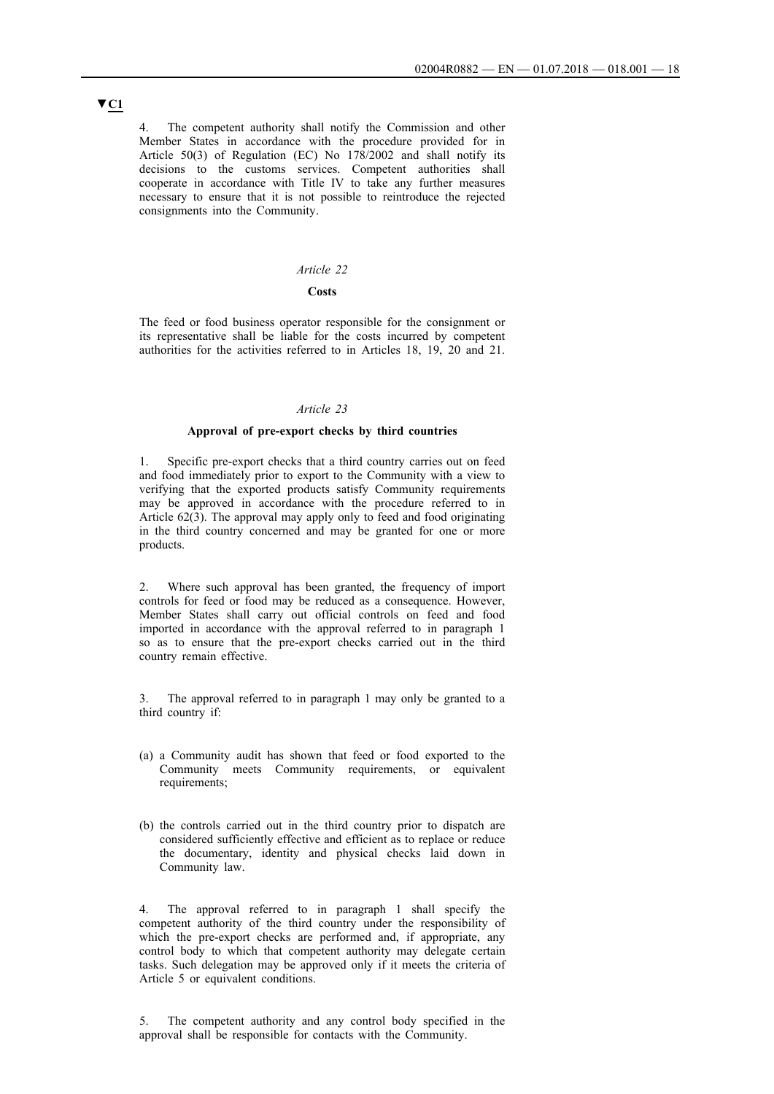4. The competent authority shall notify the Commission and other Member States in accordance with the procedure provided for in Article 50(3) of Regulation (EC) No 178/2002 and shall notify its decisions to the customs services. Competent authorities shall cooperate in accordance with Title IV to take any further measures necessary to ensure that it is not possible to reintroduce the rejected consignments into the Community.

#### *Article 22*

### **Costs**

The feed or food business operator responsible for the consignment or its representative shall be liable for the costs incurred by competent authorities for the activities referred to in Articles 18, 19, 20 and 21.

### *Article 23*

### **Approval of pre-export checks by third countries**

1. Specific pre-export checks that a third country carries out on feed and food immediately prior to export to the Community with a view to verifying that the exported products satisfy Community requirements may be approved in accordance with the procedure referred to in Article 62(3). The approval may apply only to feed and food originating in the third country concerned and may be granted for one or more products.

2. Where such approval has been granted, the frequency of import controls for feed or food may be reduced as a consequence. However, Member States shall carry out official controls on feed and food imported in accordance with the approval referred to in paragraph 1 so as to ensure that the pre-export checks carried out in the third country remain effective.

The approval referred to in paragraph 1 may only be granted to a third country if:

- (a) a Community audit has shown that feed or food exported to the Community meets Community requirements, or equivalent requirements;
- (b) the controls carried out in the third country prior to dispatch are considered sufficiently effective and efficient as to replace or reduce the documentary, identity and physical checks laid down in Community law.

4. The approval referred to in paragraph 1 shall specify the competent authority of the third country under the responsibility of which the pre-export checks are performed and, if appropriate, any control body to which that competent authority may delegate certain tasks. Such delegation may be approved only if it meets the criteria of Article 5 or equivalent conditions.

5. The competent authority and any control body specified in the approval shall be responsible for contacts with the Community.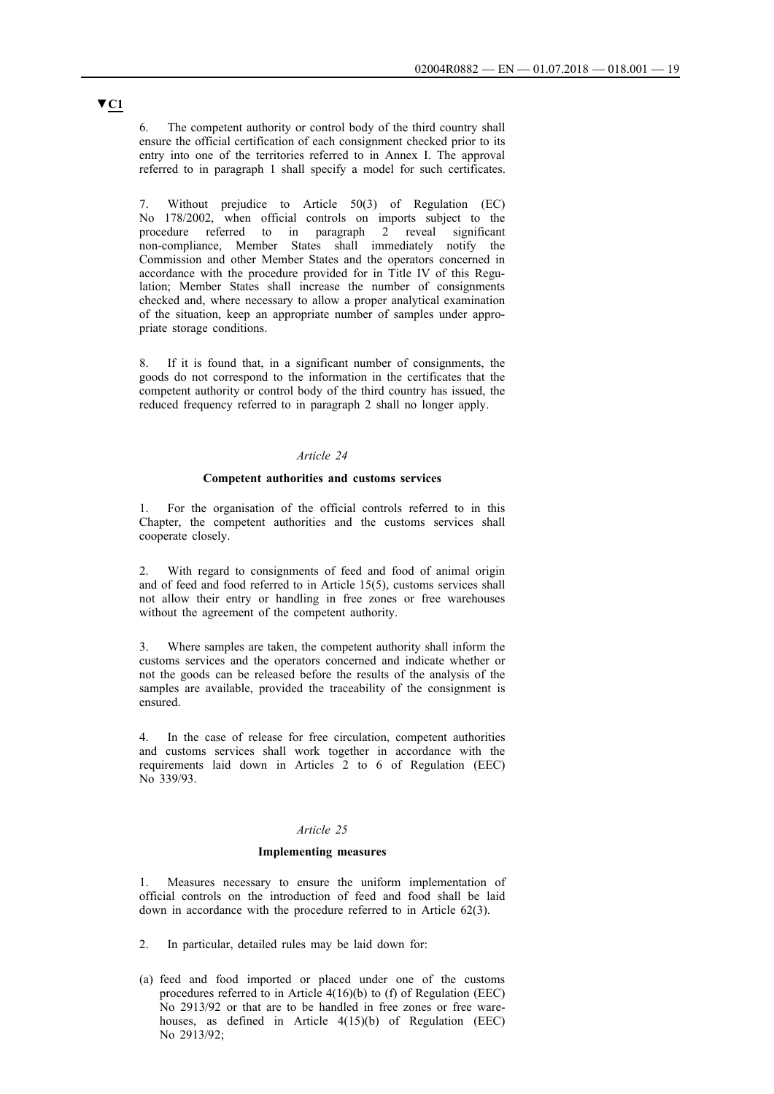6. The competent authority or control body of the third country shall ensure the official certification of each consignment checked prior to its entry into one of the territories referred to in Annex I. The approval referred to in paragraph 1 shall specify a model for such certificates.

7. Without prejudice to Article 50(3) of Regulation (EC) No 178/2002, when official controls on imports subject to the procedure referred to in paragraph 2 reveal significant non-compliance, Member States shall immediately notify the Commission and other Member States and the operators concerned in accordance with the procedure provided for in Title IV of this Regulation; Member States shall increase the number of consignments checked and, where necessary to allow a proper analytical examination of the situation, keep an appropriate number of samples under appropriate storage conditions.

8. If it is found that, in a significant number of consignments, the goods do not correspond to the information in the certificates that the competent authority or control body of the third country has issued, the reduced frequency referred to in paragraph 2 shall no longer apply.

#### *Article 24*

### **Competent authorities and customs services**

1. For the organisation of the official controls referred to in this Chapter, the competent authorities and the customs services shall cooperate closely.

2. With regard to consignments of feed and food of animal origin and of feed and food referred to in Article 15(5), customs services shall not allow their entry or handling in free zones or free warehouses without the agreement of the competent authority.

3. Where samples are taken, the competent authority shall inform the customs services and the operators concerned and indicate whether or not the goods can be released before the results of the analysis of the samples are available, provided the traceability of the consignment is ensured.

4. In the case of release for free circulation, competent authorities and customs services shall work together in accordance with the requirements laid down in Articles 2 to 6 of Regulation (EEC) No 339/93.

### *Article 25*

#### **Implementing measures**

1. Measures necessary to ensure the uniform implementation of official controls on the introduction of feed and food shall be laid down in accordance with the procedure referred to in Article 62(3).

- 2. In particular, detailed rules may be laid down for:
- (a) feed and food imported or placed under one of the customs procedures referred to in Article  $4(16)(b)$  to (f) of Regulation (EEC) No 2913/92 or that are to be handled in free zones or free warehouses, as defined in Article 4(15)(b) of Regulation (EEC) No 2913/92;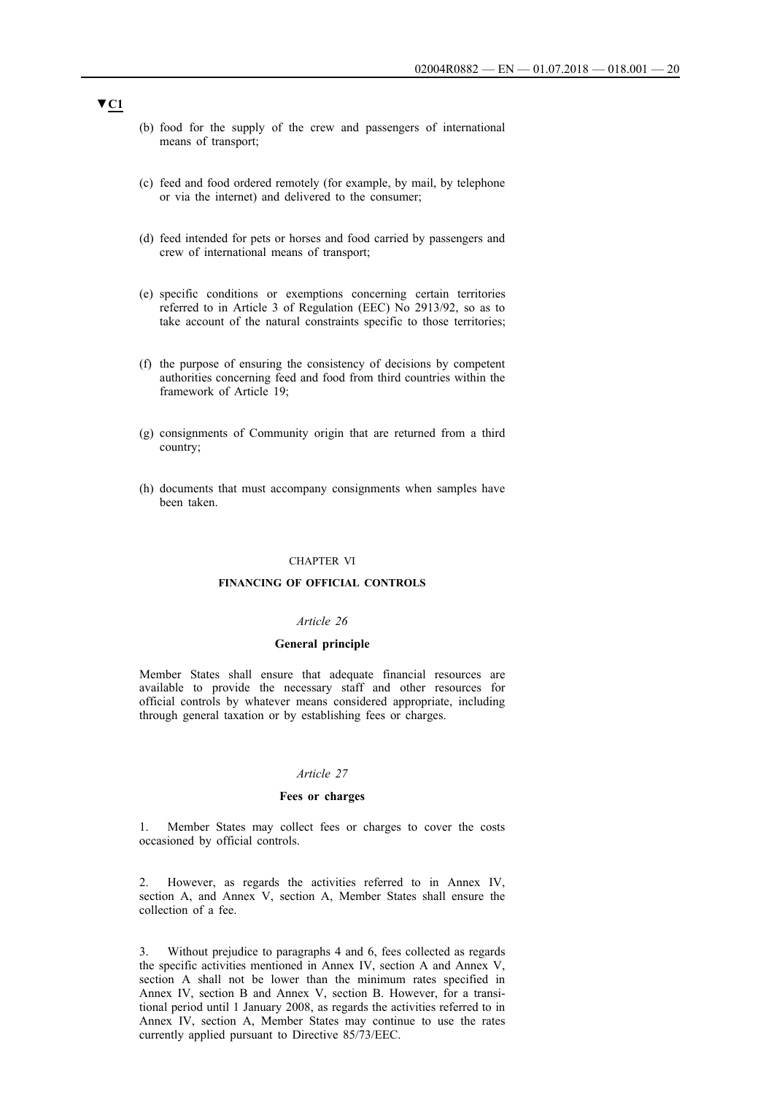- (b) food for the supply of the crew and passengers of international means of transport;
- (c) feed and food ordered remotely (for example, by mail, by telephone or via the internet) and delivered to the consumer;
- (d) feed intended for pets or horses and food carried by passengers and crew of international means of transport;
- (e) specific conditions or exemptions concerning certain territories referred to in Article 3 of Regulation (EEC) No 2913/92, so as to take account of the natural constraints specific to those territories;
- (f) the purpose of ensuring the consistency of decisions by competent authorities concerning feed and food from third countries within the framework of Article 19;
- (g) consignments of Community origin that are returned from a third country;
- (h) documents that must accompany consignments when samples have been taken.

### CHAPTER VI

#### **FINANCING OF OFFICIAL CONTROLS**

### *Article 26*

#### **General principle**

Member States shall ensure that adequate financial resources are available to provide the necessary staff and other resources for official controls by whatever means considered appropriate, including through general taxation or by establishing fees or charges.

#### *Article 27*

### **Fees or charges**

1. Member States may collect fees or charges to cover the costs occasioned by official controls.

2. However, as regards the activities referred to in Annex IV, section A, and Annex V, section A, Member States shall ensure the collection of a fee.

3. Without prejudice to paragraphs 4 and 6, fees collected as regards the specific activities mentioned in Annex IV, section A and Annex V, section A shall not be lower than the minimum rates specified in Annex IV, section B and Annex V, section B. However, for a transitional period until 1 January 2008, as regards the activities referred to in Annex IV, section A, Member States may continue to use the rates currently applied pursuant to Directive 85/73/EEC.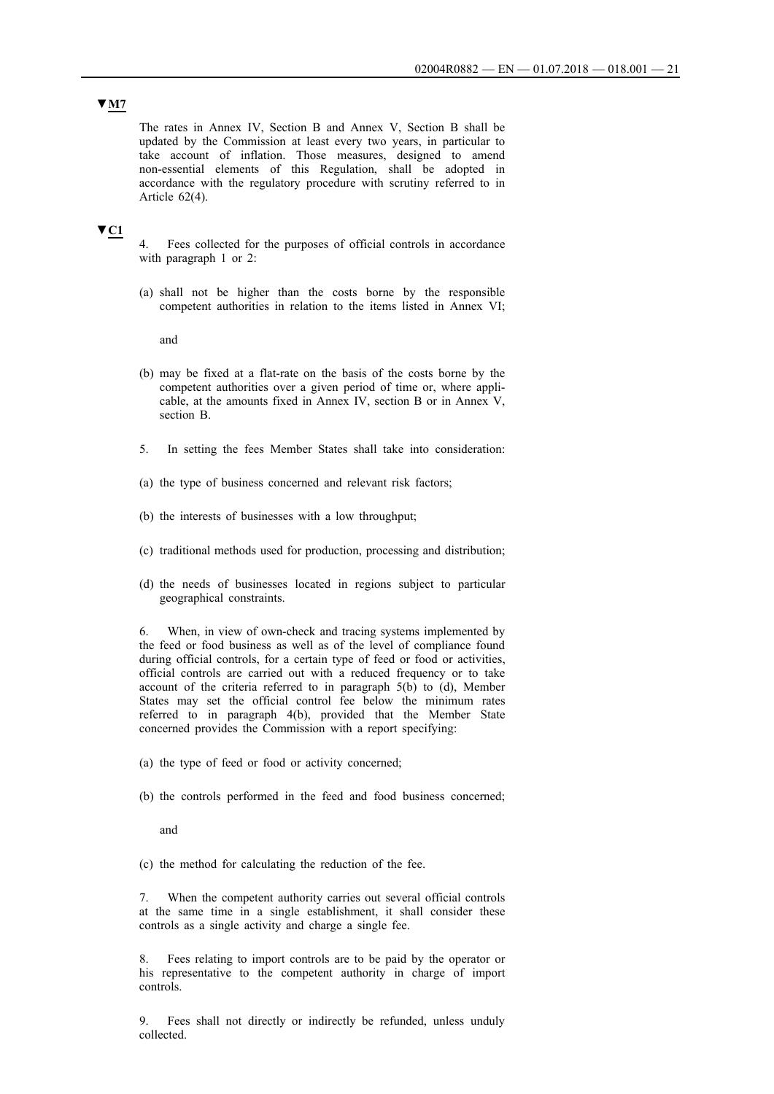# **▼M7**

The rates in Annex IV, Section B and Annex V, Section B shall be updated by the Commission at least every two years, in particular to take account of inflation. Those measures, designed to amend non-essential elements of this Regulation, shall be adopted in accordance with the regulatory procedure with scrutiny referred to in Article 62(4).

### **▼C1**

Fees collected for the purposes of official controls in accordance with paragraph 1 or 2:

(a) shall not be higher than the costs borne by the responsible competent authorities in relation to the items listed in Annex VI;

and

- (b) may be fixed at a flat-rate on the basis of the costs borne by the competent authorities over a given period of time or, where applicable, at the amounts fixed in Annex IV, section B or in Annex V, section B.
- 5. In setting the fees Member States shall take into consideration:
- (a) the type of business concerned and relevant risk factors;
- (b) the interests of businesses with a low throughput;
- (c) traditional methods used for production, processing and distribution;
- (d) the needs of businesses located in regions subject to particular geographical constraints.

6. When, in view of own-check and tracing systems implemented by the feed or food business as well as of the level of compliance found during official controls, for a certain type of feed or food or activities, official controls are carried out with a reduced frequency or to take account of the criteria referred to in paragraph 5(b) to (d), Member States may set the official control fee below the minimum rates referred to in paragraph 4(b), provided that the Member State concerned provides the Commission with a report specifying:

- (a) the type of feed or food or activity concerned;
- (b) the controls performed in the feed and food business concerned;

and

(c) the method for calculating the reduction of the fee.

7. When the competent authority carries out several official controls at the same time in a single establishment, it shall consider these controls as a single activity and charge a single fee.

8. Fees relating to import controls are to be paid by the operator or his representative to the competent authority in charge of import controls.

9. Fees shall not directly or indirectly be refunded, unless unduly collected.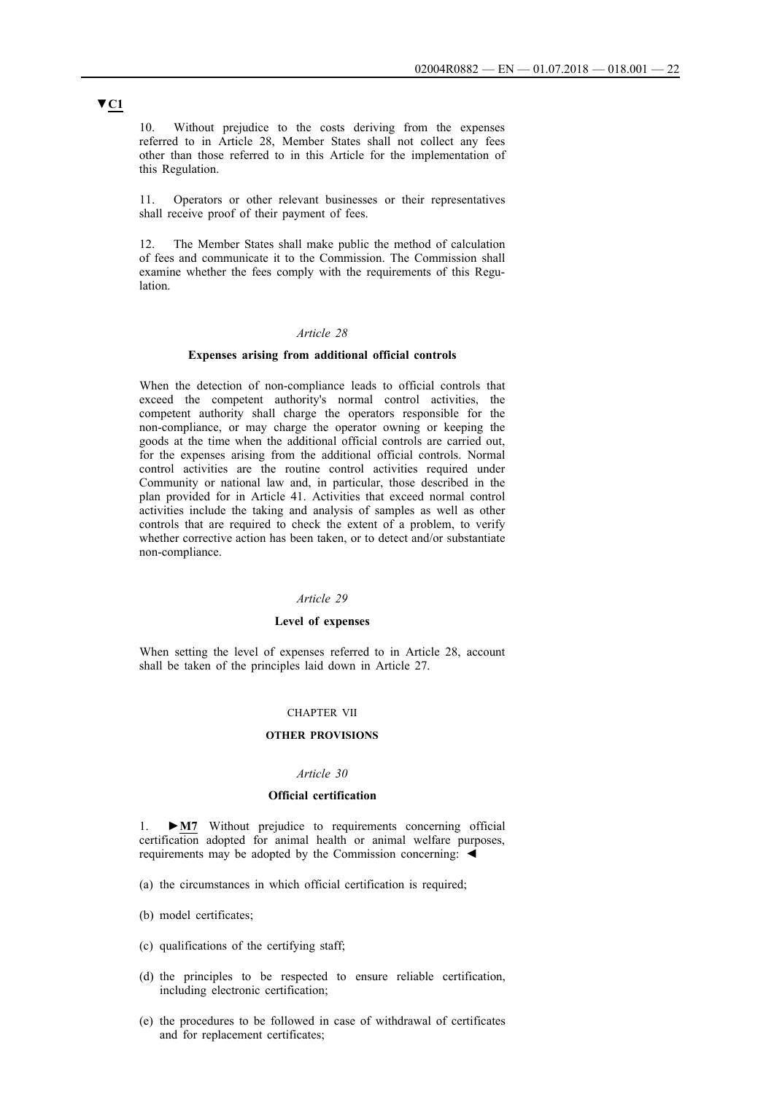10. Without prejudice to the costs deriving from the expenses referred to in Article 28, Member States shall not collect any fees other than those referred to in this Article for the implementation of this Regulation.

11. Operators or other relevant businesses or their representatives shall receive proof of their payment of fees.

12. The Member States shall make public the method of calculation of fees and communicate it to the Commission. The Commission shall examine whether the fees comply with the requirements of this Regulation.

### *Article 28*

#### **Expenses arising from additional official controls**

When the detection of non-compliance leads to official controls that exceed the competent authority's normal control activities, the competent authority shall charge the operators responsible for the non-compliance, or may charge the operator owning or keeping the goods at the time when the additional official controls are carried out, for the expenses arising from the additional official controls. Normal control activities are the routine control activities required under Community or national law and, in particular, those described in the plan provided for in Article 41. Activities that exceed normal control activities include the taking and analysis of samples as well as other controls that are required to check the extent of a problem, to verify whether corrective action has been taken, or to detect and/or substantiate non-compliance.

#### *Article 29*

### **Level of expenses**

When setting the level of expenses referred to in Article 28, account shall be taken of the principles laid down in Article 27.

#### CHAPTER VII

### **OTHER PROVISIONS**

#### *Article 30*

### **Official certification**

1. **►M7** Without prejudice to requirements concerning official certification adopted for animal health or animal welfare purposes, requirements may be adopted by the Commission concerning: ◄

- (a) the circumstances in which official certification is required;
- (b) model certificates;
- (c) qualifications of the certifying staff;
- (d) the principles to be respected to ensure reliable certification, including electronic certification;
- (e) the procedures to be followed in case of withdrawal of certificates and for replacement certificates;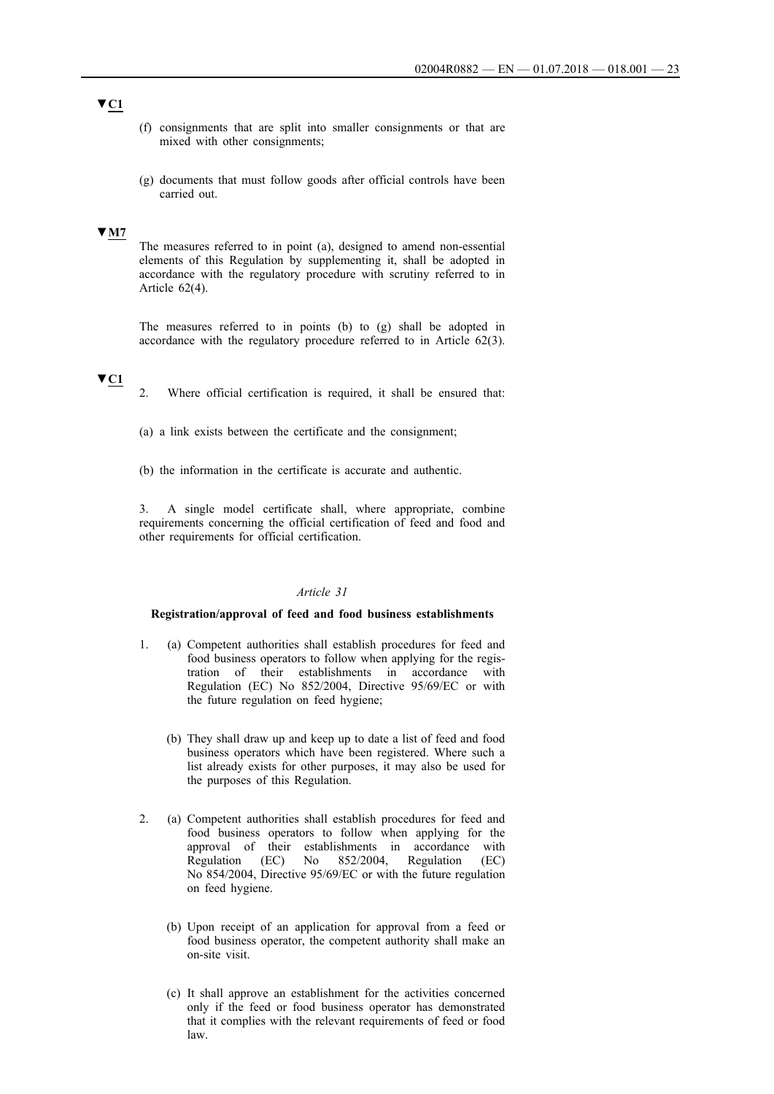- (f) consignments that are split into smaller consignments or that are mixed with other consignments;
- (g) documents that must follow goods after official controls have been carried out.

### **▼M7**

The measures referred to in point (a), designed to amend non-essential elements of this Regulation by supplementing it, shall be adopted in accordance with the regulatory procedure with scrutiny referred to in Article 62(4).

The measures referred to in points (b) to (g) shall be adopted in accordance with the regulatory procedure referred to in Article 62(3).

### **▼C1**

- 2. Where official certification is required, it shall be ensured that:
- (a) a link exists between the certificate and the consignment;
- (b) the information in the certificate is accurate and authentic.

3. A single model certificate shall, where appropriate, combine requirements concerning the official certification of feed and food and other requirements for official certification.

### *Article 31*

#### **Registration/approval of feed and food business establishments**

- 1. (a) Competent authorities shall establish procedures for feed and food business operators to follow when applying for the registration of their establishments in accordance with Regulation (EC) No 852/2004, Directive 95/69/EC or with the future regulation on feed hygiene;
	- (b) They shall draw up and keep up to date a list of feed and food business operators which have been registered. Where such a list already exists for other purposes, it may also be used for the purposes of this Regulation.
- 2. (a) Competent authorities shall establish procedures for feed and food business operators to follow when applying for the approval of their establishments in accordance with Regulation (EC) No 852/2004, Regulation (EC) No 854/2004, Directive 95/69/EC or with the future regulation on feed hygiene.
	- (b) Upon receipt of an application for approval from a feed or food business operator, the competent authority shall make an on-site visit.
	- (c) It shall approve an establishment for the activities concerned only if the feed or food business operator has demonstrated that it complies with the relevant requirements of feed or food law.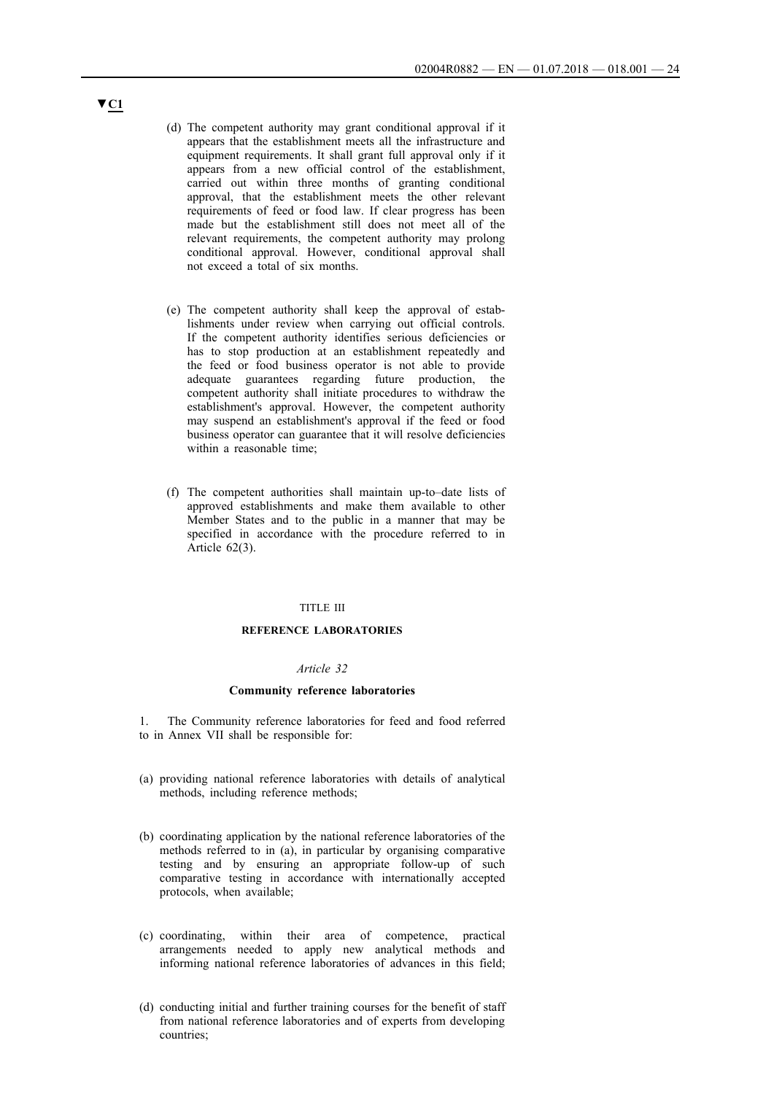- (d) The competent authority may grant conditional approval if it appears that the establishment meets all the infrastructure and equipment requirements. It shall grant full approval only if it appears from a new official control of the establishment, carried out within three months of granting conditional approval, that the establishment meets the other relevant requirements of feed or food law. If clear progress has been made but the establishment still does not meet all of the relevant requirements, the competent authority may prolong conditional approval. However, conditional approval shall not exceed a total of six months.
- (e) The competent authority shall keep the approval of establishments under review when carrying out official controls. If the competent authority identifies serious deficiencies or has to stop production at an establishment repeatedly and the feed or food business operator is not able to provide adequate guarantees regarding future production, the competent authority shall initiate procedures to withdraw the establishment's approval. However, the competent authority may suspend an establishment's approval if the feed or food business operator can guarantee that it will resolve deficiencies within a reasonable time;
- (f) The competent authorities shall maintain up-to–date lists of approved establishments and make them available to other Member States and to the public in a manner that may be specified in accordance with the procedure referred to in Article 62(3).

### TITLE III

#### **REFERENCE LABORATORIES**

#### *Article 32*

### **Community reference laboratories**

1. The Community reference laboratories for feed and food referred to in Annex VII shall be responsible for:

- (a) providing national reference laboratories with details of analytical methods, including reference methods;
- (b) coordinating application by the national reference laboratories of the methods referred to in (a), in particular by organising comparative testing and by ensuring an appropriate follow-up of such comparative testing in accordance with internationally accepted protocols, when available;
- (c) coordinating, within their area of competence, practical arrangements needed to apply new analytical methods and informing national reference laboratories of advances in this field;
- (d) conducting initial and further training courses for the benefit of staff from national reference laboratories and of experts from developing countries;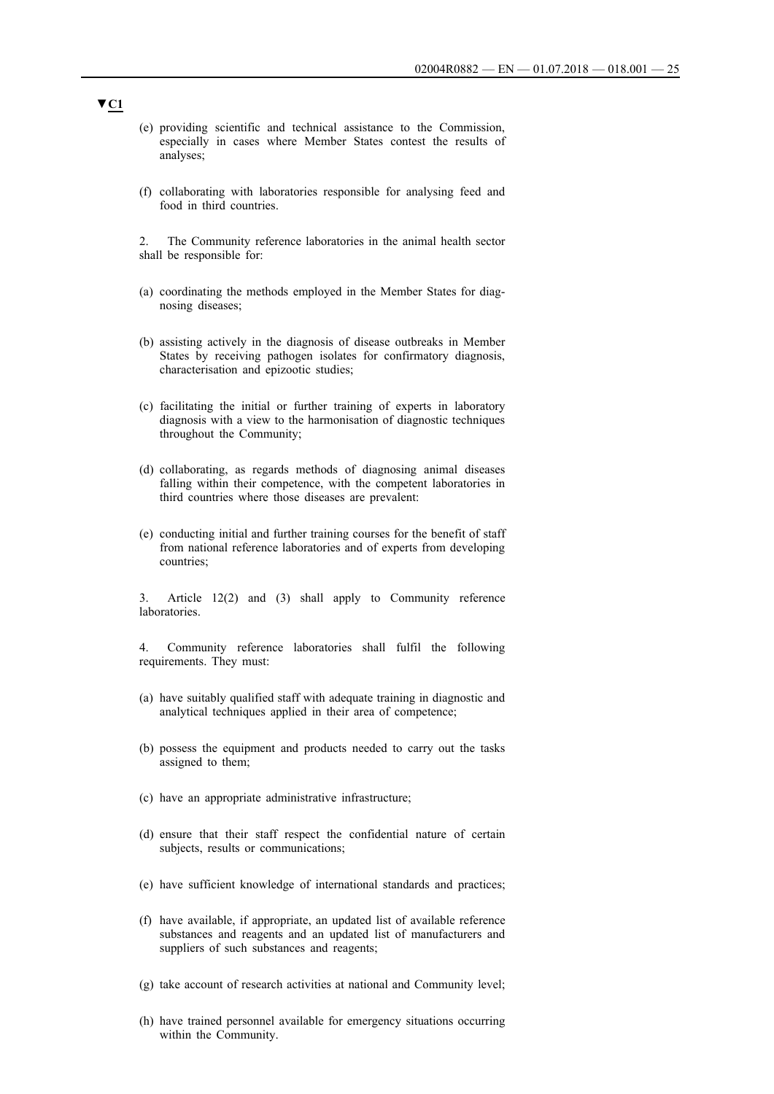- (e) providing scientific and technical assistance to the Commission, especially in cases where Member States contest the results of analyses;
- (f) collaborating with laboratories responsible for analysing feed and food in third countries.

2. The Community reference laboratories in the animal health sector shall be responsible for:

- (a) coordinating the methods employed in the Member States for diagnosing diseases;
- (b) assisting actively in the diagnosis of disease outbreaks in Member States by receiving pathogen isolates for confirmatory diagnosis, characterisation and epizootic studies;
- (c) facilitating the initial or further training of experts in laboratory diagnosis with a view to the harmonisation of diagnostic techniques throughout the Community;
- (d) collaborating, as regards methods of diagnosing animal diseases falling within their competence, with the competent laboratories in third countries where those diseases are prevalent:
- (e) conducting initial and further training courses for the benefit of staff from national reference laboratories and of experts from developing countries;

3. Article 12(2) and (3) shall apply to Community reference laboratories.

4. Community reference laboratories shall fulfil the following requirements. They must:

- (a) have suitably qualified staff with adequate training in diagnostic and analytical techniques applied in their area of competence;
- (b) possess the equipment and products needed to carry out the tasks assigned to them;
- (c) have an appropriate administrative infrastructure;
- (d) ensure that their staff respect the confidential nature of certain subjects, results or communications;
- (e) have sufficient knowledge of international standards and practices;
- (f) have available, if appropriate, an updated list of available reference substances and reagents and an updated list of manufacturers and suppliers of such substances and reagents;
- (g) take account of research activities at national and Community level;
- (h) have trained personnel available for emergency situations occurring within the Community.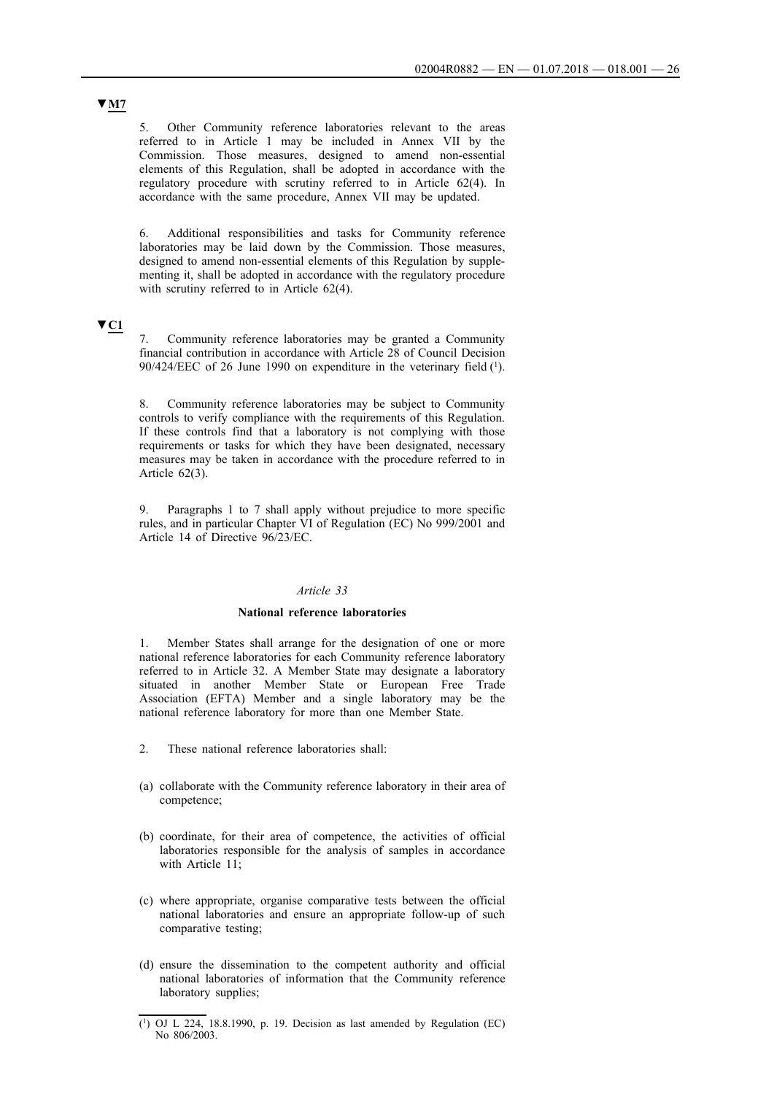5. Other Community reference laboratories relevant to the areas referred to in Article 1 may be included in Annex VII by the Commission. Those measures, designed to amend non-essential elements of this Regulation, shall be adopted in accordance with the regulatory procedure with scrutiny referred to in Article 62(4). In accordance with the same procedure, Annex VII may be updated.

6. Additional responsibilities and tasks for Community reference laboratories may be laid down by the Commission. Those measures, designed to amend non-essential elements of this Regulation by supplementing it, shall be adopted in accordance with the regulatory procedure with scrutiny referred to in Article 62(4).

# **▼C1**

7. Community reference laboratories may be granted a Community financial contribution in accordance with Article 28 of Council Decision 90/424/EEC of 26 June 1990 on expenditure in the veterinary field (1).

8. Community reference laboratories may be subject to Community controls to verify compliance with the requirements of this Regulation. If these controls find that a laboratory is not complying with those requirements or tasks for which they have been designated, necessary measures may be taken in accordance with the procedure referred to in Article 62(3).

9. Paragraphs 1 to 7 shall apply without prejudice to more specific rules, and in particular Chapter VI of Regulation (EC) No 999/2001 and Article 14 of Directive 96/23/EC.

#### *Article 33*

### **National reference laboratories**

1. Member States shall arrange for the designation of one or more national reference laboratories for each Community reference laboratory referred to in Article 32. A Member State may designate a laboratory situated in another Member State or European Free Trade Association (EFTA) Member and a single laboratory may be the national reference laboratory for more than one Member State.

- 2. These national reference laboratories shall:
- (a) collaborate with the Community reference laboratory in their area of competence;
- (b) coordinate, for their area of competence, the activities of official laboratories responsible for the analysis of samples in accordance with Article 11;
- (c) where appropriate, organise comparative tests between the official national laboratories and ensure an appropriate follow-up of such comparative testing;
- (d) ensure the dissemination to the competent authority and official national laboratories of information that the Community reference laboratory supplies;

 $(1)$  OJ L 224, 18.8.1990, p. 19. Decision as last amended by Regulation (EC) No 806/2003.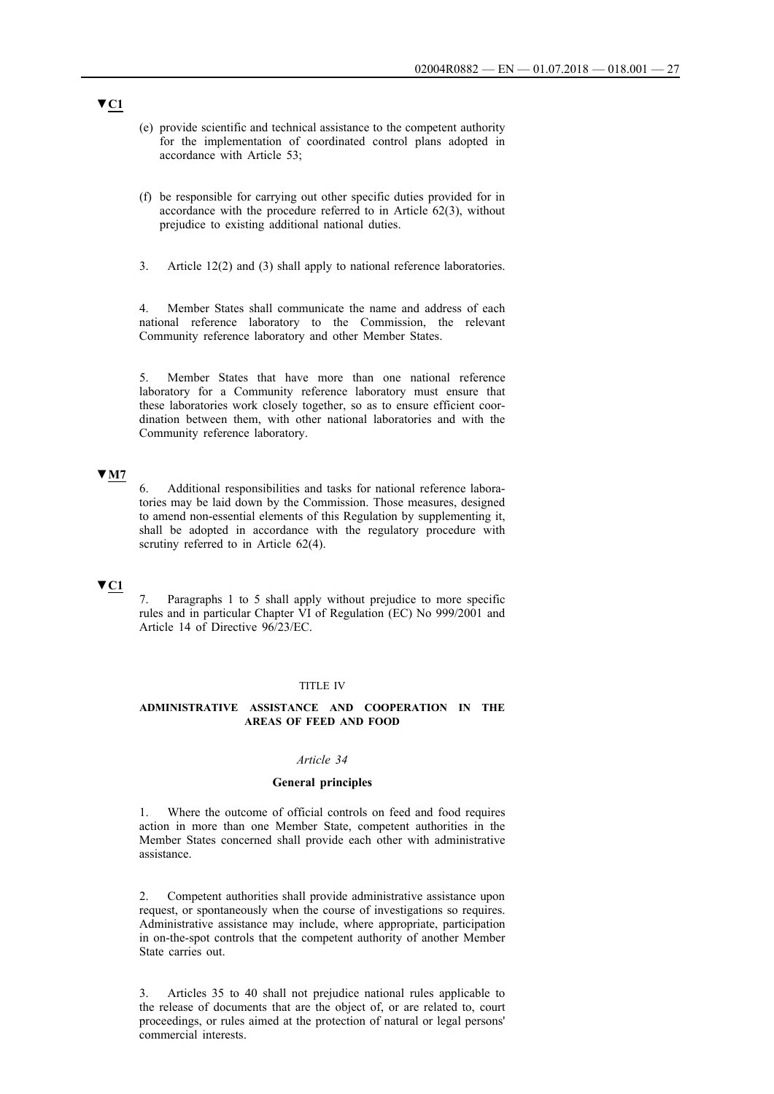- (e) provide scientific and technical assistance to the competent authority for the implementation of coordinated control plans adopted in accordance with Article 53;
- (f) be responsible for carrying out other specific duties provided for in accordance with the procedure referred to in Article 62(3), without prejudice to existing additional national duties.
- 3. Article 12(2) and (3) shall apply to national reference laboratories.

4. Member States shall communicate the name and address of each national reference laboratory to the Commission, the relevant Community reference laboratory and other Member States.

5. Member States that have more than one national reference laboratory for a Community reference laboratory must ensure that these laboratories work closely together, so as to ensure efficient coordination between them, with other national laboratories and with the Community reference laboratory.

### **▼M7**

6. Additional responsibilities and tasks for national reference laboratories may be laid down by the Commission. Those measures, designed to amend non-essential elements of this Regulation by supplementing it, shall be adopted in accordance with the regulatory procedure with scrutiny referred to in Article 62(4).

### **▼C1**

7. Paragraphs 1 to 5 shall apply without prejudice to more specific rules and in particular Chapter VI of Regulation (EC) No 999/2001 and Article 14 of Directive 96/23/EC.

#### TITLE IV

### **ADMINISTRATIVE ASSISTANCE AND COOPERATION IN THE AREAS OF FEED AND FOOD**

### *Article 34*

#### **General principles**

1. Where the outcome of official controls on feed and food requires action in more than one Member State, competent authorities in the Member States concerned shall provide each other with administrative assistance.

2. Competent authorities shall provide administrative assistance upon request, or spontaneously when the course of investigations so requires. Administrative assistance may include, where appropriate, participation in on-the-spot controls that the competent authority of another Member State carries out.

3. Articles 35 to 40 shall not prejudice national rules applicable to the release of documents that are the object of, or are related to, court proceedings, or rules aimed at the protection of natural or legal persons' commercial interests.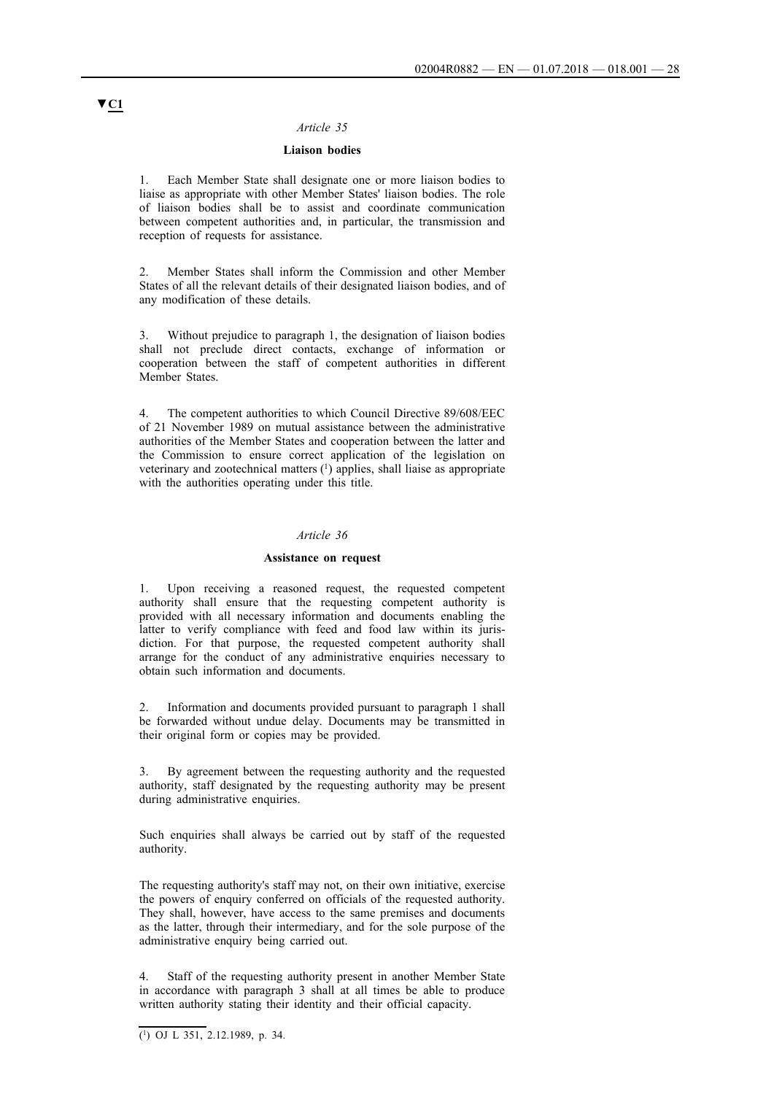### **Liaison bodies**

1. Each Member State shall designate one or more liaison bodies to liaise as appropriate with other Member States' liaison bodies. The role of liaison bodies shall be to assist and coordinate communication between competent authorities and, in particular, the transmission and reception of requests for assistance.

2. Member States shall inform the Commission and other Member States of all the relevant details of their designated liaison bodies, and of any modification of these details.

3. Without prejudice to paragraph 1, the designation of liaison bodies shall not preclude direct contacts, exchange of information or cooperation between the staff of competent authorities in different Member States.

4. The competent authorities to which Council Directive 89/608/EEC of 21 November 1989 on mutual assistance between the administrative authorities of the Member States and cooperation between the latter and the Commission to ensure correct application of the legislation on veterinary and zootechnical matters (1) applies, shall liaise as appropriate with the authorities operating under this title.

### *Article 36*

#### **Assistance on request**

1. Upon receiving a reasoned request, the requested competent authority shall ensure that the requesting competent authority is provided with all necessary information and documents enabling the latter to verify compliance with feed and food law within its jurisdiction. For that purpose, the requested competent authority shall arrange for the conduct of any administrative enquiries necessary to obtain such information and documents.

2. Information and documents provided pursuant to paragraph 1 shall be forwarded without undue delay. Documents may be transmitted in their original form or copies may be provided.

3. By agreement between the requesting authority and the requested authority, staff designated by the requesting authority may be present during administrative enquiries.

Such enquiries shall always be carried out by staff of the requested authority.

The requesting authority's staff may not, on their own initiative, exercise the powers of enquiry conferred on officials of the requested authority. They shall, however, have access to the same premises and documents as the latter, through their intermediary, and for the sole purpose of the administrative enquiry being carried out.

Staff of the requesting authority present in another Member State in accordance with paragraph 3 shall at all times be able to produce written authority stating their identity and their official capacity.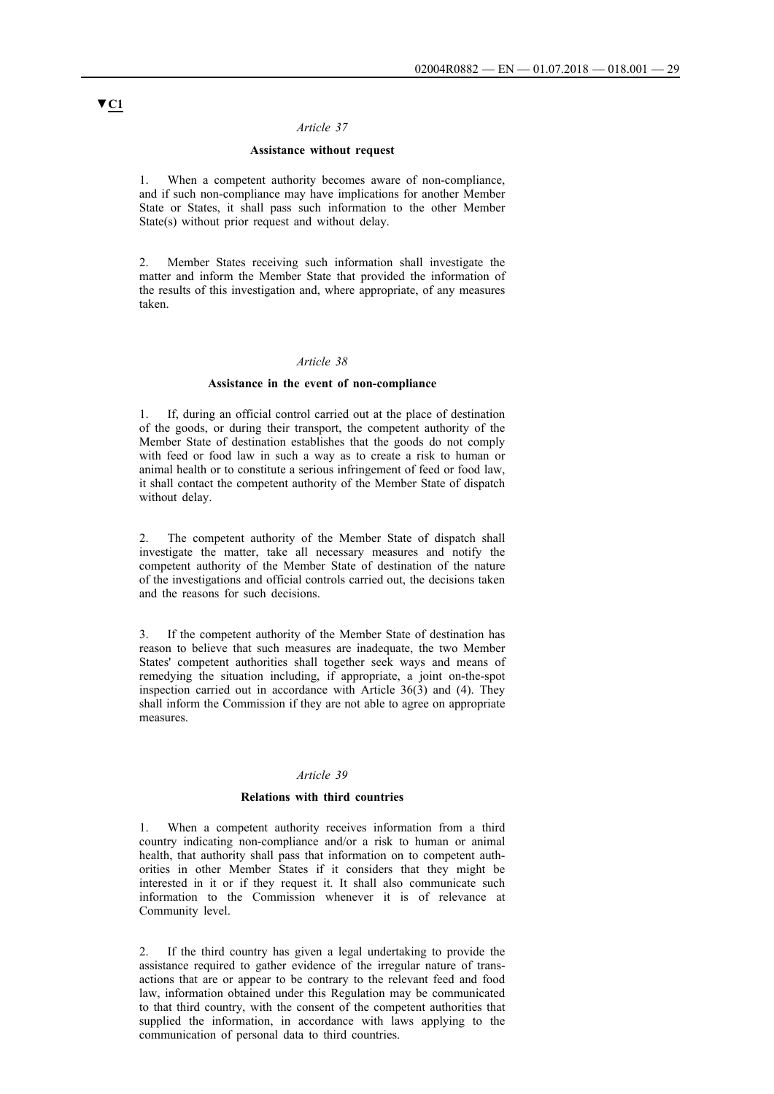### **Assistance without request**

1. When a competent authority becomes aware of non-compliance, and if such non-compliance may have implications for another Member State or States, it shall pass such information to the other Member State(s) without prior request and without delay.

2. Member States receiving such information shall investigate the matter and inform the Member State that provided the information of the results of this investigation and, where appropriate, of any measures taken.

### *Article 38*

#### **Assistance in the event of non-compliance**

If, during an official control carried out at the place of destination of the goods, or during their transport, the competent authority of the Member State of destination establishes that the goods do not comply with feed or food law in such a way as to create a risk to human or animal health or to constitute a serious infringement of feed or food law, it shall contact the competent authority of the Member State of dispatch without delay.

2. The competent authority of the Member State of dispatch shall investigate the matter, take all necessary measures and notify the competent authority of the Member State of destination of the nature of the investigations and official controls carried out, the decisions taken and the reasons for such decisions.

3. If the competent authority of the Member State of destination has reason to believe that such measures are inadequate, the two Member States' competent authorities shall together seek ways and means of remedying the situation including, if appropriate, a joint on-the-spot inspection carried out in accordance with Article  $36(3)$  and (4). They shall inform the Commission if they are not able to agree on appropriate measures.

### *Article 39*

### **Relations with third countries**

1. When a competent authority receives information from a third country indicating non-compliance and/or a risk to human or animal health, that authority shall pass that information on to competent authorities in other Member States if it considers that they might be interested in it or if they request it. It shall also communicate such information to the Commission whenever it is of relevance at Community level.

2. If the third country has given a legal undertaking to provide the assistance required to gather evidence of the irregular nature of transactions that are or appear to be contrary to the relevant feed and food law, information obtained under this Regulation may be communicated to that third country, with the consent of the competent authorities that supplied the information, in accordance with laws applying to the communication of personal data to third countries.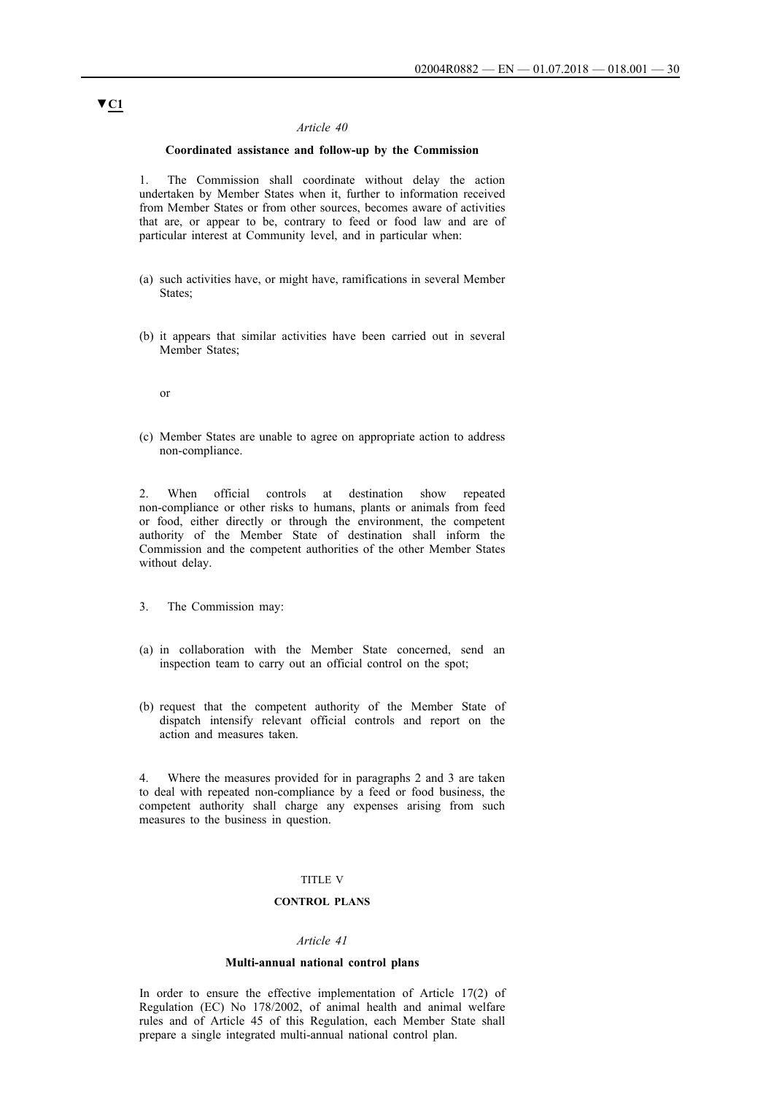### **Coordinated assistance and follow-up by the Commission**

1. The Commission shall coordinate without delay the action undertaken by Member States when it, further to information received from Member States or from other sources, becomes aware of activities that are, or appear to be, contrary to feed or food law and are of particular interest at Community level, and in particular when:

- (a) such activities have, or might have, ramifications in several Member States;
- (b) it appears that similar activities have been carried out in several Member States;

or

(c) Member States are unable to agree on appropriate action to address non-compliance.

2. When official controls at destination show repeated non-compliance or other risks to humans, plants or animals from feed or food, either directly or through the environment, the competent authority of the Member State of destination shall inform the Commission and the competent authorities of the other Member States without delay.

- 3. The Commission may:
- (a) in collaboration with the Member State concerned, send an inspection team to carry out an official control on the spot;
- (b) request that the competent authority of the Member State of dispatch intensify relevant official controls and report on the action and measures taken.

4. Where the measures provided for in paragraphs 2 and 3 are taken to deal with repeated non-compliance by a feed or food business, the competent authority shall charge any expenses arising from such measures to the business in question.

#### TITLE V

### **CONTROL PLANS**

### *Article 41*

#### **Multi-annual national control plans**

In order to ensure the effective implementation of Article 17(2) of Regulation (EC) No 178/2002, of animal health and animal welfare rules and of Article 45 of this Regulation, each Member State shall prepare a single integrated multi-annual national control plan.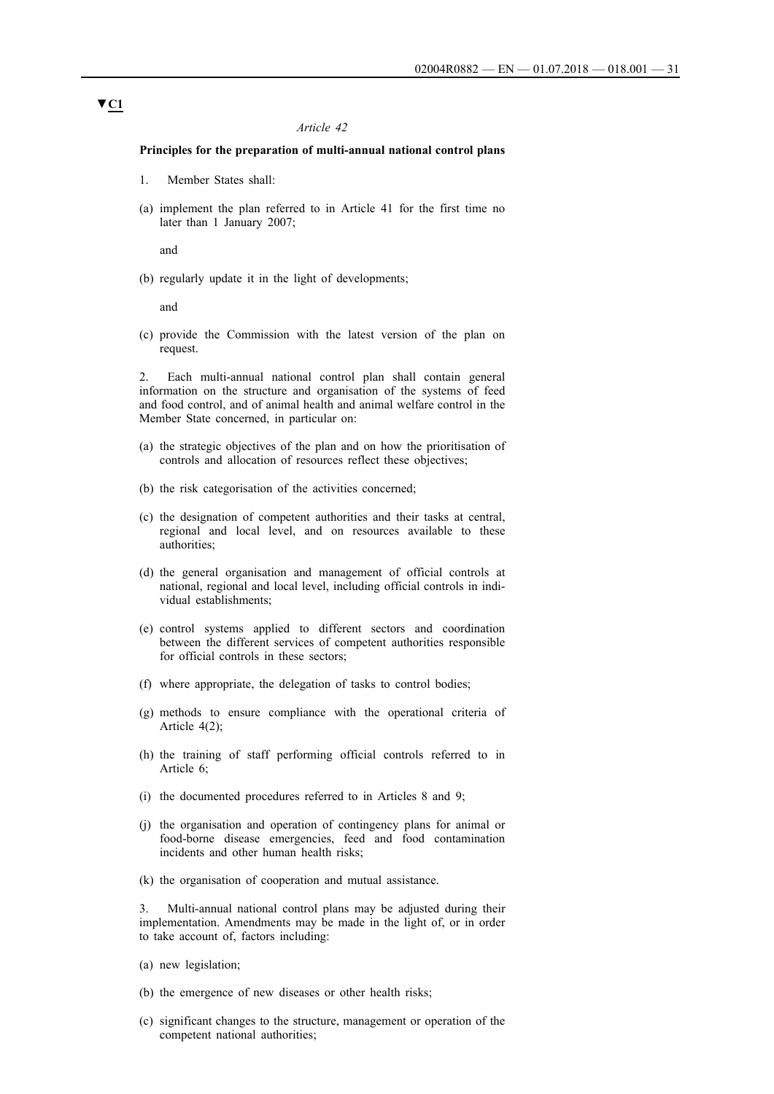### **Principles for the preparation of multi-annual national control plans**

- 1. Member States shall:
- (a) implement the plan referred to in Article 41 for the first time no later than 1 January 2007;

and

(b) regularly update it in the light of developments;

and

(c) provide the Commission with the latest version of the plan on request.

2. Each multi-annual national control plan shall contain general information on the structure and organisation of the systems of feed and food control, and of animal health and animal welfare control in the Member State concerned, in particular on:

- (a) the strategic objectives of the plan and on how the prioritisation of controls and allocation of resources reflect these objectives;
- (b) the risk categorisation of the activities concerned;
- (c) the designation of competent authorities and their tasks at central, regional and local level, and on resources available to these authorities;
- (d) the general organisation and management of official controls at national, regional and local level, including official controls in individual establishments;
- (e) control systems applied to different sectors and coordination between the different services of competent authorities responsible for official controls in these sectors;
- (f) where appropriate, the delegation of tasks to control bodies;
- (g) methods to ensure compliance with the operational criteria of Article 4(2);
- (h) the training of staff performing official controls referred to in Article 6;
- (i) the documented procedures referred to in Articles 8 and 9;
- (j) the organisation and operation of contingency plans for animal or food-borne disease emergencies, feed and food contamination incidents and other human health risks;
- (k) the organisation of cooperation and mutual assistance.

3. Multi-annual national control plans may be adjusted during their implementation. Amendments may be made in the light of, or in order to take account of, factors including:

- (a) new legislation;
- (b) the emergence of new diseases or other health risks;
- (c) significant changes to the structure, management or operation of the competent national authorities;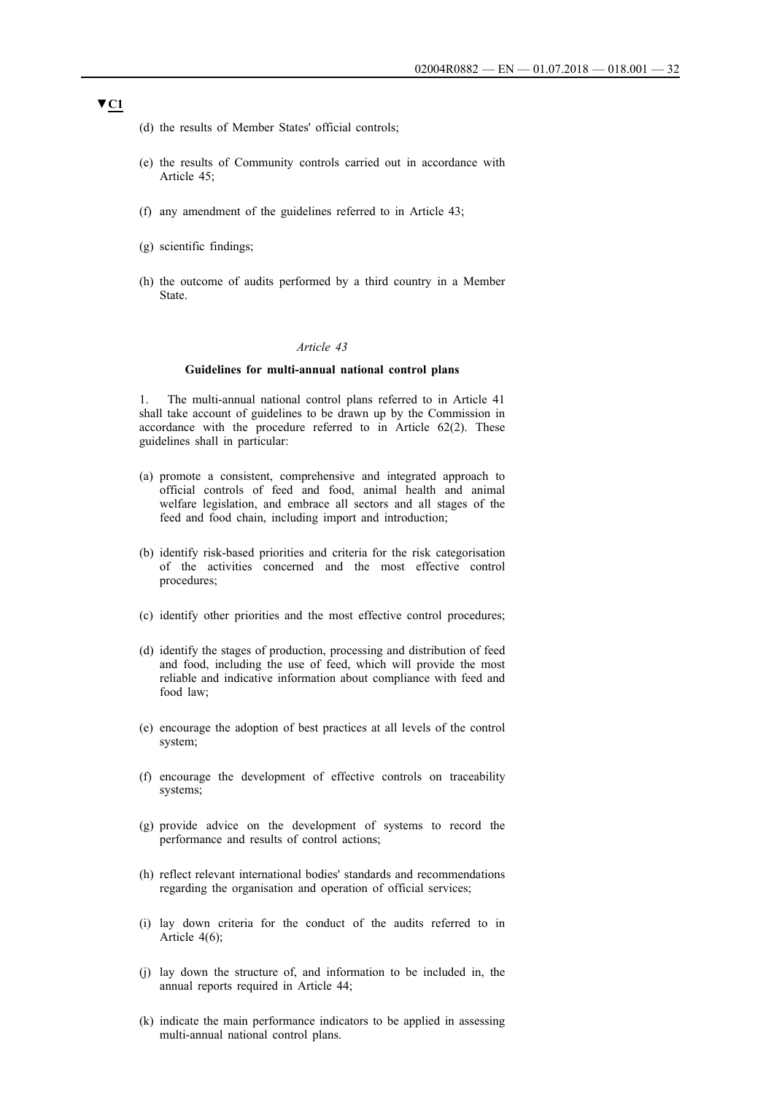- (d) the results of Member States' official controls;
- (e) the results of Community controls carried out in accordance with Article 45;
- (f) any amendment of the guidelines referred to in Article 43;
- (g) scientific findings;
- (h) the outcome of audits performed by a third country in a Member State.

#### **Guidelines for multi-annual national control plans**

1. The multi-annual national control plans referred to in Article 41 shall take account of guidelines to be drawn up by the Commission in accordance with the procedure referred to in Article 62(2). These guidelines shall in particular:

- (a) promote a consistent, comprehensive and integrated approach to official controls of feed and food, animal health and animal welfare legislation, and embrace all sectors and all stages of the feed and food chain, including import and introduction;
- (b) identify risk-based priorities and criteria for the risk categorisation of the activities concerned and the most effective control procedures;
- (c) identify other priorities and the most effective control procedures;
- (d) identify the stages of production, processing and distribution of feed and food, including the use of feed, which will provide the most reliable and indicative information about compliance with feed and food law;
- (e) encourage the adoption of best practices at all levels of the control system;
- (f) encourage the development of effective controls on traceability systems;
- (g) provide advice on the development of systems to record the performance and results of control actions;
- (h) reflect relevant international bodies' standards and recommendations regarding the organisation and operation of official services;
- (i) lay down criteria for the conduct of the audits referred to in Article 4(6);
- (j) lay down the structure of, and information to be included in, the annual reports required in Article 44;
- (k) indicate the main performance indicators to be applied in assessing multi-annual national control plans.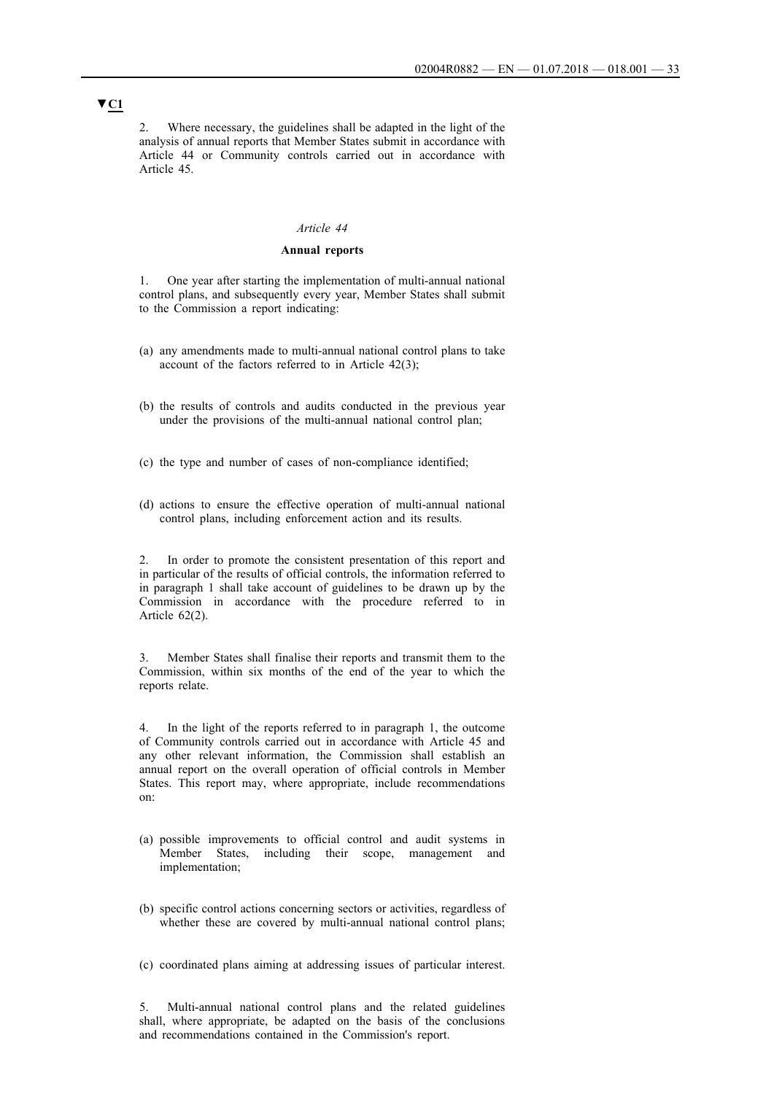2. Where necessary, the guidelines shall be adapted in the light of the analysis of annual reports that Member States submit in accordance with Article 44 or Community controls carried out in accordance with Article 45.

#### *Article 44*

### **Annual reports**

1. One year after starting the implementation of multi-annual national control plans, and subsequently every year, Member States shall submit to the Commission a report indicating:

- (a) any amendments made to multi-annual national control plans to take account of the factors referred to in Article 42(3);
- (b) the results of controls and audits conducted in the previous year under the provisions of the multi-annual national control plan;
- (c) the type and number of cases of non-compliance identified;
- (d) actions to ensure the effective operation of multi-annual national control plans, including enforcement action and its results.

2. In order to promote the consistent presentation of this report and in particular of the results of official controls, the information referred to in paragraph 1 shall take account of guidelines to be drawn up by the Commission in accordance with the procedure referred to in Article 62(2).

3. Member States shall finalise their reports and transmit them to the Commission, within six months of the end of the year to which the reports relate.

4. In the light of the reports referred to in paragraph 1, the outcome of Community controls carried out in accordance with Article 45 and any other relevant information, the Commission shall establish an annual report on the overall operation of official controls in Member States. This report may, where appropriate, include recommendations on:

- (a) possible improvements to official control and audit systems in Member States, including their scope, management and implementation;
- (b) specific control actions concerning sectors or activities, regardless of whether these are covered by multi-annual national control plans;
- (c) coordinated plans aiming at addressing issues of particular interest.

5. Multi-annual national control plans and the related guidelines shall, where appropriate, be adapted on the basis of the conclusions and recommendations contained in the Commission's report.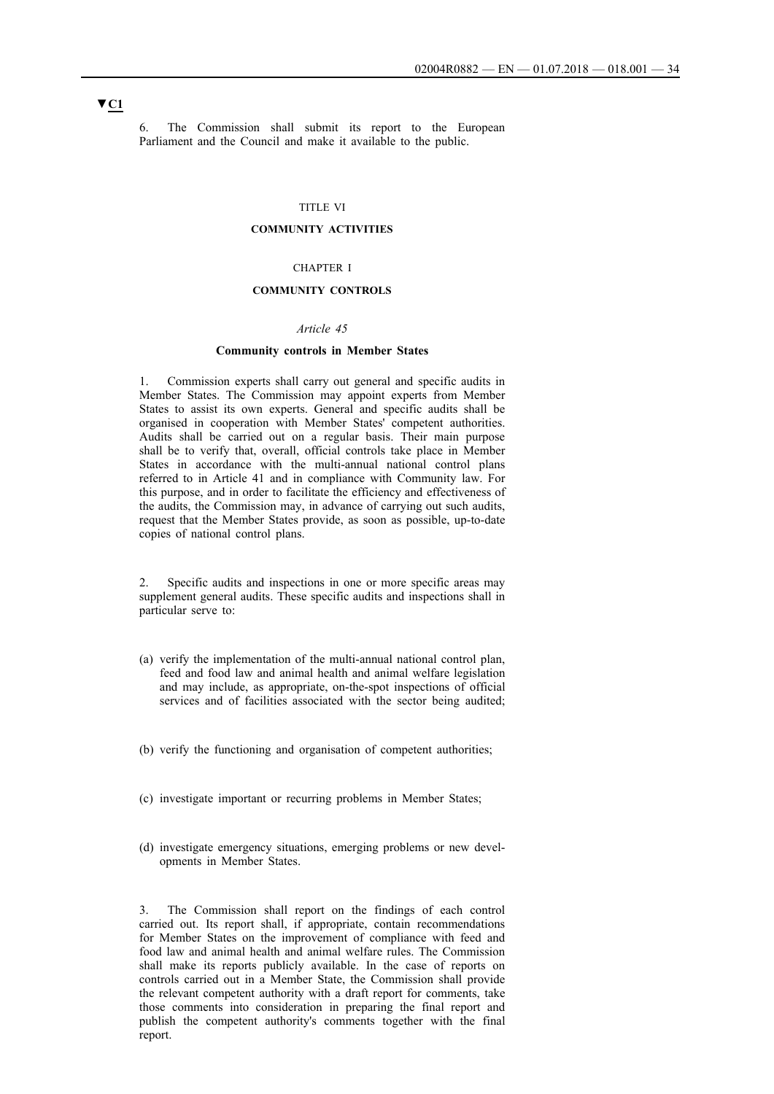6. The Commission shall submit its report to the European Parliament and the Council and make it available to the public.

### TITLE VI

#### **COMMUNITY ACTIVITIES**

### CHAPTER I

### **COMMUNITY CONTROLS**

#### *Article 45*

# **Community controls in Member States**

1. Commission experts shall carry out general and specific audits in Member States. The Commission may appoint experts from Member States to assist its own experts. General and specific audits shall be organised in cooperation with Member States' competent authorities. Audits shall be carried out on a regular basis. Their main purpose shall be to verify that, overall, official controls take place in Member States in accordance with the multi-annual national control plans referred to in Article 41 and in compliance with Community law. For this purpose, and in order to facilitate the efficiency and effectiveness of the audits, the Commission may, in advance of carrying out such audits, request that the Member States provide, as soon as possible, up-to-date copies of national control plans.

2. Specific audits and inspections in one or more specific areas may supplement general audits. These specific audits and inspections shall in particular serve to:

- (a) verify the implementation of the multi-annual national control plan, feed and food law and animal health and animal welfare legislation and may include, as appropriate, on-the-spot inspections of official services and of facilities associated with the sector being audited;
- (b) verify the functioning and organisation of competent authorities;
- (c) investigate important or recurring problems in Member States;
- (d) investigate emergency situations, emerging problems or new developments in Member States.

3. The Commission shall report on the findings of each control carried out. Its report shall, if appropriate, contain recommendations for Member States on the improvement of compliance with feed and food law and animal health and animal welfare rules. The Commission shall make its reports publicly available. In the case of reports on controls carried out in a Member State, the Commission shall provide the relevant competent authority with a draft report for comments, take those comments into consideration in preparing the final report and publish the competent authority's comments together with the final report.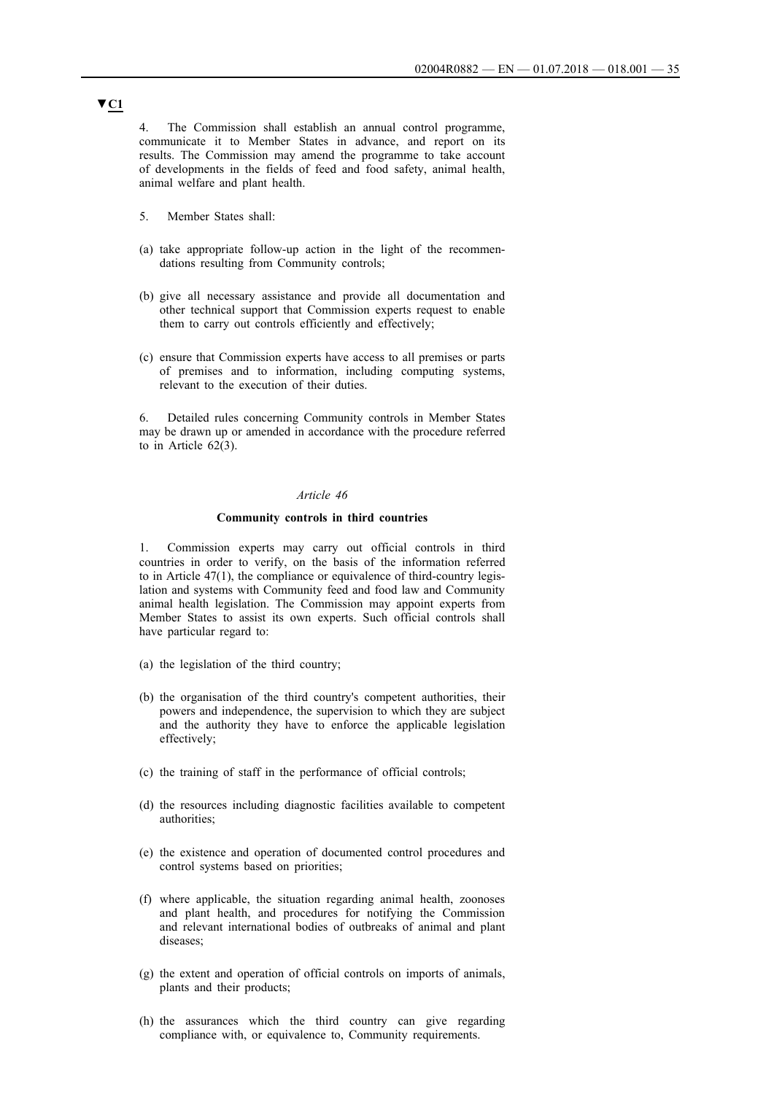4. The Commission shall establish an annual control programme, communicate it to Member States in advance, and report on its results. The Commission may amend the programme to take account of developments in the fields of feed and food safety, animal health, animal welfare and plant health.

- 5. Member States shall:
- (a) take appropriate follow-up action in the light of the recommendations resulting from Community controls;
- (b) give all necessary assistance and provide all documentation and other technical support that Commission experts request to enable them to carry out controls efficiently and effectively;
- (c) ensure that Commission experts have access to all premises or parts of premises and to information, including computing systems, relevant to the execution of their duties.

6. Detailed rules concerning Community controls in Member States may be drawn up or amended in accordance with the procedure referred to in Article 62(3).

#### *Article 46*

#### **Community controls in third countries**

1. Commission experts may carry out official controls in third countries in order to verify, on the basis of the information referred to in Article 47(1), the compliance or equivalence of third-country legislation and systems with Community feed and food law and Community animal health legislation. The Commission may appoint experts from Member States to assist its own experts. Such official controls shall have particular regard to:

- (a) the legislation of the third country;
- (b) the organisation of the third country's competent authorities, their powers and independence, the supervision to which they are subject and the authority they have to enforce the applicable legislation effectively;
- (c) the training of staff in the performance of official controls;
- (d) the resources including diagnostic facilities available to competent authorities;
- (e) the existence and operation of documented control procedures and control systems based on priorities;
- (f) where applicable, the situation regarding animal health, zoonoses and plant health, and procedures for notifying the Commission and relevant international bodies of outbreaks of animal and plant diseases;
- (g) the extent and operation of official controls on imports of animals, plants and their products;
- (h) the assurances which the third country can give regarding compliance with, or equivalence to, Community requirements.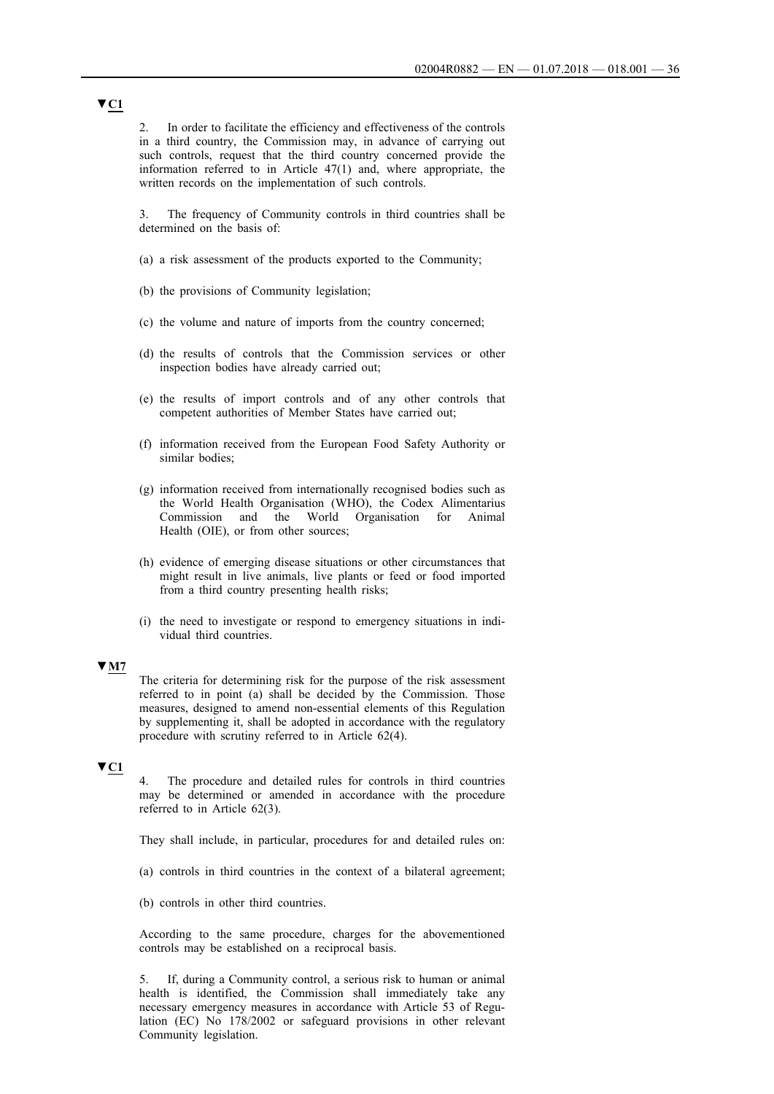2. In order to facilitate the efficiency and effectiveness of the controls in a third country, the Commission may, in advance of carrying out such controls, request that the third country concerned provide the information referred to in Article 47(1) and, where appropriate, the written records on the implementation of such controls.

3. The frequency of Community controls in third countries shall be determined on the basis of:

- (a) a risk assessment of the products exported to the Community;
- (b) the provisions of Community legislation;
- (c) the volume and nature of imports from the country concerned;
- (d) the results of controls that the Commission services or other inspection bodies have already carried out;
- (e) the results of import controls and of any other controls that competent authorities of Member States have carried out;
- (f) information received from the European Food Safety Authority or similar bodies;
- (g) information received from internationally recognised bodies such as the World Health Organisation (WHO), the Codex Alimentarius Commission and the World Organisation for Animal Health (OIE), or from other sources;
- (h) evidence of emerging disease situations or other circumstances that might result in live animals, live plants or feed or food imported from a third country presenting health risks;
- (i) the need to investigate or respond to emergency situations in individual third countries.

#### **▼M7**

The criteria for determining risk for the purpose of the risk assessment referred to in point (a) shall be decided by the Commission. Those measures, designed to amend non-essential elements of this Regulation by supplementing it, shall be adopted in accordance with the regulatory procedure with scrutiny referred to in Article 62(4).

# **▼C1**

4. The procedure and detailed rules for controls in third countries may be determined or amended in accordance with the procedure referred to in Article 62(3).

They shall include, in particular, procedures for and detailed rules on:

- (a) controls in third countries in the context of a bilateral agreement;
- (b) controls in other third countries.

According to the same procedure, charges for the abovementioned controls may be established on a reciprocal basis.

5. If, during a Community control, a serious risk to human or animal health is identified, the Commission shall immediately take any necessary emergency measures in accordance with Article 53 of Regulation (EC) No 178/2002 or safeguard provisions in other relevant Community legislation.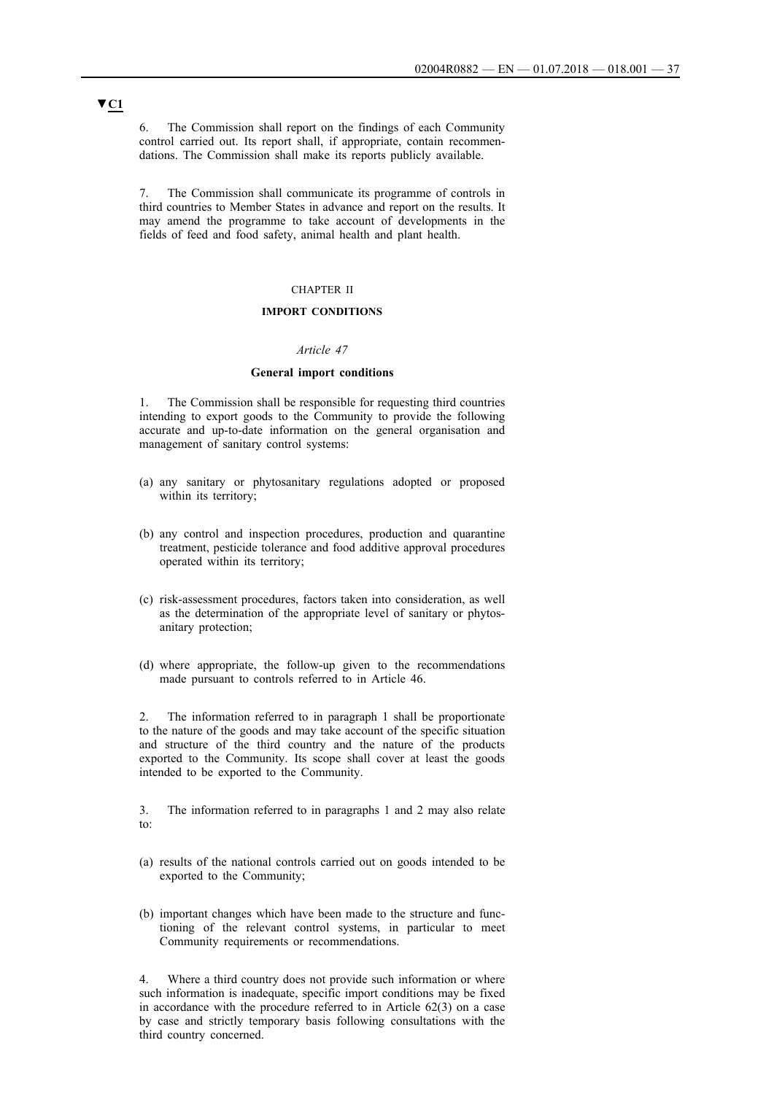6. The Commission shall report on the findings of each Community control carried out. Its report shall, if appropriate, contain recommendations. The Commission shall make its reports publicly available.

7. The Commission shall communicate its programme of controls in third countries to Member States in advance and report on the results. It may amend the programme to take account of developments in the fields of feed and food safety, animal health and plant health.

### CHAPTER II

### **IMPORT CONDITIONS**

### *Article 47*

### **General import conditions**

1. The Commission shall be responsible for requesting third countries intending to export goods to the Community to provide the following accurate and up-to-date information on the general organisation and management of sanitary control systems:

- (a) any sanitary or phytosanitary regulations adopted or proposed within its territory;
- (b) any control and inspection procedures, production and quarantine treatment, pesticide tolerance and food additive approval procedures operated within its territory;
- (c) risk-assessment procedures, factors taken into consideration, as well as the determination of the appropriate level of sanitary or phytosanitary protection;
- (d) where appropriate, the follow-up given to the recommendations made pursuant to controls referred to in Article 46.

2. The information referred to in paragraph 1 shall be proportionate to the nature of the goods and may take account of the specific situation and structure of the third country and the nature of the products exported to the Community. Its scope shall cover at least the goods intended to be exported to the Community.

3. The information referred to in paragraphs 1 and 2 may also relate to:

- (a) results of the national controls carried out on goods intended to be exported to the Community;
- (b) important changes which have been made to the structure and functioning of the relevant control systems, in particular to meet Community requirements or recommendations.

4. Where a third country does not provide such information or where such information is inadequate, specific import conditions may be fixed in accordance with the procedure referred to in Article 62(3) on a case by case and strictly temporary basis following consultations with the third country concerned.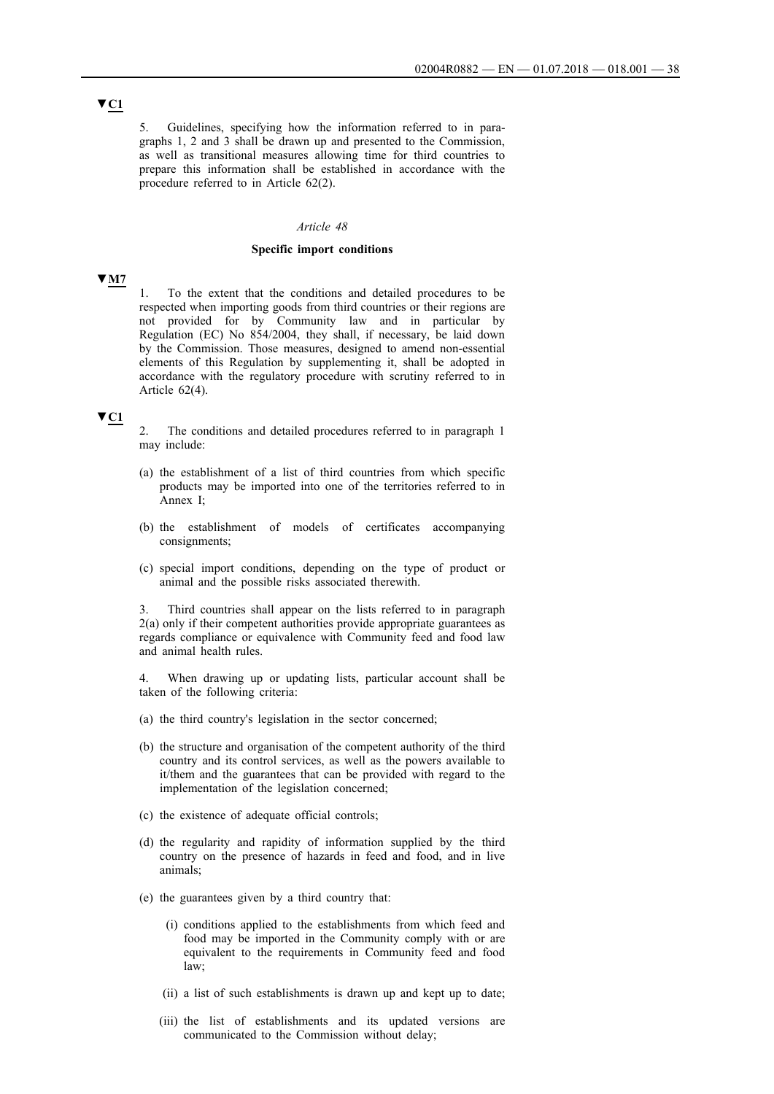5. Guidelines, specifying how the information referred to in paragraphs 1, 2 and 3 shall be drawn up and presented to the Commission, as well as transitional measures allowing time for third countries to prepare this information shall be established in accordance with the procedure referred to in Article 62(2).

#### *Article 48*

### **Specific import conditions**

# **▼M7**

1. To the extent that the conditions and detailed procedures to be respected when importing goods from third countries or their regions are not provided for by Community law and in particular by Regulation (EC) No 854/2004, they shall, if necessary, be laid down by the Commission. Those measures, designed to amend non-essential elements of this Regulation by supplementing it, shall be adopted in accordance with the regulatory procedure with scrutiny referred to in Article 62(4).

### **▼C1**

2. The conditions and detailed procedures referred to in paragraph 1 may include:

- (a) the establishment of a list of third countries from which specific products may be imported into one of the territories referred to in Annex I;
- (b) the establishment of models of certificates accompanying consignments;
- (c) special import conditions, depending on the type of product or animal and the possible risks associated therewith.

Third countries shall appear on the lists referred to in paragraph 2(a) only if their competent authorities provide appropriate guarantees as regards compliance or equivalence with Community feed and food law and animal health rules.

4. When drawing up or updating lists, particular account shall be taken of the following criteria:

- (a) the third country's legislation in the sector concerned;
- (b) the structure and organisation of the competent authority of the third country and its control services, as well as the powers available to it/them and the guarantees that can be provided with regard to the implementation of the legislation concerned;
- (c) the existence of adequate official controls;
- (d) the regularity and rapidity of information supplied by the third country on the presence of hazards in feed and food, and in live animals;
- (e) the guarantees given by a third country that:
	- (i) conditions applied to the establishments from which feed and food may be imported in the Community comply with or are equivalent to the requirements in Community feed and food law;
	- (ii) a list of such establishments is drawn up and kept up to date;
	- (iii) the list of establishments and its updated versions are communicated to the Commission without delay;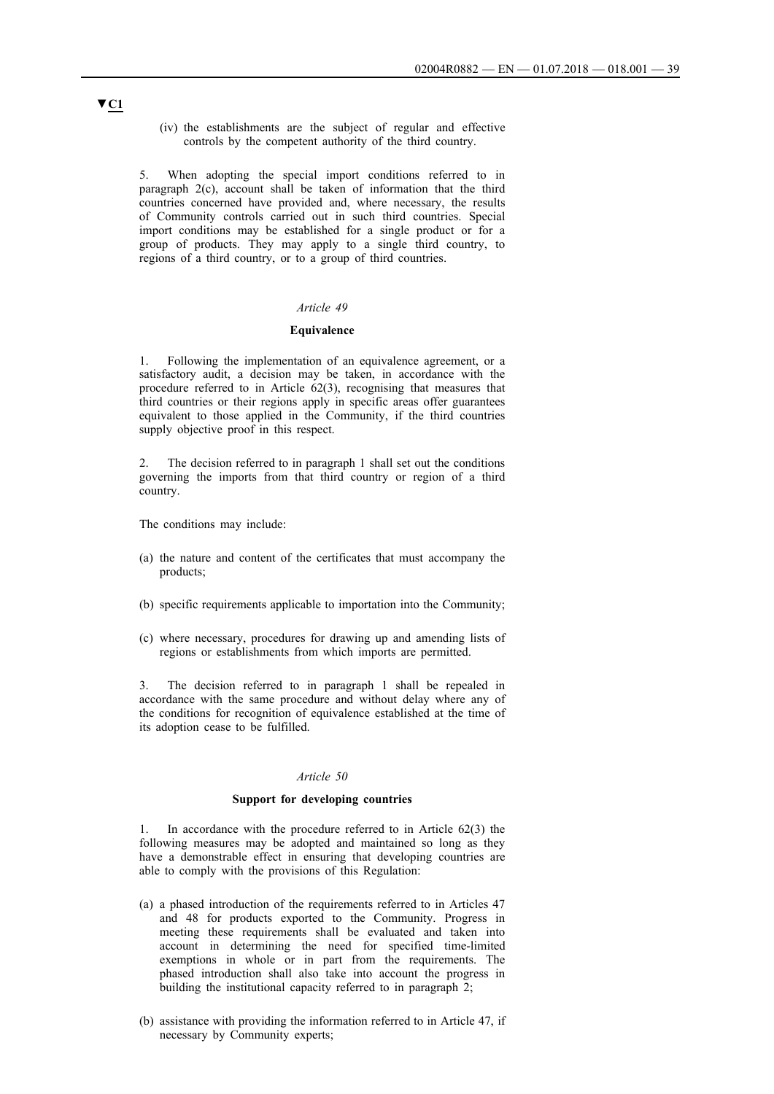(iv) the establishments are the subject of regular and effective controls by the competent authority of the third country.

5. When adopting the special import conditions referred to in paragraph 2(c), account shall be taken of information that the third countries concerned have provided and, where necessary, the results of Community controls carried out in such third countries. Special import conditions may be established for a single product or for a group of products. They may apply to a single third country, to regions of a third country, or to a group of third countries.

### *Article 49*

#### **Equivalence**

1. Following the implementation of an equivalence agreement, or a satisfactory audit, a decision may be taken, in accordance with the procedure referred to in Article 62(3), recognising that measures that third countries or their regions apply in specific areas offer guarantees equivalent to those applied in the Community, if the third countries supply objective proof in this respect.

2. The decision referred to in paragraph 1 shall set out the conditions governing the imports from that third country or region of a third country.

The conditions may include:

- (a) the nature and content of the certificates that must accompany the products;
- (b) specific requirements applicable to importation into the Community;
- (c) where necessary, procedures for drawing up and amending lists of regions or establishments from which imports are permitted.

3. The decision referred to in paragraph 1 shall be repealed in accordance with the same procedure and without delay where any of the conditions for recognition of equivalence established at the time of its adoption cease to be fulfilled.

#### *Article 50*

### **Support for developing countries**

1. In accordance with the procedure referred to in Article 62(3) the following measures may be adopted and maintained so long as they have a demonstrable effect in ensuring that developing countries are able to comply with the provisions of this Regulation:

- (a) a phased introduction of the requirements referred to in Articles 47 and 48 for products exported to the Community. Progress in meeting these requirements shall be evaluated and taken into account in determining the need for specified time-limited exemptions in whole or in part from the requirements. The phased introduction shall also take into account the progress in building the institutional capacity referred to in paragraph 2;
- (b) assistance with providing the information referred to in Article 47, if necessary by Community experts;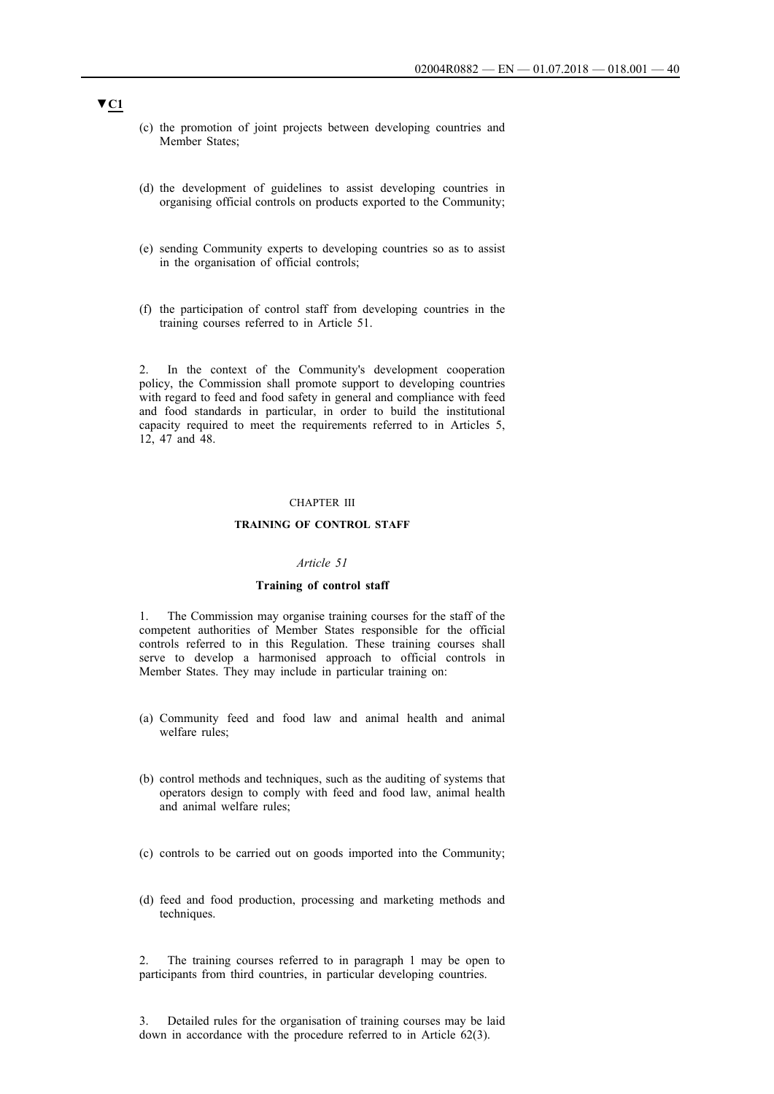- (c) the promotion of joint projects between developing countries and Member States;
- (d) the development of guidelines to assist developing countries in organising official controls on products exported to the Community;
- (e) sending Community experts to developing countries so as to assist in the organisation of official controls;
- (f) the participation of control staff from developing countries in the training courses referred to in Article 51.

2. In the context of the Community's development cooperation policy, the Commission shall promote support to developing countries with regard to feed and food safety in general and compliance with feed and food standards in particular, in order to build the institutional capacity required to meet the requirements referred to in Articles 5, 12, 47 and 48.

#### CHAPTER III

### **TRAINING OF CONTROL STAFF**

### *Article 51*

#### **Training of control staff**

1. The Commission may organise training courses for the staff of the competent authorities of Member States responsible for the official controls referred to in this Regulation. These training courses shall serve to develop a harmonised approach to official controls in Member States. They may include in particular training on:

- (a) Community feed and food law and animal health and animal welfare rules;
- (b) control methods and techniques, such as the auditing of systems that operators design to comply with feed and food law, animal health and animal welfare rules;
- (c) controls to be carried out on goods imported into the Community;
- (d) feed and food production, processing and marketing methods and techniques.

2. The training courses referred to in paragraph 1 may be open to participants from third countries, in particular developing countries.

3. Detailed rules for the organisation of training courses may be laid down in accordance with the procedure referred to in Article 62(3).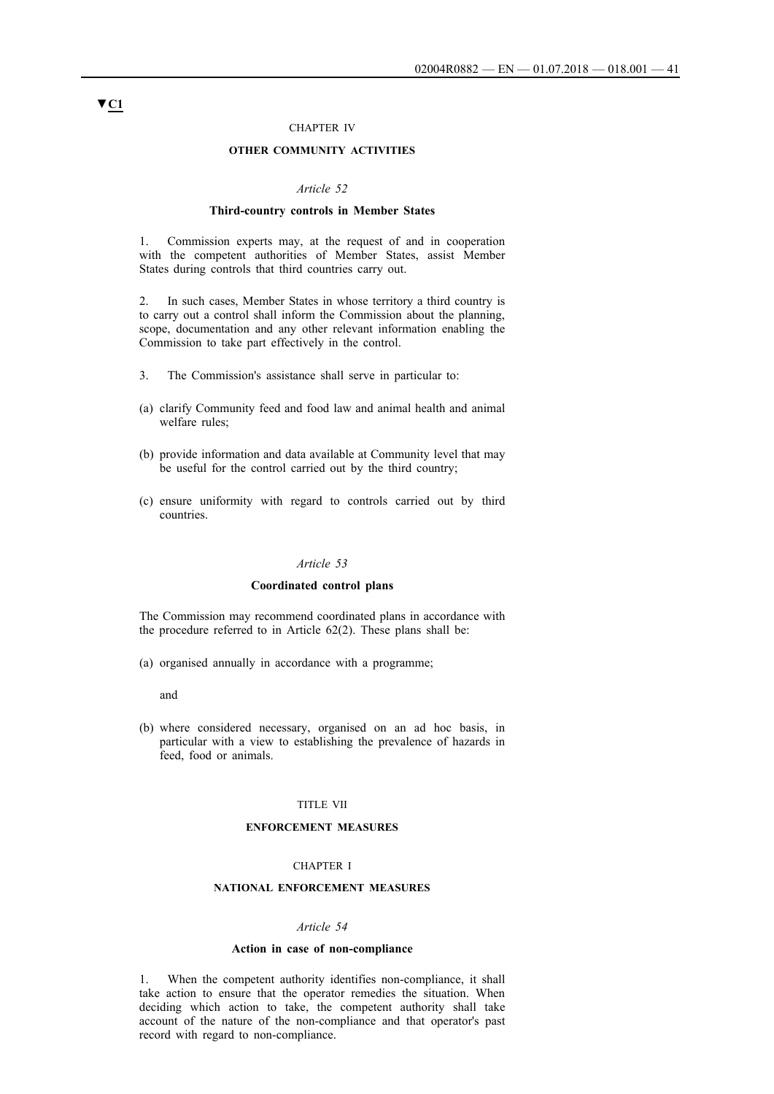#### CHAPTER IV

### **OTHER COMMUNITY ACTIVITIES**

#### *Article 52*

#### **Third-country controls in Member States**

1. Commission experts may, at the request of and in cooperation with the competent authorities of Member States, assist Member States during controls that third countries carry out.

2. In such cases, Member States in whose territory a third country is to carry out a control shall inform the Commission about the planning, scope, documentation and any other relevant information enabling the Commission to take part effectively in the control.

- 3. The Commission's assistance shall serve in particular to:
- (a) clarify Community feed and food law and animal health and animal welfare rules;
- (b) provide information and data available at Community level that may be useful for the control carried out by the third country;
- (c) ensure uniformity with regard to controls carried out by third countries.

### *Article 53*

#### **Coordinated control plans**

The Commission may recommend coordinated plans in accordance with the procedure referred to in Article 62(2). These plans shall be:

(a) organised annually in accordance with a programme;

and

(b) where considered necessary, organised on an ad hoc basis, in particular with a view to establishing the prevalence of hazards in feed, food or animals.

### TITLE VII

#### **ENFORCEMENT MEASURES**

#### CHAPTER I

### **NATIONAL ENFORCEMENT MEASURES**

#### *Article 54*

#### **Action in case of non-compliance**

1. When the competent authority identifies non-compliance, it shall take action to ensure that the operator remedies the situation. When deciding which action to take, the competent authority shall take account of the nature of the non-compliance and that operator's past record with regard to non-compliance.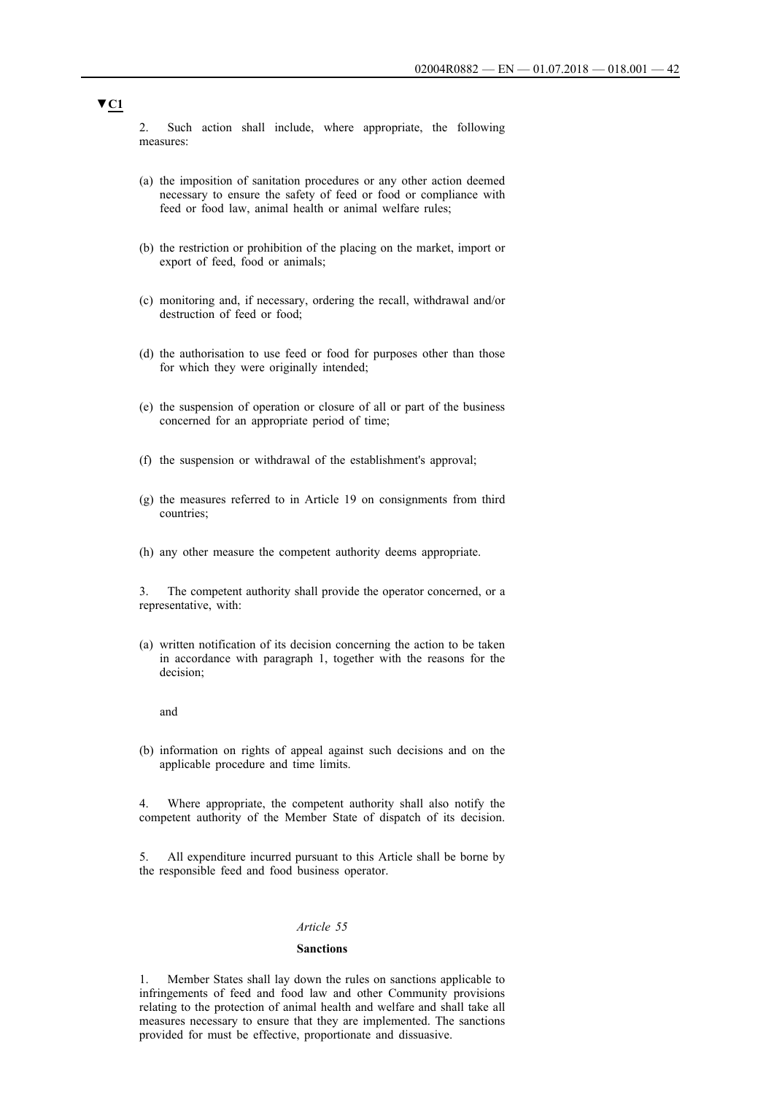2. Such action shall include, where appropriate, the following measures:

- (a) the imposition of sanitation procedures or any other action deemed necessary to ensure the safety of feed or food or compliance with feed or food law, animal health or animal welfare rules;
- (b) the restriction or prohibition of the placing on the market, import or export of feed, food or animals;
- (c) monitoring and, if necessary, ordering the recall, withdrawal and/or destruction of feed or food;
- (d) the authorisation to use feed or food for purposes other than those for which they were originally intended;
- (e) the suspension of operation or closure of all or part of the business concerned for an appropriate period of time;
- (f) the suspension or withdrawal of the establishment's approval;
- (g) the measures referred to in Article 19 on consignments from third countries;
- (h) any other measure the competent authority deems appropriate.

3. The competent authority shall provide the operator concerned, or a representative, with:

(a) written notification of its decision concerning the action to be taken in accordance with paragraph 1, together with the reasons for the decision;

and

(b) information on rights of appeal against such decisions and on the applicable procedure and time limits.

4. Where appropriate, the competent authority shall also notify the competent authority of the Member State of dispatch of its decision.

5. All expenditure incurred pursuant to this Article shall be borne by the responsible feed and food business operator.

#### *Article 55*

#### **Sanctions**

1. Member States shall lay down the rules on sanctions applicable to infringements of feed and food law and other Community provisions relating to the protection of animal health and welfare and shall take all measures necessary to ensure that they are implemented. The sanctions provided for must be effective, proportionate and dissuasive.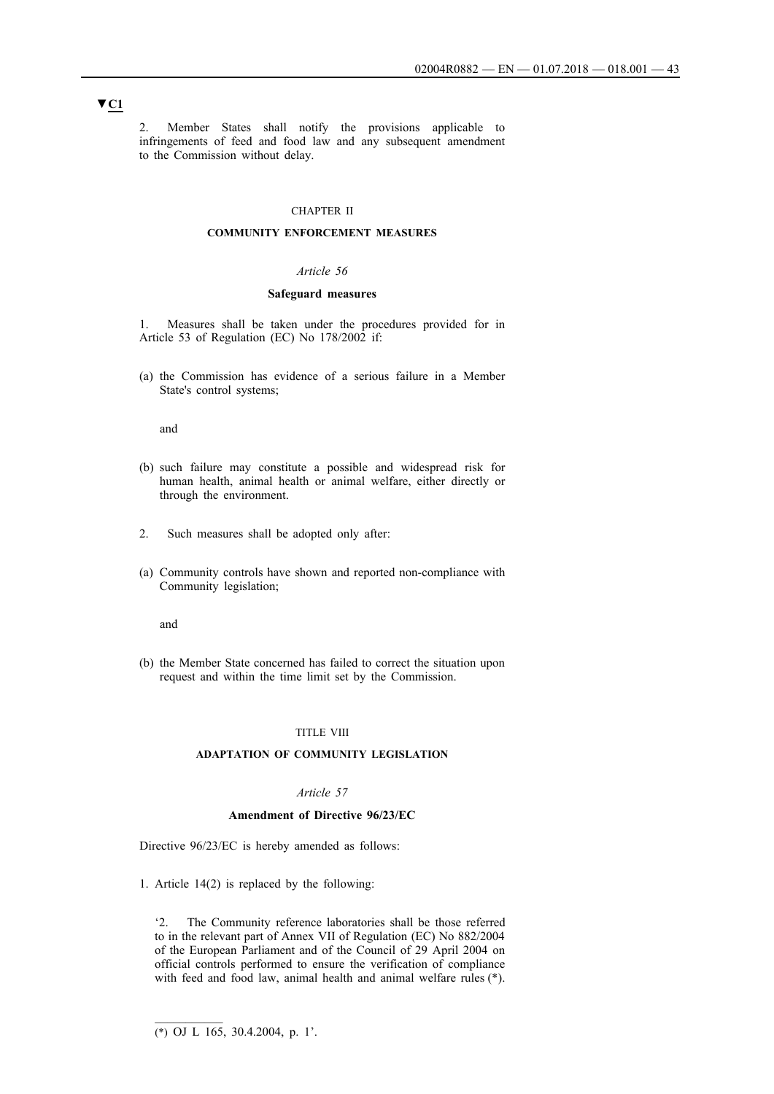2. Member States shall notify the provisions applicable to infringements of feed and food law and any subsequent amendment to the Commission without delay.

### CHAPTER II

### **COMMUNITY ENFORCEMENT MEASURES**

#### *Article 56*

### **Safeguard measures**

1. Measures shall be taken under the procedures provided for in Article 53 of Regulation (EC) No 178/2002 if:

(a) the Commission has evidence of a serious failure in a Member State's control systems;

and

- (b) such failure may constitute a possible and widespread risk for human health, animal health or animal welfare, either directly or through the environment.
- 2. Such measures shall be adopted only after:
- (a) Community controls have shown and reported non-compliance with Community legislation;

and

(b) the Member State concerned has failed to correct the situation upon request and within the time limit set by the Commission.

### TITLE VIII

#### **ADAPTATION OF COMMUNITY LEGISLATION**

### *Article 57*

#### **Amendment of Directive 96/23/EC**

Directive 96/23/EC is hereby amended as follows:

1. Article 14(2) is replaced by the following:

'2. The Community reference laboratories shall be those referred to in the relevant part of Annex VII of Regulation (EC) No 882/2004 of the European Parliament and of the Council of 29 April 2004 on official controls performed to ensure the verification of compliance with feed and food law, animal health and animal welfare rules (\*).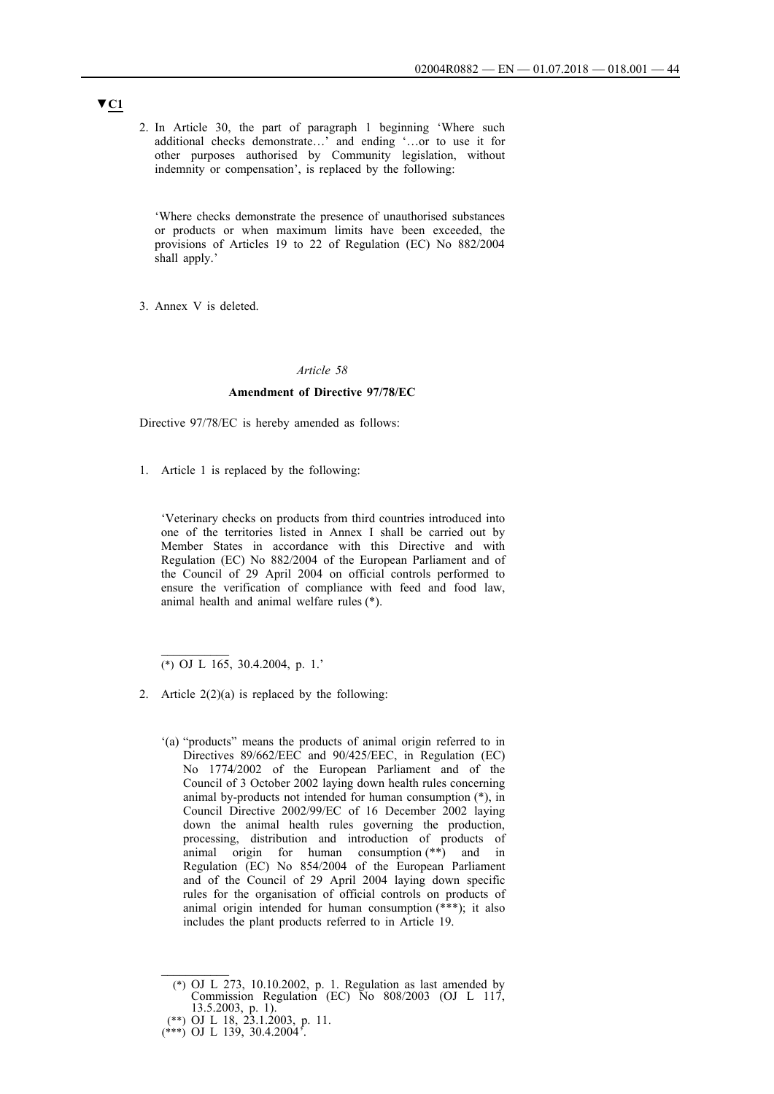2. In Article 30, the part of paragraph 1 beginning 'Where such additional checks demonstrate…' and ending '…or to use it for other purposes authorised by Community legislation, without indemnity or compensation', is replaced by the following:

'Where checks demonstrate the presence of unauthorised substances or products or when maximum limits have been exceeded, the provisions of Articles 19 to 22 of Regulation (EC) No 882/2004 shall apply.'

3. Annex V is deleted.

### *Article 58*

### **Amendment of Directive 97/78/EC**

Directive 97/78/EC is hereby amended as follows:

1. Article 1 is replaced by the following:

'Veterinary checks on products from third countries introduced into one of the territories listed in Annex I shall be carried out by Member States in accordance with this Directive and with Regulation (EC) No 882/2004 of the European Parliament and of the Council of 29 April 2004 on official controls performed to ensure the verification of compliance with feed and food law, animal health and animal welfare rules (\*).

(\*) OJ L 165, 30.4.2004, p. 1.'

 $\frac{1}{2}$ 

- 2. Article  $2(2)(a)$  is replaced by the following:
	- '(a) "products" means the products of animal origin referred to in Directives 89/662/EEC and 90/425/EEC, in Regulation (EC) No 1774/2002 of the European Parliament and of the Council of 3 October 2002 laying down health rules concerning animal by-products not intended for human consumption (\*), in Council Directive 2002/99/EC of 16 December 2002 laying down the animal health rules governing the production, processing, distribution and introduction of products of animal origin for human consumption (\*\*) and in Regulation (EC) No 854/2004 of the European Parliament and of the Council of 29 April 2004 laying down specific rules for the organisation of official controls on products of animal origin intended for human consumption (\*\*\*); it also includes the plant products referred to in Article 19.

 $\mathcal{L}_\text{max}$ 

<sup>(\*)</sup> OJ L 273, 10.10.2002, p. 1. Regulation as last amended by Commission Regulation (EC) No 808/2003 (OJ L 117, 13.5.2003, p. 1).

<sup>(\*\*)</sup> OJ L 18, 23.1.2003, p. 11.

<sup>(\*\*\*)</sup> OJ L 139, 30.4.2004'.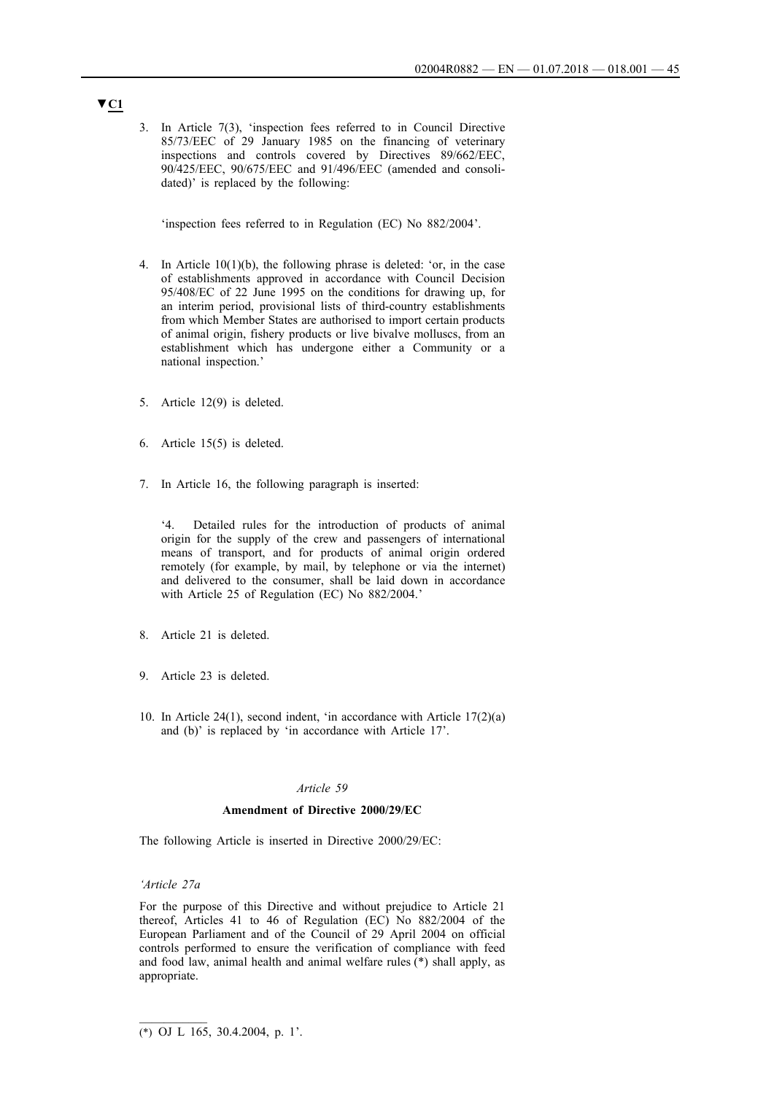3. In Article 7(3), 'inspection fees referred to in Council Directive 85/73/EEC of 29 January 1985 on the financing of veterinary inspections and controls covered by Directives 89/662/EEC, 90/425/EEC, 90/675/EEC and 91/496/EEC (amended and consolidated)' is replaced by the following:

'inspection fees referred to in Regulation (EC) No 882/2004'.

- 4. In Article 10(1)(b), the following phrase is deleted: 'or, in the case of establishments approved in accordance with Council Decision 95/408/EC of 22 June 1995 on the conditions for drawing up, for an interim period, provisional lists of third-country establishments from which Member States are authorised to import certain products of animal origin, fishery products or live bivalve molluscs, from an establishment which has undergone either a Community or a national inspection.'
- 5. Article 12(9) is deleted.
- 6. Article 15(5) is deleted.
- 7. In Article 16, the following paragraph is inserted:

Detailed rules for the introduction of products of animal origin for the supply of the crew and passengers of international means of transport, and for products of animal origin ordered remotely (for example, by mail, by telephone or via the internet) and delivered to the consumer, shall be laid down in accordance with Article 25 of Regulation (EC) No 882/2004.'

- 8. Article 21 is deleted.
- 9. Article 23 is deleted.
- 10. In Article 24(1), second indent, 'in accordance with Article 17(2)(a) and (b)' is replaced by 'in accordance with Article 17'.

### *Article 59*

### **Amendment of Directive 2000/29/EC**

The following Article is inserted in Directive 2000/29/EC:

### *'Article 27a*

For the purpose of this Directive and without prejudice to Article 21 thereof, Articles 41 to 46 of Regulation (EC) No 882/2004 of the European Parliament and of the Council of 29 April 2004 on official controls performed to ensure the verification of compliance with feed and food law, animal health and animal welfare rules (\*) shall apply, as appropriate.

<sup>(\*)</sup> OJ L 165, 30.4.2004, p. 1'.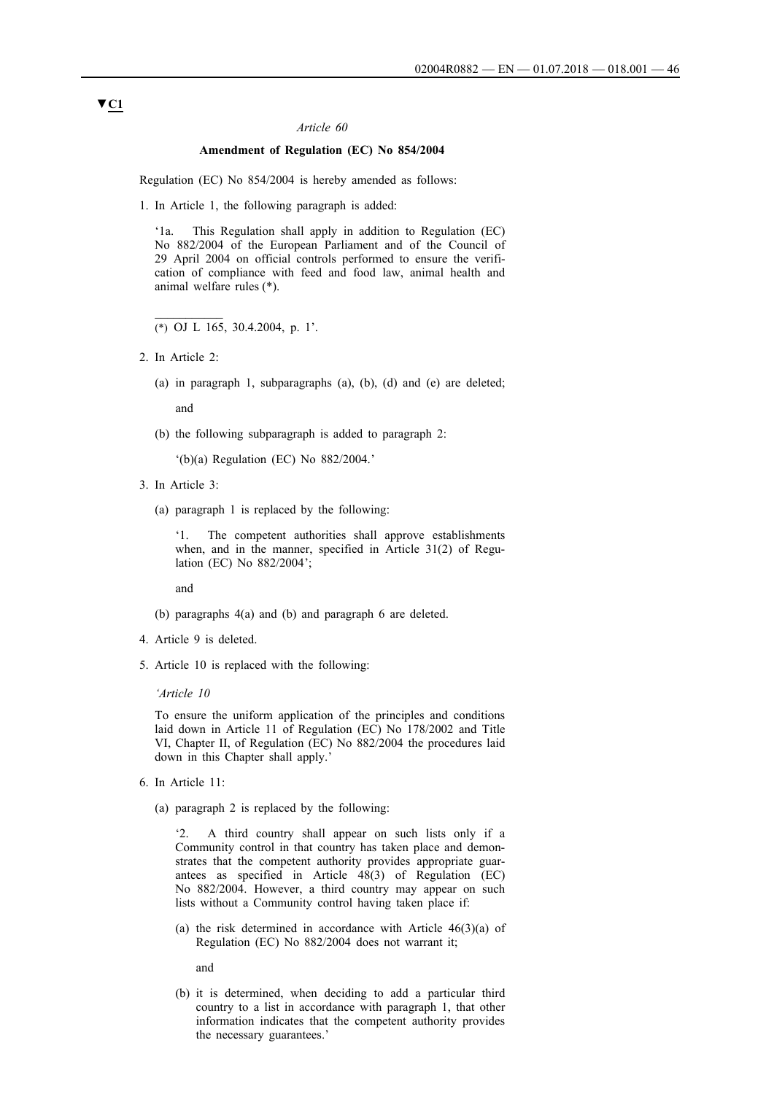### **Amendment of Regulation (EC) No 854/2004**

Regulation (EC) No 854/2004 is hereby amended as follows:

1. In Article 1, the following paragraph is added:

'1a. This Regulation shall apply in addition to Regulation (EC) No 882/2004 of the European Parliament and of the Council of 29 April 2004 on official controls performed to ensure the verification of compliance with feed and food law, animal health and animal welfare rules (\*).

- (\*) OJ L 165, 30.4.2004, p. 1'.
- 2. In Article 2:
	- (a) in paragraph 1, subparagraphs (a), (b), (d) and (e) are deleted;

and

(b) the following subparagraph is added to paragraph 2:

'(b)(a) Regulation (EC) No 882/2004.'

- 3. In Article 3:
	- (a) paragraph 1 is replaced by the following:

'1. The competent authorities shall approve establishments when, and in the manner, specified in Article 31(2) of Regulation (EC) No 882/2004';

and

- (b) paragraphs 4(a) and (b) and paragraph 6 are deleted.
- 4. Article 9 is deleted.
- 5. Article 10 is replaced with the following:

#### *'Article 10*

To ensure the uniform application of the principles and conditions laid down in Article 11 of Regulation (EC) No 178/2002 and Title VI, Chapter II, of Regulation (EC) No 882/2004 the procedures laid down in this Chapter shall apply.

- 6. In Article 11:
	- (a) paragraph 2 is replaced by the following:

'2. A third country shall appear on such lists only if a Community control in that country has taken place and demonstrates that the competent authority provides appropriate guarantees as specified in Article 48(3) of Regulation (EC) No 882/2004. However, a third country may appear on such lists without a Community control having taken place if:

(a) the risk determined in accordance with Article 46(3)(a) of Regulation (EC) No 882/2004 does not warrant it;

and

(b) it is determined, when deciding to add a particular third country to a list in accordance with paragraph 1, that other information indicates that the competent authority provides the necessary guarantees.'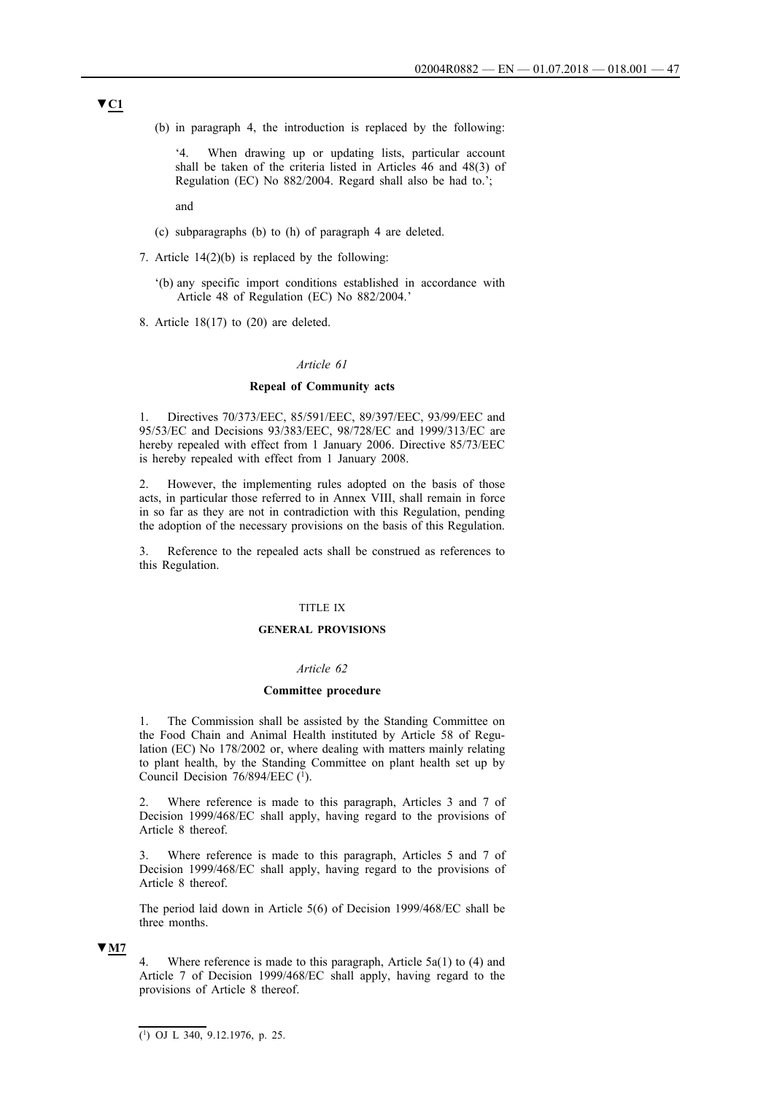(b) in paragraph 4, the introduction is replaced by the following:

'4. When drawing up or updating lists, particular account shall be taken of the criteria listed in Articles 46 and 48(3) of Regulation (EC) No 882/2004. Regard shall also be had to.';

and

- (c) subparagraphs (b) to (h) of paragraph 4 are deleted.
- 7. Article 14(2)(b) is replaced by the following:
	- '(b) any specific import conditions established in accordance with Article 48 of Regulation (EC) No 882/2004.'
- 8. Article 18(17) to (20) are deleted.

#### *Article 61*

### **Repeal of Community acts**

1. Directives 70/373/EEC, 85/591/EEC, 89/397/EEC, 93/99/EEC and 95/53/EC and Decisions 93/383/EEC, 98/728/EC and 1999/313/EC are hereby repealed with effect from 1 January 2006. Directive 85/73/EEC is hereby repealed with effect from 1 January 2008.

2. However, the implementing rules adopted on the basis of those acts, in particular those referred to in Annex VIII, shall remain in force in so far as they are not in contradiction with this Regulation, pending the adoption of the necessary provisions on the basis of this Regulation.

3. Reference to the repealed acts shall be construed as references to this Regulation.

### TITLE IX

#### **GENERAL PROVISIONS**

#### *Article 62*

#### **Committee procedure**

1. The Commission shall be assisted by the Standing Committee on the Food Chain and Animal Health instituted by Article 58 of Regulation (EC) No 178/2002 or, where dealing with matters mainly relating to plant health, by the Standing Committee on plant health set up by Council Decision  $76/894/EEC$  (1).

2. Where reference is made to this paragraph, Articles 3 and 7 of Decision 1999/468/EC shall apply, having regard to the provisions of Article 8 thereof.

3. Where reference is made to this paragraph, Articles 5 and 7 of Decision 1999/468/EC shall apply, having regard to the provisions of Article 8 thereof.

The period laid down in Article 5(6) of Decision 1999/468/EC shall be three months.

#### **▼M7**

4. Where reference is made to this paragraph, Article 5a(1) to (4) and Article 7 of Decision 1999/468/EC shall apply, having regard to the provisions of Article 8 thereof.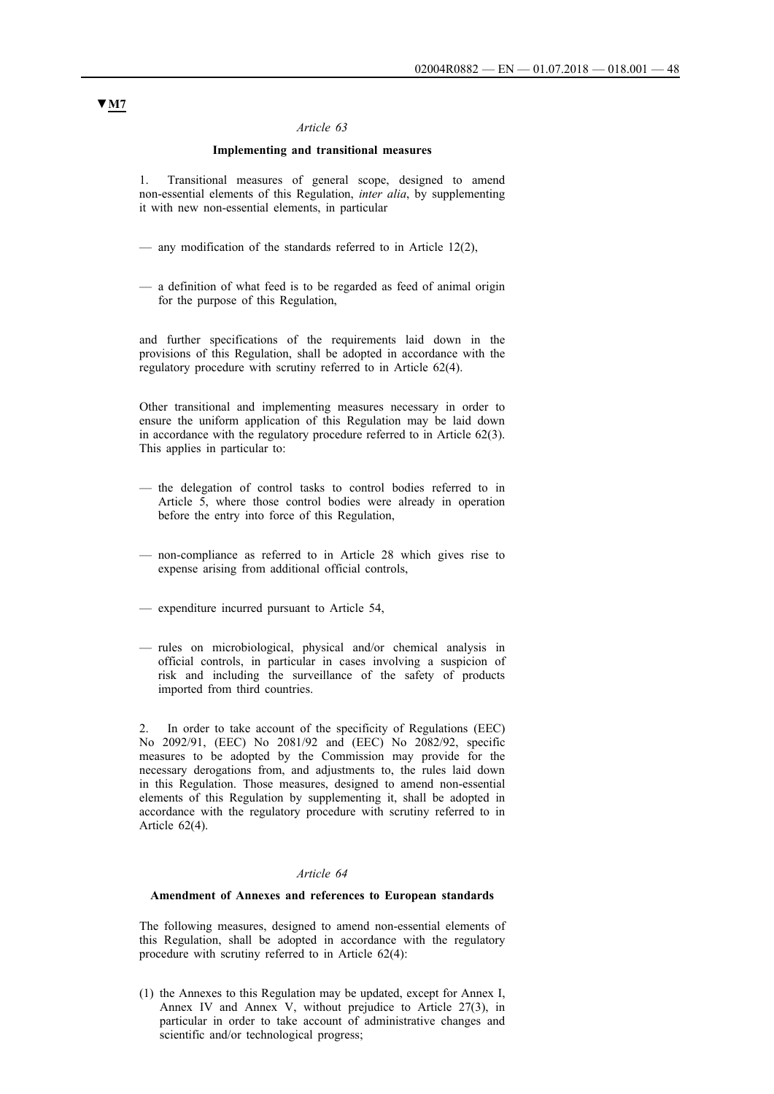### **Implementing and transitional measures**

1. Transitional measures of general scope, designed to amend non-essential elements of this Regulation, *inter alia*, by supplementing it with new non-essential elements, in particular

- any modification of the standards referred to in Article 12(2),
- a definition of what feed is to be regarded as feed of animal origin for the purpose of this Regulation,

and further specifications of the requirements laid down in the provisions of this Regulation, shall be adopted in accordance with the regulatory procedure with scrutiny referred to in Article 62(4).

Other transitional and implementing measures necessary in order to ensure the uniform application of this Regulation may be laid down in accordance with the regulatory procedure referred to in Article 62(3). This applies in particular to:

- the delegation of control tasks to control bodies referred to in Article 5, where those control bodies were already in operation before the entry into force of this Regulation,
- non-compliance as referred to in Article 28 which gives rise to expense arising from additional official controls,
- expenditure incurred pursuant to Article 54,
- rules on microbiological, physical and/or chemical analysis in official controls, in particular in cases involving a suspicion of risk and including the surveillance of the safety of products imported from third countries.

In order to take account of the specificity of Regulations (EEC) No 2092/91, (EEC) No 2081/92 and (EEC) No 2082/92, specific measures to be adopted by the Commission may provide for the necessary derogations from, and adjustments to, the rules laid down in this Regulation. Those measures, designed to amend non-essential elements of this Regulation by supplementing it, shall be adopted in accordance with the regulatory procedure with scrutiny referred to in Article 62(4).

# *Article 64*

#### **Amendment of Annexes and references to European standards**

The following measures, designed to amend non-essential elements of this Regulation, shall be adopted in accordance with the regulatory procedure with scrutiny referred to in Article 62(4):

(1) the Annexes to this Regulation may be updated, except for Annex I, Annex IV and Annex V, without prejudice to Article 27(3), in particular in order to take account of administrative changes and scientific and/or technological progress;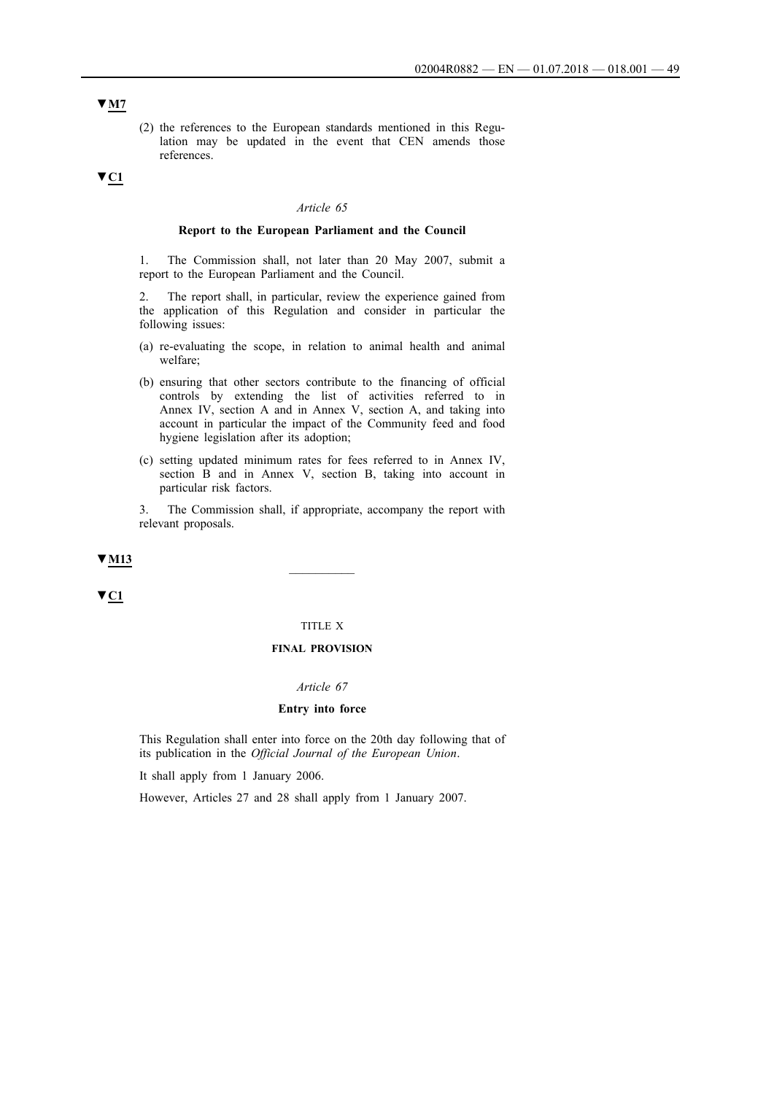(2) the references to the European standards mentioned in this Regulation may be updated in the event that CEN amends those references.

### **▼C1**

### *Article 65*

### **Report to the European Parliament and the Council**

1. The Commission shall, not later than 20 May 2007, submit a report to the European Parliament and the Council.

2. The report shall, in particular, review the experience gained from the application of this Regulation and consider in particular the following issues:

- (a) re-evaluating the scope, in relation to animal health and animal welfare;
- (b) ensuring that other sectors contribute to the financing of official controls by extending the list of activities referred to in Annex IV, section A and in Annex V, section A, and taking into account in particular the impact of the Community feed and food hygiene legislation after its adoption;
- (c) setting updated minimum rates for fees referred to in Annex IV, section B and in Annex V, section B, taking into account in particular risk factors.

3. The Commission shall, if appropriate, accompany the report with relevant proposals.

# ▼ <u>M13</u>

**▼C1**

# TITLE X

## **FINAL PROVISION**

#### *Article 67*

### **Entry into force**

This Regulation shall enter into force on the 20th day following that of its publication in the *Official Journal of the European Union*.

It shall apply from 1 January 2006.

However, Articles 27 and 28 shall apply from 1 January 2007.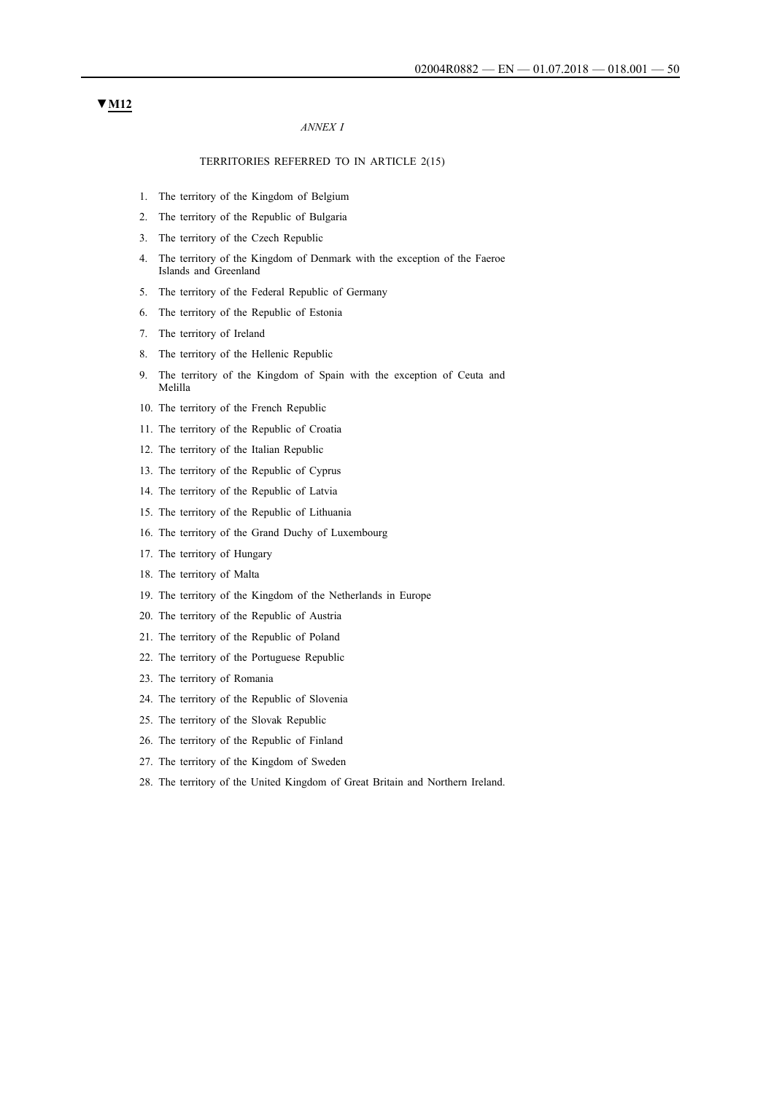### *ANNEX I*

### TERRITORIES REFERRED TO IN ARTICLE 2(15)

- 1. The territory of the Kingdom of Belgium
- 2. The territory of the Republic of Bulgaria
- 3. The territory of the Czech Republic
- 4. The territory of the Kingdom of Denmark with the exception of the Faeroe Islands and Greenland
- 5. The territory of the Federal Republic of Germany
- 6. The territory of the Republic of Estonia
- 7. The territory of Ireland
- 8. The territory of the Hellenic Republic
- 9. The territory of the Kingdom of Spain with the exception of Ceuta and Melilla
- 10. The territory of the French Republic
- 11. The territory of the Republic of Croatia
- 12. The territory of the Italian Republic
- 13. The territory of the Republic of Cyprus
- 14. The territory of the Republic of Latvia
- 15. The territory of the Republic of Lithuania
- 16. The territory of the Grand Duchy of Luxembourg
- 17. The territory of Hungary
- 18. The territory of Malta
- 19. The territory of the Kingdom of the Netherlands in Europe
- 20. The territory of the Republic of Austria
- 21. The territory of the Republic of Poland
- 22. The territory of the Portuguese Republic
- 23. The territory of Romania
- 24. The territory of the Republic of Slovenia
- 25. The territory of the Slovak Republic
- 26. The territory of the Republic of Finland
- 27. The territory of the Kingdom of Sweden
- 28. The territory of the United Kingdom of Great Britain and Northern Ireland.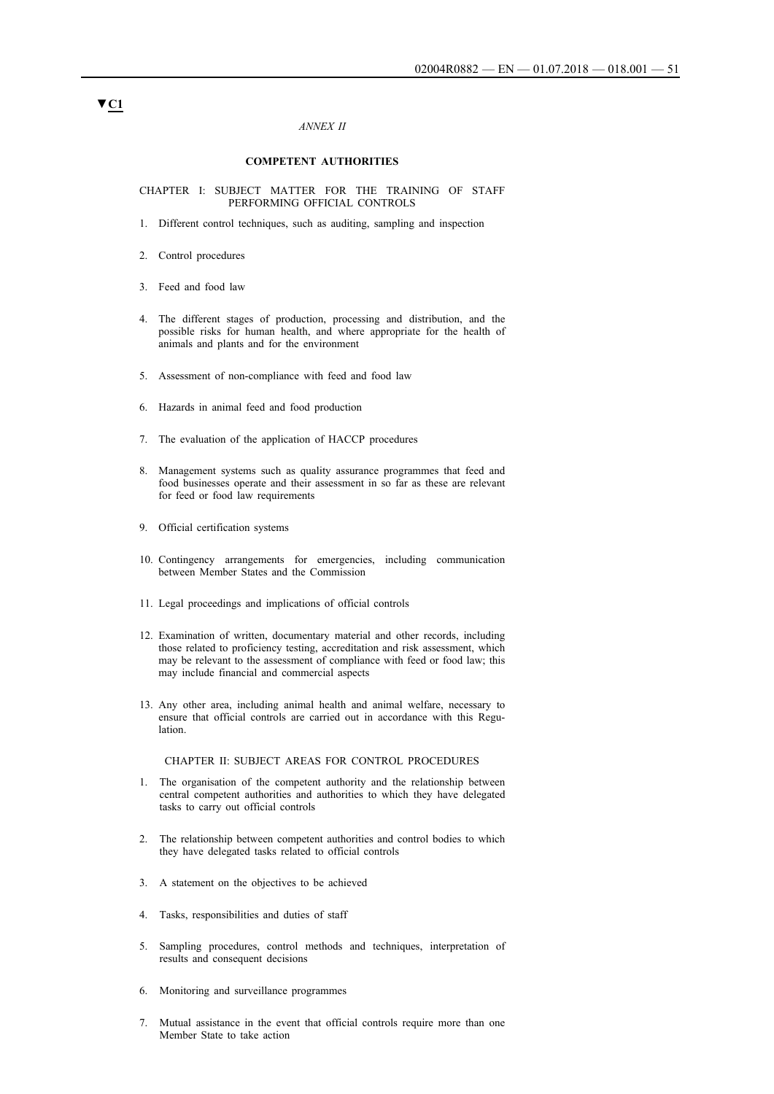### *ANNEX II*

#### **COMPETENT AUTHORITIES**

CHAPTER I: SUBJECT MATTER FOR THE TRAINING OF STAFF PERFORMING OFFICIAL CONTROLS

- 1. Different control techniques, such as auditing, sampling and inspection
- 2. Control procedures
- 3. Feed and food law
- 4. The different stages of production, processing and distribution, and the possible risks for human health, and where appropriate for the health of animals and plants and for the environment
- 5. Assessment of non-compliance with feed and food law
- 6. Hazards in animal feed and food production
- 7. The evaluation of the application of HACCP procedures
- 8. Management systems such as quality assurance programmes that feed and food businesses operate and their assessment in so far as these are relevant for feed or food law requirements
- 9. Official certification systems
- 10. Contingency arrangements for emergencies, including communication between Member States and the Commission
- 11. Legal proceedings and implications of official controls
- 12. Examination of written, documentary material and other records, including those related to proficiency testing, accreditation and risk assessment, which may be relevant to the assessment of compliance with feed or food law; this may include financial and commercial aspects
- 13. Any other area, including animal health and animal welfare, necessary to ensure that official controls are carried out in accordance with this Regulation.

#### CHAPTER II: SUBJECT AREAS FOR CONTROL PROCEDURES

- 1. The organisation of the competent authority and the relationship between central competent authorities and authorities to which they have delegated tasks to carry out official controls
- 2. The relationship between competent authorities and control bodies to which they have delegated tasks related to official controls
- 3. A statement on the objectives to be achieved
- 4. Tasks, responsibilities and duties of staff
- 5. Sampling procedures, control methods and techniques, interpretation of results and consequent decisions
- 6. Monitoring and surveillance programmes
- 7. Mutual assistance in the event that official controls require more than one Member State to take action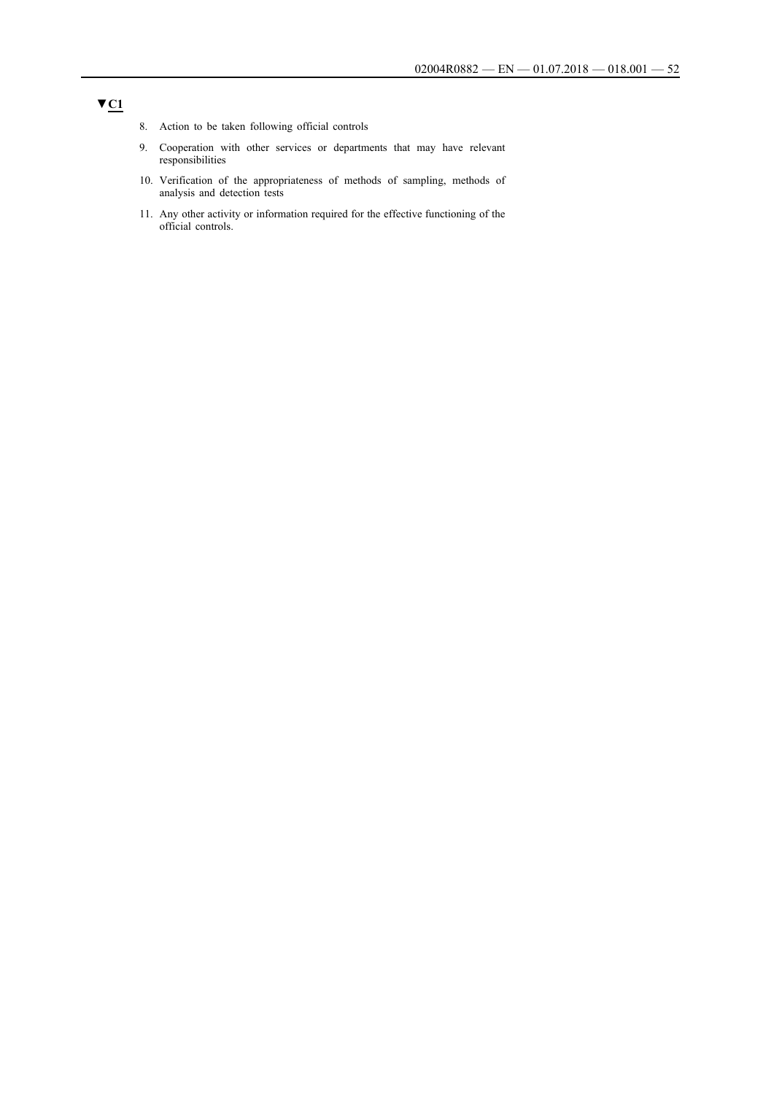- 8. Action to be taken following official controls
- 9. Cooperation with other services or departments that may have relevant responsibilities
- 10. Verification of the appropriateness of methods of sampling, methods of analysis and detection tests
- 11. Any other activity or information required for the effective functioning of the official controls.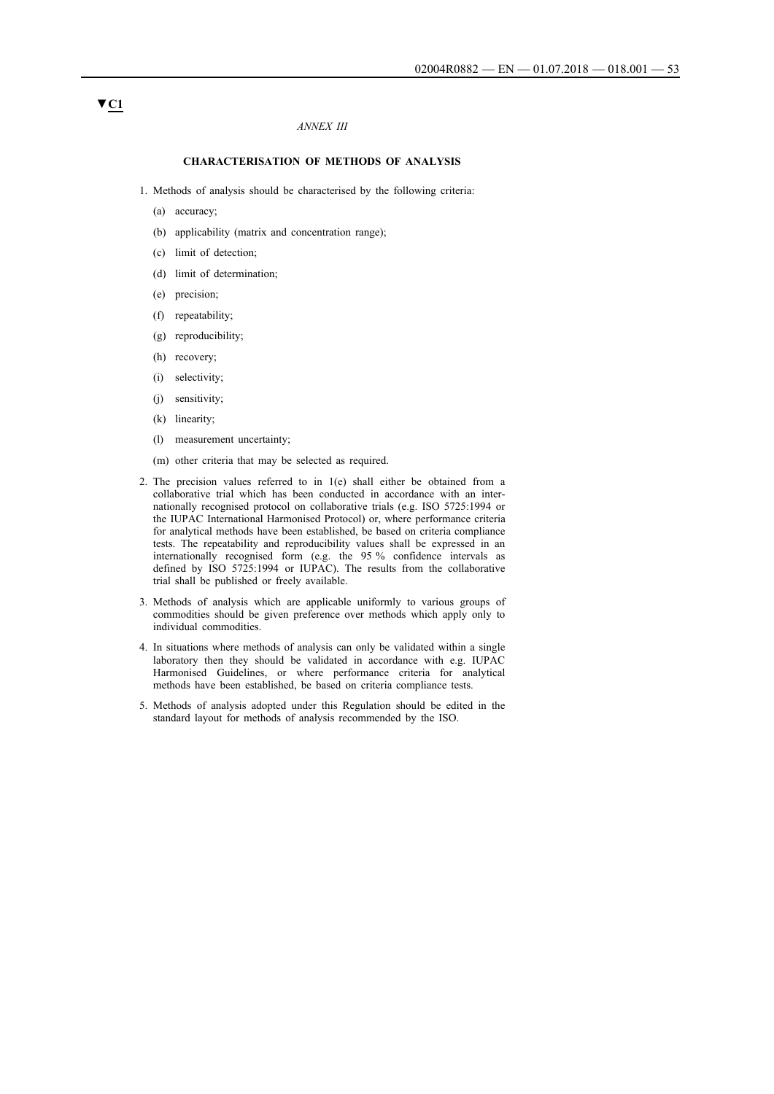### *ANNEX III*

#### **CHARACTERISATION OF METHODS OF ANALYSIS**

- 1. Methods of analysis should be characterised by the following criteria:
	- (a) accuracy;
	- (b) applicability (matrix and concentration range);
	- (c) limit of detection;
	- (d) limit of determination;
	- (e) precision;
	- (f) repeatability;
	- (g) reproducibility;
	- (h) recovery;
	- (i) selectivity;
	- (j) sensitivity;
	- (k) linearity;
	- (l) measurement uncertainty;
	- (m) other criteria that may be selected as required.
- 2. The precision values referred to in 1(e) shall either be obtained from a collaborative trial which has been conducted in accordance with an internationally recognised protocol on collaborative trials (e.g. ISO 5725:1994 or the IUPAC International Harmonised Protocol) or, where performance criteria for analytical methods have been established, be based on criteria compliance tests. The repeatability and reproducibility values shall be expressed in an internationally recognised form (e.g. the 95 % confidence intervals as defined by ISO 5725:1994 or IUPAC). The results from the collaborative trial shall be published or freely available.
- 3. Methods of analysis which are applicable uniformly to various groups of commodities should be given preference over methods which apply only to individual commodities.
- 4. In situations where methods of analysis can only be validated within a single laboratory then they should be validated in accordance with e.g. IUPAC Harmonised Guidelines, or where performance criteria for analytical methods have been established, be based on criteria compliance tests.
- 5. Methods of analysis adopted under this Regulation should be edited in the standard layout for methods of analysis recommended by the ISO.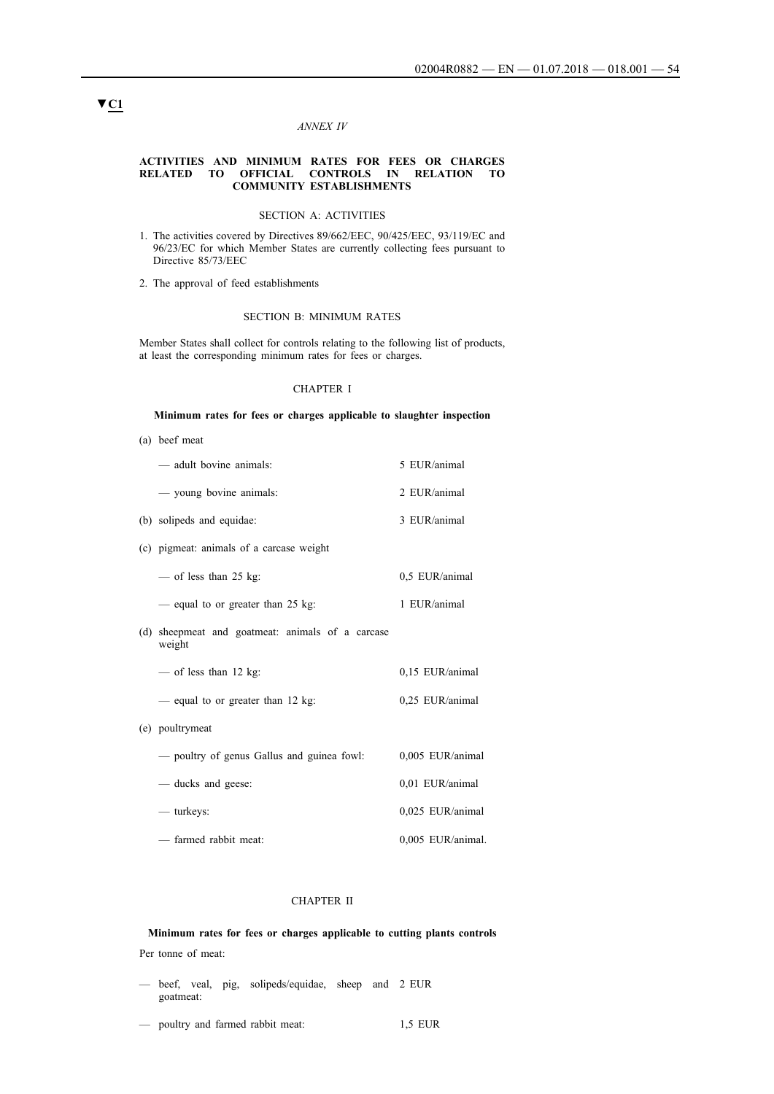#### *ANNEX IV*

#### **ACTIVITIES AND MINIMUM RATES FOR FEES OR CHARGES RELATED TO OFFICIAL CONTROLS IN RELATION TO COMMUNITY ESTABLISHMENTS**

### SECTION A: ACTIVITIES

- 1. The activities covered by Directives 89/662/EEC, 90/425/EEC, 93/119/EC and 96/23/EC for which Member States are currently collecting fees pursuant to Directive 85/73/EEC
- 2. The approval of feed establishments

#### SECTION B: MINIMUM RATES

Member States shall collect for controls relating to the following list of products, at least the corresponding minimum rates for fees or charges.

### CHAPTER I

#### **Minimum rates for fees or charges applicable to slaughter inspection**

(a) beef meat

| - adult bovine animals:                                    | 5 EUR/animal      |
|------------------------------------------------------------|-------------------|
| - young bovine animals:                                    | 2 EUR/animal      |
| (b) solipeds and equidae:                                  | 3 EUR/animal      |
| (c) pigmeat: animals of a carcase weight                   |                   |
| — of less than 25 kg:                                      | 0.5 EUR/animal    |
| - equal to or greater than 25 kg:                          | 1 EUR/animal      |
| (d) sheepmeat and goatmeat: animals of a carcase<br>weight |                   |
| — of less than 12 kg:                                      | 0,15 EUR/animal   |
| - equal to or greater than 12 kg:                          | 0,25 EUR/animal   |
| (e) poultrymeat                                            |                   |
| - poultry of genus Gallus and guinea fowl:                 | 0,005 EUR/animal  |
| — ducks and geese:                                         | 0,01 EUR/animal   |
| — turkeys:                                                 | 0,025 EUR/animal  |
| - farmed rabbit meat:                                      | 0,005 EUR/animal. |

### CHAPTER II

# **Minimum rates for fees or charges applicable to cutting plants controls**

- Per tonne of meat:
- beef, veal, pig, solipeds/equidae, sheep and 2 EUR goatmeat:
- poultry and farmed rabbit meat: 1,5 EUR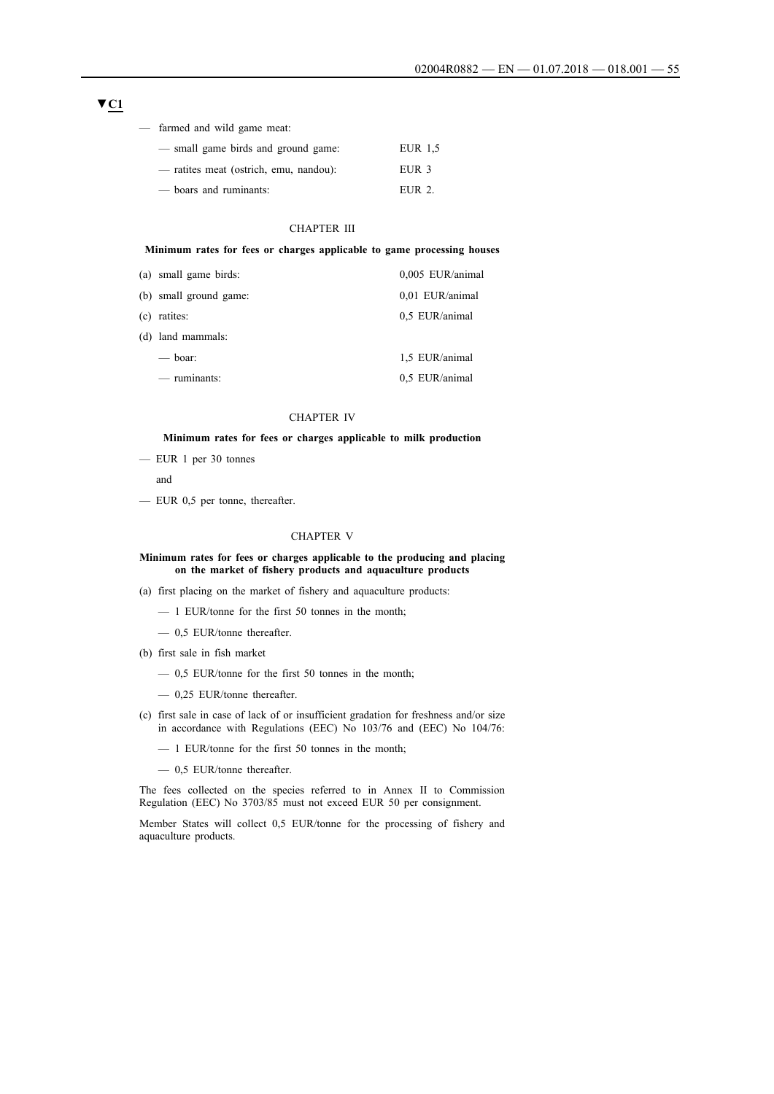### **▼C1**

|  | farmed and wild game meat: |  |  |  |  |
|--|----------------------------|--|--|--|--|
|--|----------------------------|--|--|--|--|

| — small game birds and ground game:    | EUR 1.5          |
|----------------------------------------|------------------|
| - ratites meat (ostrich, emu, nandou): | EUR <sub>3</sub> |
| - boars and ruminants:                 | EUR 2.           |

### CHAPTER III

### **Minimum rates for fees or charges applicable to game processing houses**

| (a) small game birds:  | 0,005 EUR/animal |
|------------------------|------------------|
| (b) small ground game: | 0,01 EUR/animal  |
| (c) ratites:           | 0.5 EUR/animal   |
| (d) land mammals:      |                  |
| $\equiv$ boar:         | 1,5 EUR/animal   |
| $-$ ruminants:         | 0.5 EUR/animal   |

### CHAPTER IV

### **Minimum rates for fees or charges applicable to milk production**

— EUR 1 per 30 tonnes

and

— EUR 0,5 per tonne, thereafter.

#### CHAPTER V

#### **Minimum rates for fees or charges applicable to the producing and placing on the market of fishery products and aquaculture products**

- (a) first placing on the market of fishery and aquaculture products:
	- 1 EUR/tonne for the first 50 tonnes in the month;
	- 0,5 EUR/tonne thereafter.
- (b) first sale in fish market
	- 0,5 EUR/tonne for the first 50 tonnes in the month;
	- 0,25 EUR/tonne thereafter.
- (c) first sale in case of lack of or insufficient gradation for freshness and/or size in accordance with Regulations (EEC) No 103/76 and (EEC) No 104/76:
	- 1 EUR/tonne for the first 50 tonnes in the month;
	- 0,5 EUR/tonne thereafter.

The fees collected on the species referred to in Annex II to Commission Regulation (EEC) No 3703/85 must not exceed EUR 50 per consignment.

Member States will collect 0,5 EUR/tonne for the processing of fishery and aquaculture products.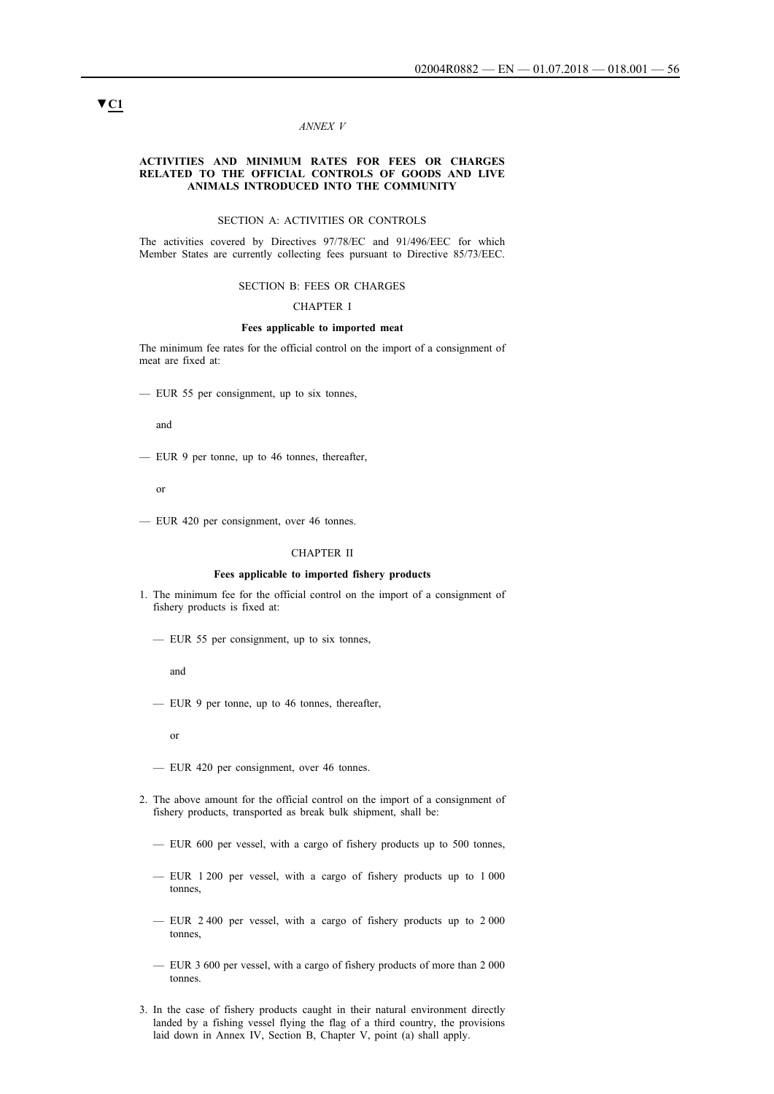#### *ANNEX V*

#### **ACTIVITIES AND MINIMUM RATES FOR FEES OR CHARGES RELATED TO THE OFFICIAL CONTROLS OF GOODS AND LIVE ANIMALS INTRODUCED INTO THE COMMUNITY**

# SECTION A: ACTIVITIES OR CONTROLS

The activities covered by Directives 97/78/EC and 91/496/EEC for which Member States are currently collecting fees pursuant to Directive 85/73/EEC.

#### SECTION B: FEES OR CHARGES

### CHAPTER I

#### **Fees applicable to imported meat**

The minimum fee rates for the official control on the import of a consignment of meat are fixed at:

— EUR 55 per consignment, up to six tonnes,

and

— EUR 9 per tonne, up to 46 tonnes, thereafter,

or

— EUR 420 per consignment, over 46 tonnes.

#### CHAPTER II

### **Fees applicable to imported fishery products**

- 1. The minimum fee for the official control on the import of a consignment of fishery products is fixed at:
	- EUR 55 per consignment, up to six tonnes,

and

— EUR 9 per tonne, up to 46 tonnes, thereafter,

or

- EUR 420 per consignment, over 46 tonnes.
- 2. The above amount for the official control on the import of a consignment of fishery products, transported as break bulk shipment, shall be:
	- EUR 600 per vessel, with a cargo of fishery products up to 500 tonnes,
	- EUR 1 200 per vessel, with a cargo of fishery products up to 1 000 tonnes,
	- EUR 2 400 per vessel, with a cargo of fishery products up to 2 000 tonnes,
	- EUR 3 600 per vessel, with a cargo of fishery products of more than 2 000 tonnes.
- 3. In the case of fishery products caught in their natural environment directly landed by a fishing vessel flying the flag of a third country, the provisions laid down in Annex IV, Section B, Chapter V, point (a) shall apply.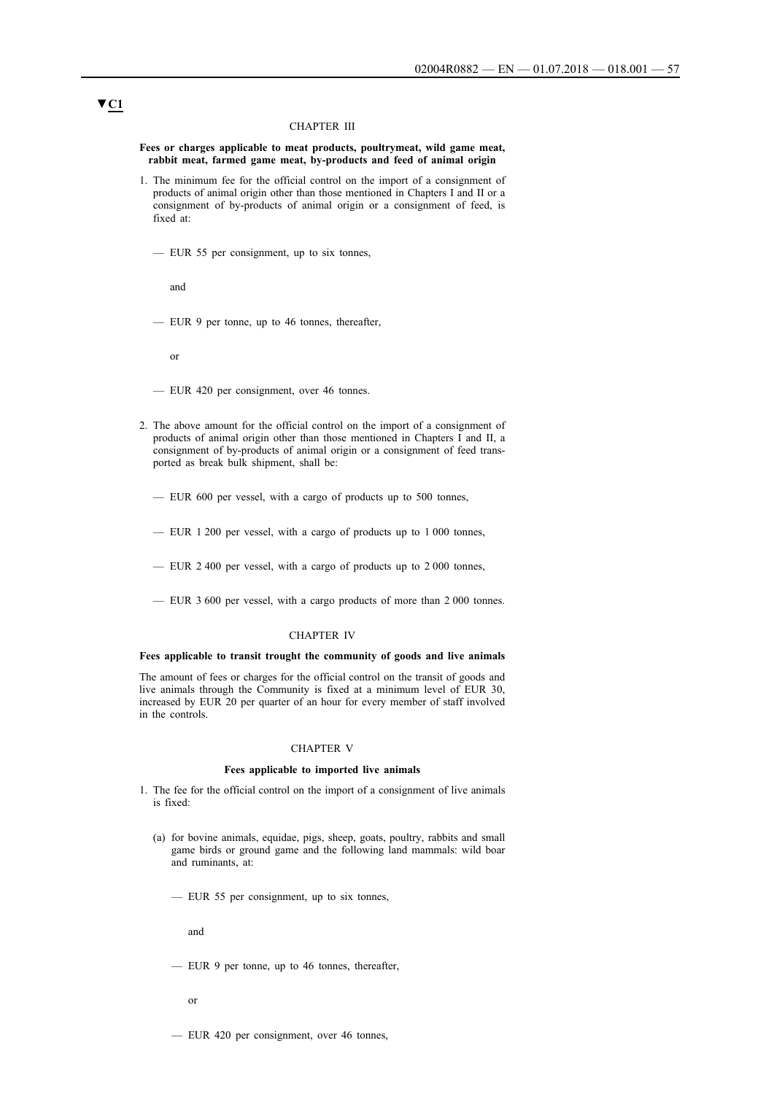#### CHAPTER III

**Fees or charges applicable to meat products, poultrymeat, wild game meat, rabbit meat, farmed game meat, by-products and feed of animal origin**

- 1. The minimum fee for the official control on the import of a consignment of products of animal origin other than those mentioned in Chapters I and II or a consignment of by-products of animal origin or a consignment of feed, is fixed at:
	- EUR 55 per consignment, up to six tonnes,

and

— EUR 9 per tonne, up to 46 tonnes, thereafter,

or

- EUR 420 per consignment, over 46 tonnes.
- 2. The above amount for the official control on the import of a consignment of products of animal origin other than those mentioned in Chapters I and II, a consignment of by-products of animal origin or a consignment of feed transported as break bulk shipment, shall be:
	- EUR 600 per vessel, with a cargo of products up to 500 tonnes,
	- EUR 1 200 per vessel, with a cargo of products up to 1 000 tonnes,
	- EUR 2 400 per vessel, with a cargo of products up to 2 000 tonnes,
	- EUR 3 600 per vessel, with a cargo products of more than 2 000 tonnes.

#### CHAPTER IV

#### **Fees applicable to transit trought the community of goods and live animals**

The amount of fees or charges for the official control on the transit of goods and live animals through the Community is fixed at a minimum level of EUR 30, increased by EUR 20 per quarter of an hour for every member of staff involved in the controls.

#### CHAPTER V

#### **Fees applicable to imported live animals**

- 1. The fee for the official control on the import of a consignment of live animals is fixed:
	- (a) for bovine animals, equidae, pigs, sheep, goats, poultry, rabbits and small game birds or ground game and the following land mammals: wild boar and ruminants, at:
		- EUR 55 per consignment, up to six tonnes,

and

- EUR 9 per tonne, up to 46 tonnes, thereafter,
	- or
- EUR 420 per consignment, over 46 tonnes,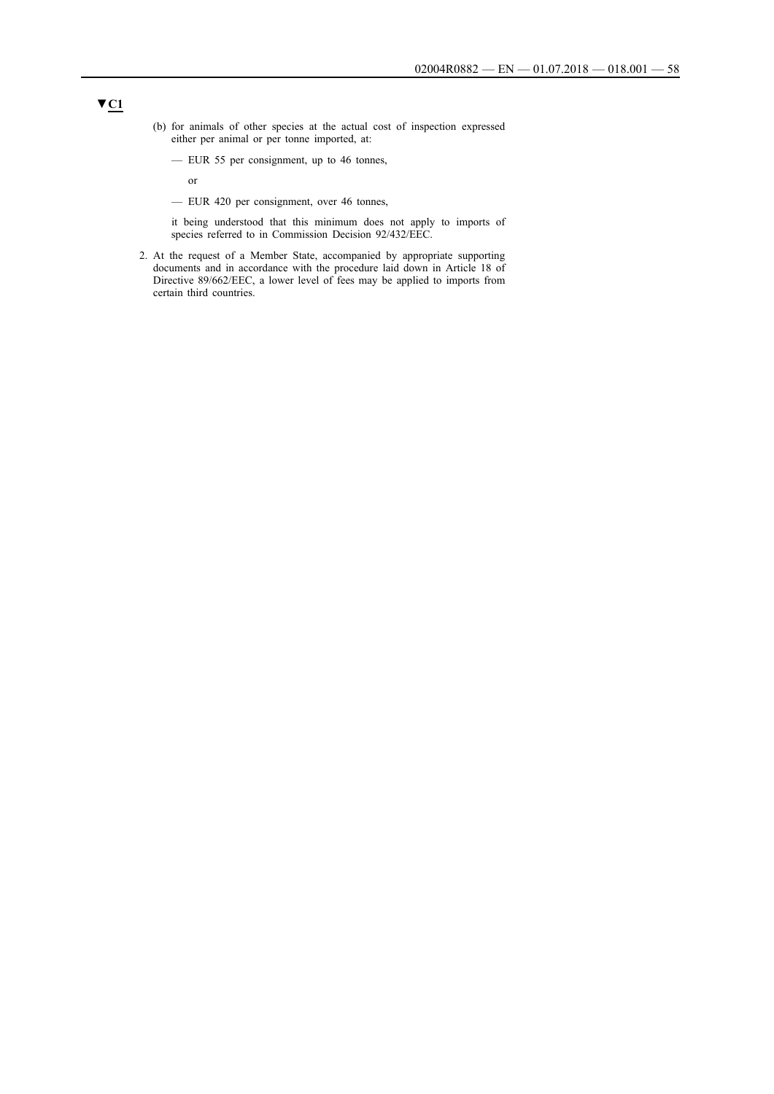- (b) for animals of other species at the actual cost of inspection expressed either per animal or per tonne imported, at:
	- EUR 55 per consignment, up to 46 tonnes,

or

— EUR 420 per consignment, over 46 tonnes,

it being understood that this minimum does not apply to imports of species referred to in Commission Decision 92/432/EEC.

2. At the request of a Member State, accompanied by appropriate supporting documents and in accordance with the procedure laid down in Article 18 of Directive 89/662/EEC, a lower level of fees may be applied to imports from certain third countries.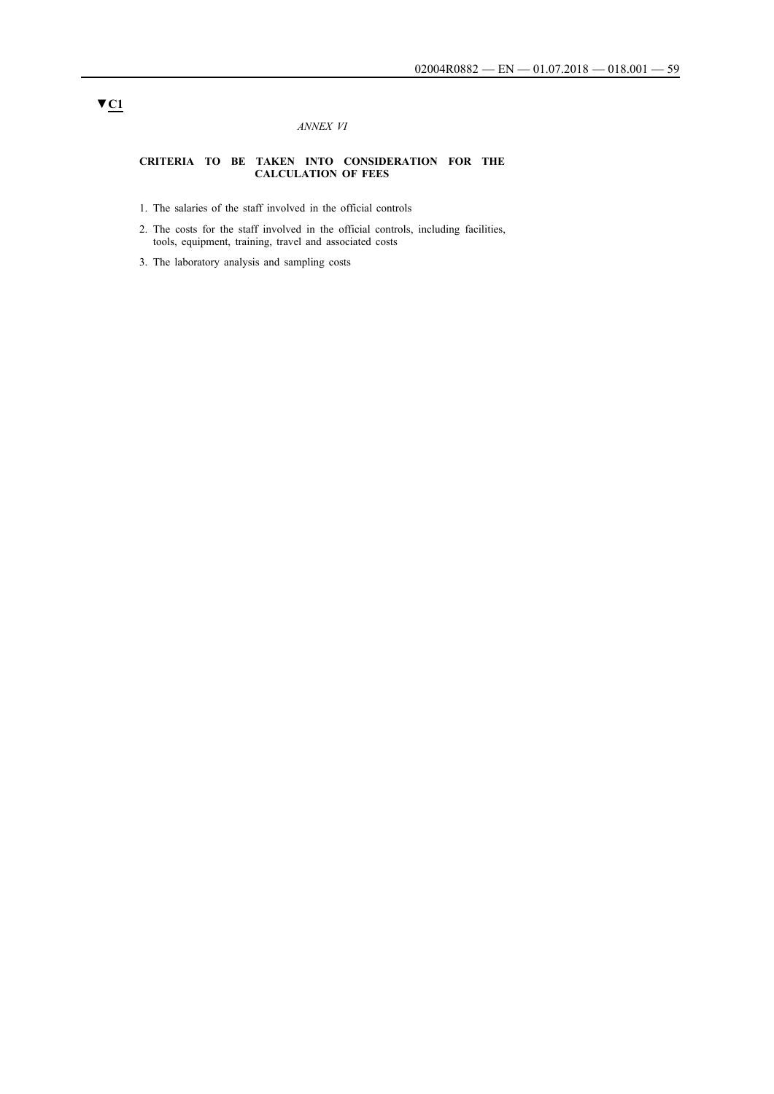### *ANNEX VI*

#### **CRITERIA TO BE TAKEN INTO CONSIDERATION FOR THE CALCULATION OF FEES**

- 1. The salaries of the staff involved in the official controls
- 2. The costs for the staff involved in the official controls, including facilities, tools, equipment, training, travel and associated costs
- 3. The laboratory analysis and sampling costs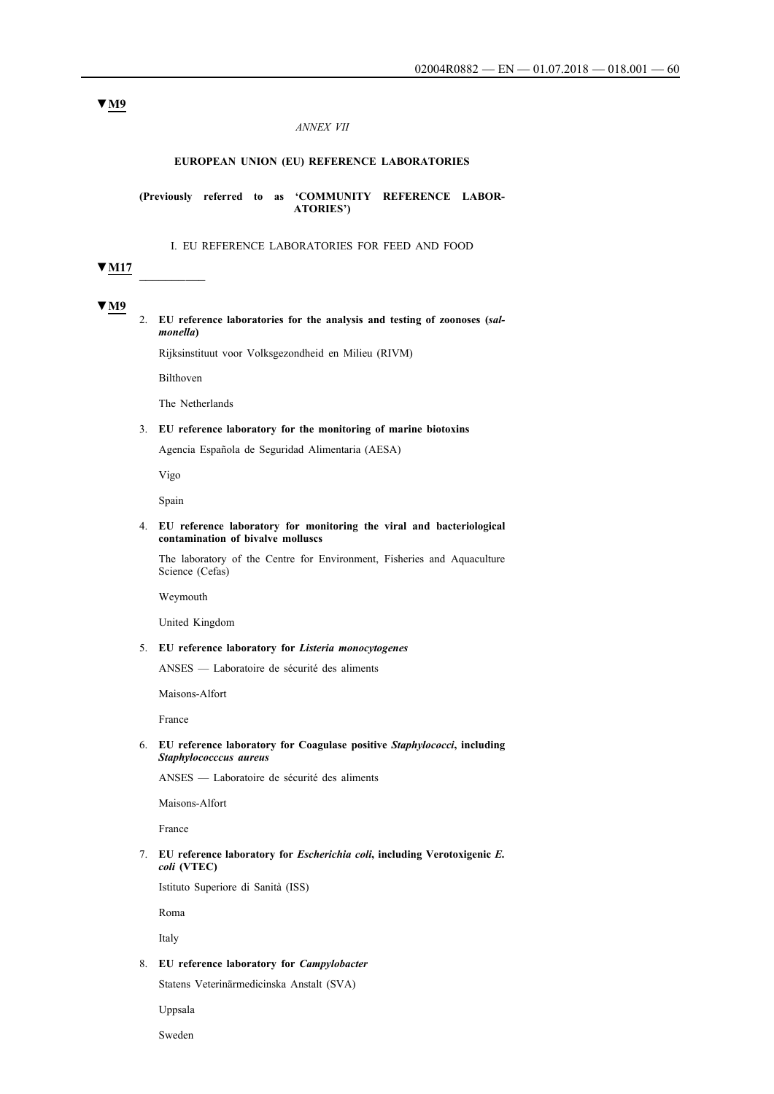#### *ANNEX VII*

### **EUROPEAN UNION (EU) REFERENCE LABORATORIES**

**(Previously referred to as 'COMMUNITY REFERENCE LABOR-ATORIES')**

#### I. EU REFERENCE LABORATORIES FOR FEED AND FOOD

### **▼M17** \_\_\_\_\_\_\_\_\_\_

### **▼M9**

2. **EU reference laboratories for the analysis and testing of zoonoses (***salmonella***)**

Rijksinstituut voor Volksgezondheid en Milieu (RIVM)

Bilthoven

The Netherlands

### 3. **EU reference laboratory for the monitoring of marine biotoxins**

Agencia Española de Seguridad Alimentaria (AESA)

Vigo

Spain

#### 4. **EU reference laboratory for monitoring the viral and bacteriological contamination of bivalve molluscs**

The laboratory of the Centre for Environment, Fisheries and Aquaculture Science (Cefas)

Weymouth

United Kingdom

### 5. **EU reference laboratory for** *Listeria monocytogenes*

ANSES — Laboratoire de sécurité des aliments

Maisons-Alfort

France

#### 6. **EU reference laboratory for Coagulase positive** *Staphylococci***, including** *Staphylococccus aureus*

ANSES — Laboratoire de sécurité des aliments

Maisons-Alfort

France

### 7. **EU reference laboratory for** *Escherichia coli***, including Verotoxigenic** *E. coli* **(VTEC)**

Istituto Superiore di Sanità (ISS)

Roma

Italy

#### 8. **EU reference laboratory for** *Campylobacter*

Statens Veterinärmedicinska Anstalt (SVA)

Uppsala

Sweden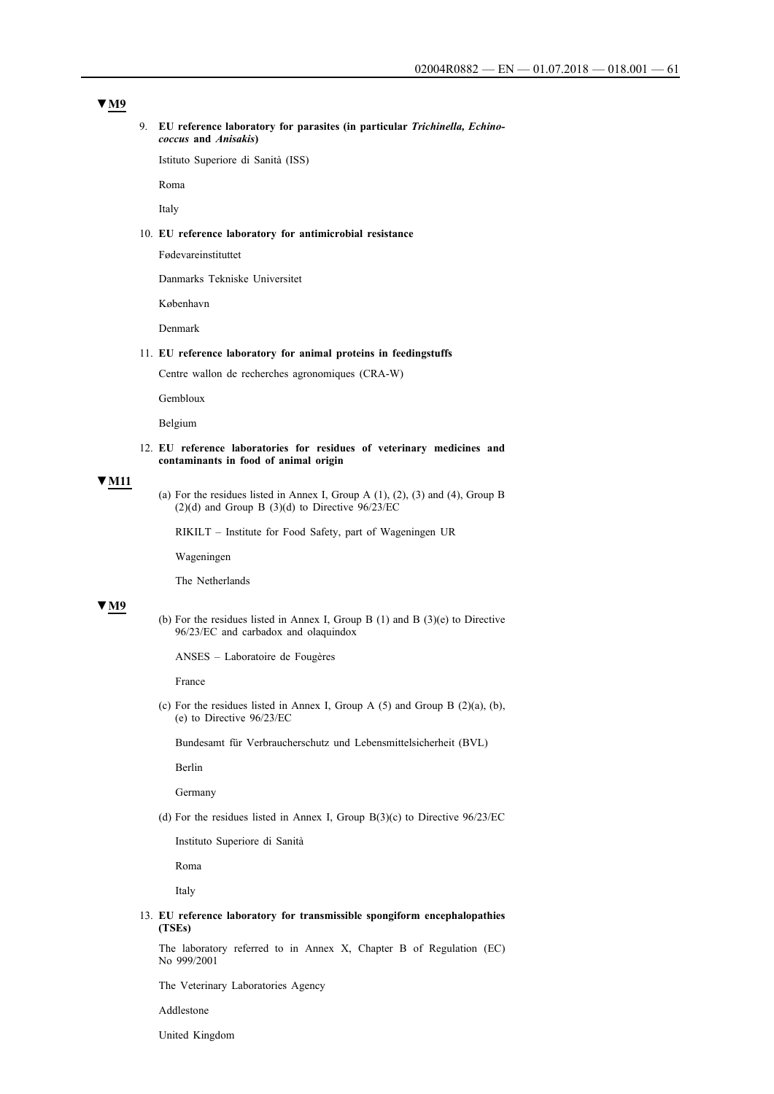### **▼M9**

#### 9. **EU reference laboratory for parasites (in particular** *Trichinella, Echinococcus* **and** *Anisakis***)**

Istituto Superiore di Sanità (ISS)

Roma

Italy

### 10. **EU reference laboratory for antimicrobial resistance**

Fødevareinstituttet

Danmarks Tekniske Universitet

København

Denmark

#### 11. **EU reference laboratory for animal proteins in feedingstuffs**

Centre wallon de recherches agronomiques (CRA-W)

Gembloux

Belgium

#### 12. **EU reference laboratories for residues of veterinary medicines and contaminants in food of animal origin**

#### **▼M11**

(a) For the residues listed in Annex I, Group A (1), (2), (3) and (4), Group B (2)(d) and Group B (3)(d) to Directive  $96/23/EC$ 

RIKILT – Institute for Food Safety, part of Wageningen UR

Wageningen

The Netherlands

### **▼M9**

(b) For the residues listed in Annex I, Group B (1) and B (3)(e) to Directive 96/23/EC and carbadox and olaquindox

ANSES – Laboratoire de Fougères

France

(c) For the residues listed in Annex I, Group A  $(5)$  and Group B  $(2)(a)$ ,  $(b)$ , (e) to Directive 96/23/EC

Bundesamt für Verbraucherschutz und Lebensmittelsicherheit (BVL)

Berlin

Germany

(d) For the residues listed in Annex I, Group  $B(3)(c)$  to Directive  $96/23/EC$ 

Instituto Superiore di Sanità

Roma

Italy

13. **EU reference laboratory for transmissible spongiform encephalopathies (TSEs)**

The laboratory referred to in Annex X, Chapter B of Regulation (EC) No 999/2001

The Veterinary Laboratories Agency

Addlestone

United Kingdom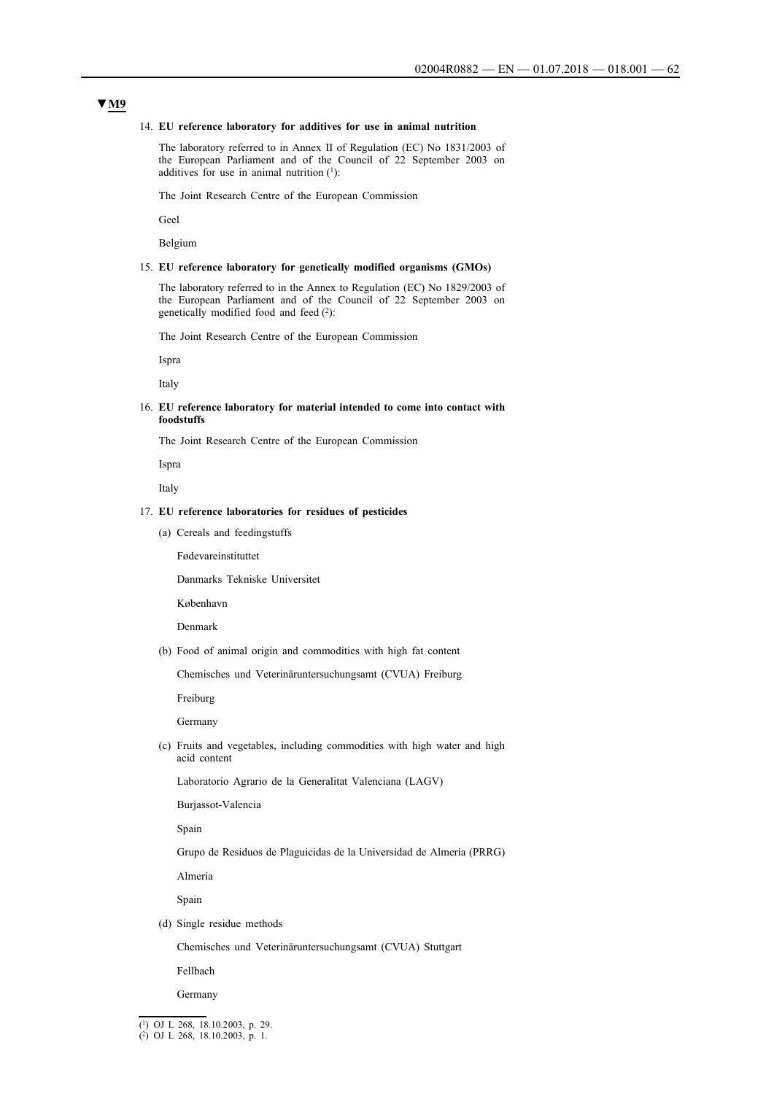#### 14. **EU reference laboratory for additives for use in animal nutrition**

The laboratory referred to in Annex II of Regulation (EC) No 1831/2003 of the European Parliament and of the Council of 22 September 2003 on additives for use in animal nutrition  $(1)$ :

The Joint Research Centre of the European Commission

Geel

Belgium

#### 15. **EU reference laboratory for genetically modified organisms (GMOs)**

The laboratory referred to in the Annex to Regulation (EC) No 1829/2003 of the European Parliament and of the Council of 22 September 2003 on genetically modified food and feed (2):

The Joint Research Centre of the European Commission

Ispra

Italy

#### 16. **EU reference laboratory for material intended to come into contact with foodstuffs**

The Joint Research Centre of the European Commission

Ispra

Italy

### 17. **EU reference laboratories for residues of pesticides**

(a) Cereals and feedingstuffs

Fødevareinstituttet

Danmarks Tekniske Universitet

København

Denmark

(b) Food of animal origin and commodities with high fat content

Chemisches und Veterinäruntersuchungsamt (CVUA) Freiburg

Freiburg

Germany

(c) Fruits and vegetables, including commodities with high water and high acid content

Laboratorio Agrario de la Generalitat Valenciana (LAGV)

Burjassot-Valencia

Spain

Grupo de Residuos de Plaguicidas de la Universidad de Almería (PRRG)

Almería

Spain

(d) Single residue methods

Chemisches und Veterinäruntersuchungsamt (CVUA) Stuttgart

Fellbach

Germany

<sup>(1)</sup> OJ L 268, 18.10.2003, p. 29.

<sup>(2)</sup> OJ L 268, 18.10.2003, p. 1.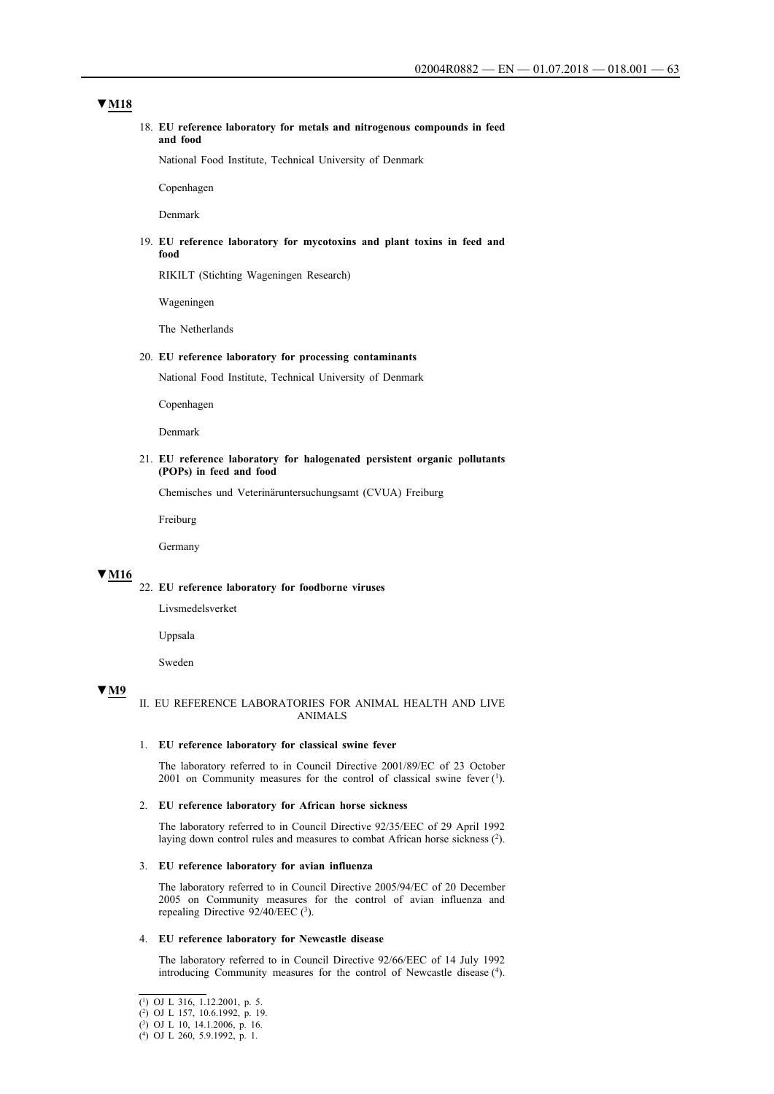### **▼M18**

#### 18. **EU reference laboratory for metals and nitrogenous compounds in feed and food**

National Food Institute, Technical University of Denmark

Copenhagen

Denmark

#### 19. **EU reference laboratory for mycotoxins and plant toxins in feed and food**

RIKILT (Stichting Wageningen Research)

Wageningen

The Netherlands

#### 20. **EU reference laboratory for processing contaminants**

National Food Institute, Technical University of Denmark

Copenhagen

Denmark

#### 21. **EU reference laboratory for halogenated persistent organic pollutants (POPs) in feed and food**

Chemisches und Veterinäruntersuchungsamt (CVUA) Freiburg

Freiburg

Germany

### **▼M16**

### 22. **EU reference laboratory for foodborne viruses**

Livsmedelsverket

Uppsala

Sweden

### **▼M9**

### II. EU REFERENCE LABORATORIES FOR ANIMAL HEALTH AND LIVE ANIMALS

#### 1. **EU reference laboratory for classical swine fever**

The laboratory referred to in Council Directive 2001/89/EC of 23 October 2001 on Community measures for the control of classical swine fever  $(1)$ .

#### 2. **EU reference laboratory for African horse sickness**

The laboratory referred to in Council Directive 92/35/EEC of 29 April 1992 laying down control rules and measures to combat African horse sickness (2).

#### 3. **EU reference laboratory for avian influenza**

The laboratory referred to in Council Directive 2005/94/EC of 20 December 2005 on Community measures for the control of avian influenza and repealing Directive 92/40/EEC (3).

#### 4. **EU reference laboratory for Newcastle disease**

The laboratory referred to in Council Directive 92/66/EEC of 14 July 1992 introducing Community measures for the control of Newcastle disease (4).

<sup>(1)</sup> OJ L 316, 1.12.2001, p. 5.

<sup>(2)</sup> OJ L 157, 10.6.1992, p. 19.

<sup>(3)</sup> OJ L 10, 14.1.2006, p. 16.

<sup>(4)</sup> OJ L 260, 5.9.1992, p. 1.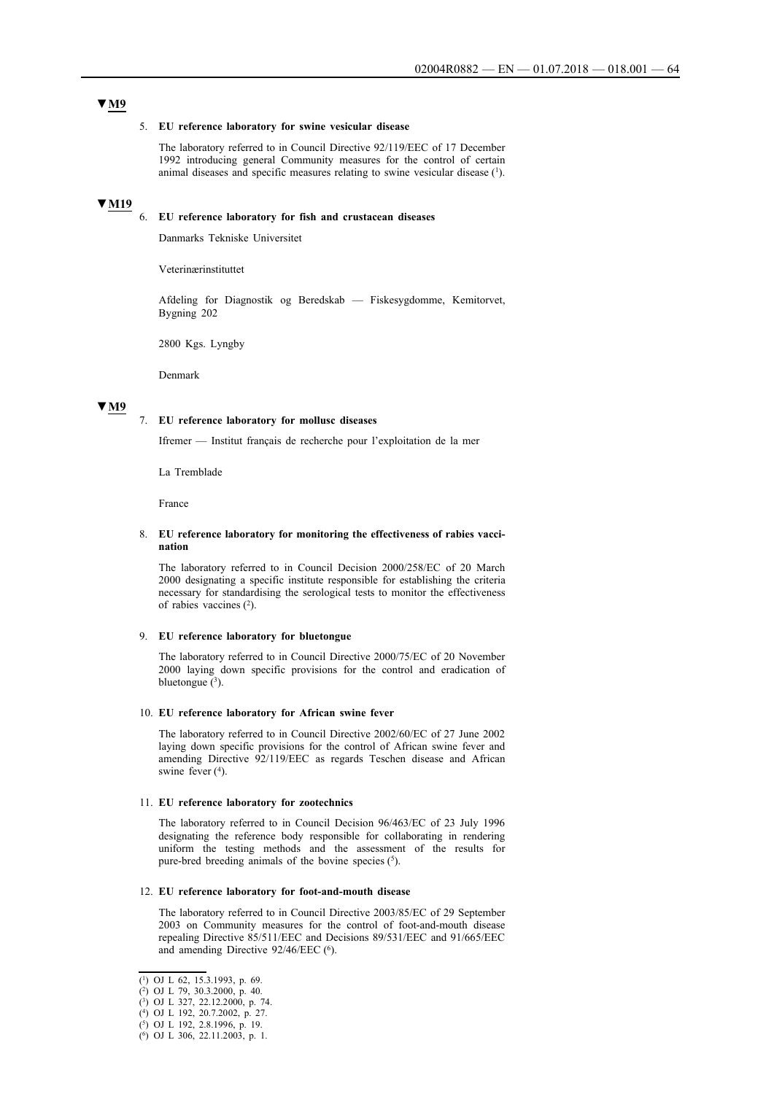### **▼M9**

#### 5. **EU reference laboratory for swine vesicular disease**

The laboratory referred to in Council Directive 92/119/EEC of 17 December 1992 introducing general Community measures for the control of certain animal diseases and specific measures relating to swine vesicular disease (1).

# **▼M19**

6. **EU reference laboratory for fish and crustacean diseases**

Danmarks Tekniske Universitet

Veterinærinstituttet

Afdeling for Diagnostik og Beredskab — Fiskesygdomme, Kemitorvet, Bygning 202

2800 Kgs. Lyngby

Denmark

#### **▼M9**

# 7. **EU reference laboratory for mollusc diseases**

Ifremer — Institut français de recherche pour l'exploitation de la mer

La Tremblade

France

#### 8. **EU reference laboratory for monitoring the effectiveness of rabies vaccination**

The laboratory referred to in Council Decision 2000/258/EC of 20 March 2000 designating a specific institute responsible for establishing the criteria necessary for standardising the serological tests to monitor the effectiveness of rabies vaccines (2).

#### 9. **EU reference laboratory for bluetongue**

The laboratory referred to in Council Directive 2000/75/EC of 20 November 2000 laying down specific provisions for the control and eradication of bluetongue  $(^3)$ .

#### 10. **EU reference laboratory for African swine fever**

The laboratory referred to in Council Directive 2002/60/EC of 27 June 2002 laying down specific provisions for the control of African swine fever and amending Directive 92/119/EEC as regards Teschen disease and African swine fever  $(4)$ .

#### 11. **EU reference laboratory for zootechnics**

The laboratory referred to in Council Decision 96/463/EC of 23 July 1996 designating the reference body responsible for collaborating in rendering uniform the testing methods and the assessment of the results for pure-bred breeding animals of the bovine species  $(5)$ .

#### 12. **EU reference laboratory for foot-and-mouth disease**

The laboratory referred to in Council Directive 2003/85/EC of 29 September 2003 on Community measures for the control of foot-and-mouth disease repealing Directive 85/511/EEC and Decisions 89/531/EEC and 91/665/EEC and amending Directive 92/46/EEC (6).

<sup>(1)</sup> OJ L 62, 15.3.1993, p. 69.

<sup>(2)</sup> OJ L 79, 30.3.2000, p. 40.

<sup>(3)</sup> OJ L 327, 22.12.2000, p. 74.

<sup>(4)</sup> OJ L 192, 20.7.2002, p. 27.

<sup>(5)</sup> OJ L 192, 2.8.1996, p. 19.

<sup>(6)</sup> OJ L 306, 22.11.2003, p. 1.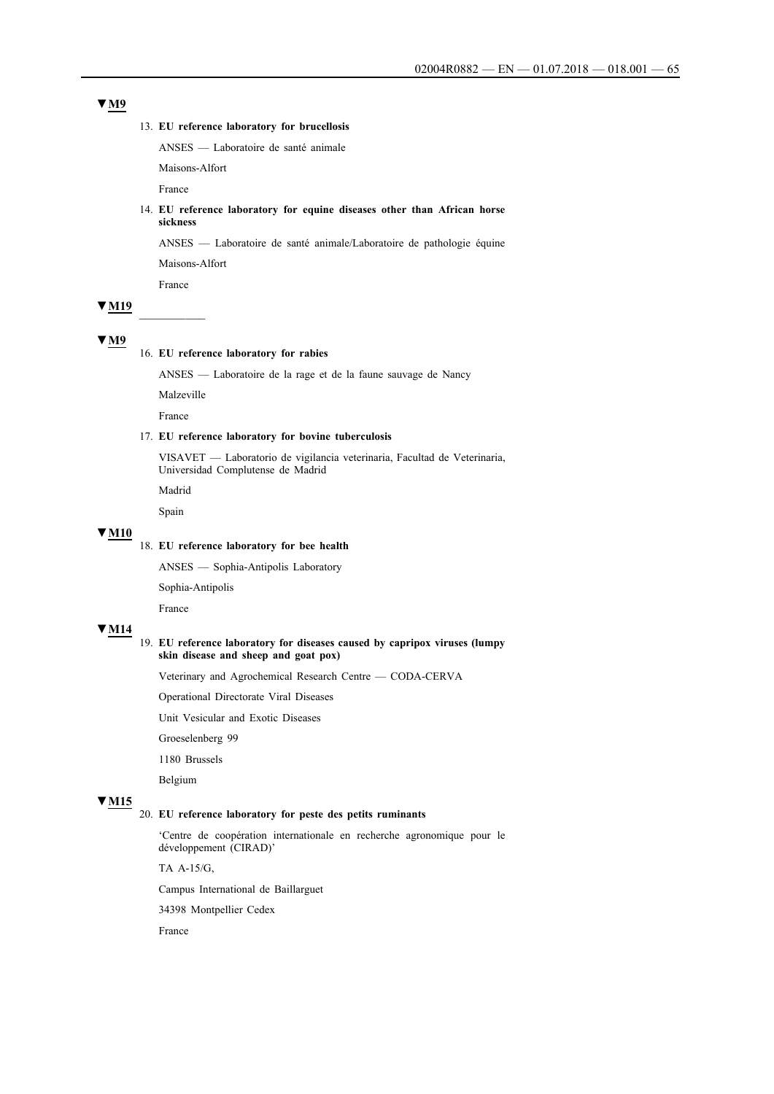### 13. **EU reference laboratory for brucellosis**

ANSES — Laboratoire de santé animale

Maisons-Alfort

France

### 14. **EU reference laboratory for equine diseases other than African horse sickness**

ANSES — Laboratoire de santé animale/Laboratoire de pathologie équine

Maisons-Alfort

France

# **▼M19** \_\_\_\_\_\_\_\_\_\_

### **▼M9**

### 16. **EU reference laboratory for rabies**

ANSES — Laboratoire de la rage et de la faune sauvage de Nancy

Malzeville

France

### 17. **EU reference laboratory for bovine tuberculosis**

VISAVET — Laboratorio de vigilancia veterinaria, Facultad de Veterinaria, Universidad Complutense de Madrid

Madrid

Spain

# **▼M10**

# 18. **EU reference laboratory for bee health**

ANSES — Sophia-Antipolis Laboratory

Sophia-Antipolis

France

# **▼M14**

### 19. **EU reference laboratory for diseases caused by capripox viruses (lumpy skin disease and sheep and goat pox)**

Veterinary and Agrochemical Research Centre — CODA-CERVA

Operational Directorate Viral Diseases

Unit Vesicular and Exotic Diseases

Groeselenberg 99

1180 Brussels

Belgium

# **▼M15**

# 20. **EU reference laboratory for peste des petits ruminants**

'Centre de coopération internationale en recherche agronomique pour le développement (CIRAD)'

TA A-15/G,

Campus International de Baillarguet

34398 Montpellier Cedex

France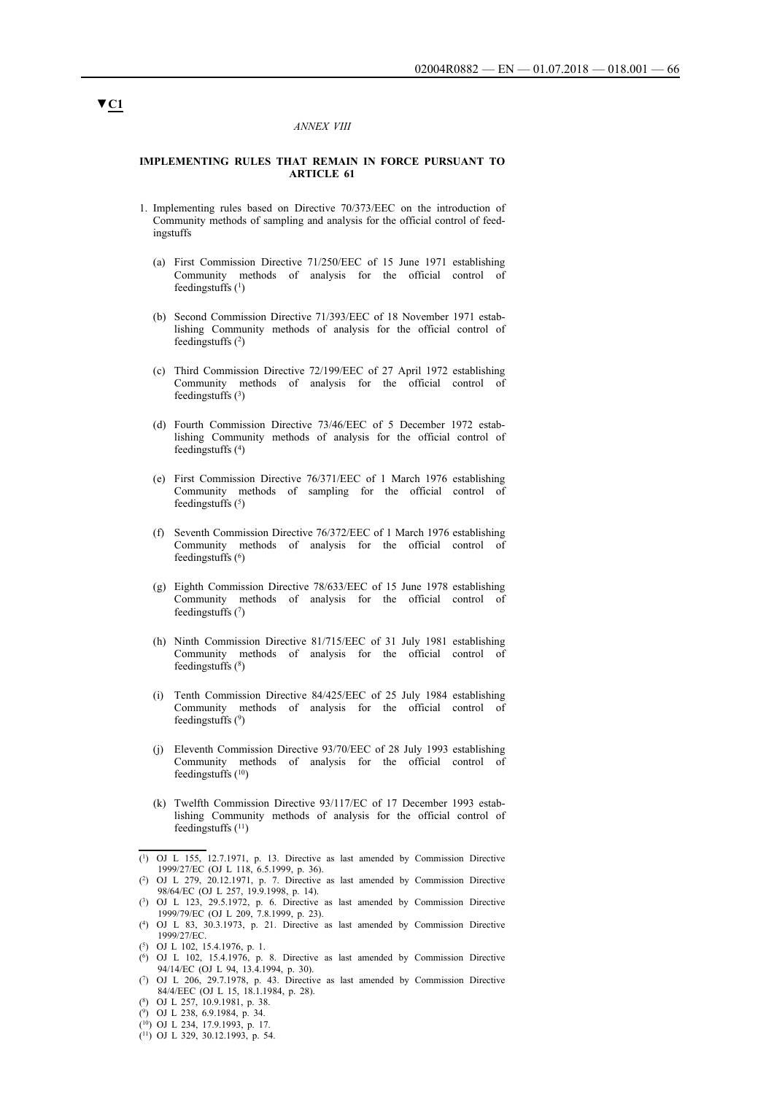#### *ANNEX VIII*

#### **IMPLEMENTING RULES THAT REMAIN IN FORCE PURSUANT TO ARTICLE 61**

- 1. Implementing rules based on Directive 70/373/EEC on the introduction of Community methods of sampling and analysis for the official control of feedingstuffs
	- (a) First Commission Directive 71/250/EEC of 15 June 1971 establishing Community methods of analysis for the official control of feedingstuffs  $(1)$
	- (b) Second Commission Directive 71/393/EEC of 18 November 1971 establishing Community methods of analysis for the official control of feedingstuffs $(2)$
	- (c) Third Commission Directive 72/199/EEC of 27 April 1972 establishing Community methods of analysis for the official control of feedingstuffs  $(3)$
	- (d) Fourth Commission Directive 73/46/EEC of 5 December 1972 establishing Community methods of analysis for the official control of feedingstuffs (4)
	- (e) First Commission Directive 76/371/EEC of 1 March 1976 establishing Community methods of sampling for the official control of feedingstuffs  $(5)$
	- (f) Seventh Commission Directive 76/372/EEC of 1 March 1976 establishing Community methods of analysis for the official control of feedingstuffs (6)
	- (g) Eighth Commission Directive 78/633/EEC of 15 June 1978 establishing Community methods of analysis for the official control of feedingstuffs  $(7)$
	- (h) Ninth Commission Directive 81/715/EEC of 31 July 1981 establishing Community methods of analysis for the official control of feedingstuffs (8)
	- (i) Tenth Commission Directive 84/425/EEC of 25 July 1984 establishing Community methods of analysis for the official control of feedingstuffs  $(9)$
	- (j) Eleventh Commission Directive 93/70/EEC of 28 July 1993 establishing Community methods of analysis for the official control of feedingstuffs  $(10)$
	- (k) Twelfth Commission Directive 93/117/EC of 17 December 1993 establishing Community methods of analysis for the official control of feedingstuffs  $(11)$

- (6) OJ L 102, 15.4.1976, p. 8. Directive as last amended by Commission Directive 94/14/EC (OJ L 94, 13.4.1994, p. 30).
- (7) OJ L 206, 29.7.1978, p. 43. Directive as last amended by Commission Directive 84/4/EEC (OJ L 15, 18.1.1984, p. 28).
- (8) OJ L 257, 10.9.1981, p. 38.
- (9) OJ L 238, 6.9.1984, p. 34.
- $(10)$  OJ L 234, 17.9.1993, p. 17
- $(11)$  OJ L 329, 30.12.1993, p. 54.

<sup>(1)</sup> OJ L 155, 12.7.1971, p. 13. Directive as last amended by Commission Directive 1999/27/EC (OJ L 118, 6.5.1999, p. 36).

<sup>(2)</sup> OJ L 279, 20.12.1971, p. 7. Directive as last amended by Commission Directive 98/64/EC (OJ L 257, 19.9.1998, p. 14).

<sup>(3)</sup> OJ L 123, 29.5.1972, p. 6. Directive as last amended by Commission Directive 1999/79/EC (OJ L 209, 7.8.1999, p. 23).

<sup>(4)</sup> OJ L 83, 30.3.1973, p. 21. Directive as last amended by Commission Directive 1999/27/EC.

<sup>(5)</sup> OJ L 102, 15.4.1976, p. 1.